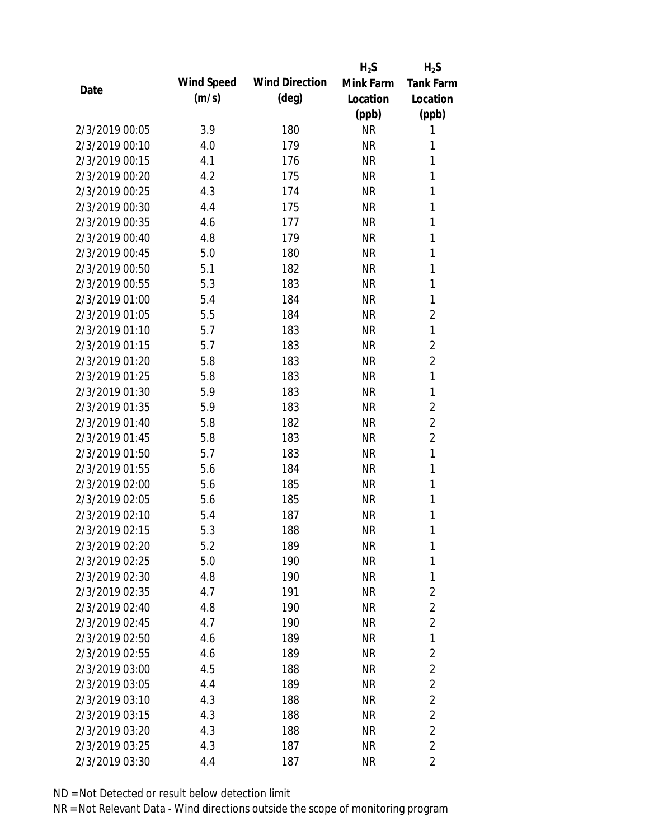|                |            |                       | $H_2S$    | $H_2S$           |
|----------------|------------|-----------------------|-----------|------------------|
| Date           | Wind Speed | <b>Wind Direction</b> | Mink Farm | <b>Tank Farm</b> |
|                | (m/s)      | $(\text{deg})$        | Location  | Location         |
|                |            |                       | (ppb)     | (ppb)            |
| 2/3/2019 00:05 | 3.9        | 180                   | <b>NR</b> | 1                |
| 2/3/2019 00:10 | 4.0        | 179                   | <b>NR</b> | 1                |
| 2/3/2019 00:15 | 4.1        | 176                   | <b>NR</b> | 1                |
| 2/3/2019 00:20 | 4.2        | 175                   | <b>NR</b> | 1                |
| 2/3/2019 00:25 | 4.3        | 174                   | <b>NR</b> | 1                |
| 2/3/2019 00:30 | 4.4        | 175                   | <b>NR</b> | 1                |
| 2/3/2019 00:35 | 4.6        | 177                   | <b>NR</b> | 1                |
| 2/3/2019 00:40 | 4.8        | 179                   | <b>NR</b> | 1                |
| 2/3/2019 00:45 | 5.0        | 180                   | <b>NR</b> | 1                |
| 2/3/2019 00:50 | 5.1        | 182                   | <b>NR</b> | 1                |
| 2/3/2019 00:55 | 5.3        | 183                   | <b>NR</b> | 1                |
| 2/3/2019 01:00 | 5.4        | 184                   | <b>NR</b> | 1                |
| 2/3/2019 01:05 | 5.5        | 184                   | <b>NR</b> | $\overline{2}$   |
| 2/3/2019 01:10 | 5.7        | 183                   | <b>NR</b> | 1                |
| 2/3/2019 01:15 | 5.7        | 183                   | <b>NR</b> | $\overline{2}$   |
| 2/3/2019 01:20 | 5.8        | 183                   | <b>NR</b> | $\overline{2}$   |
| 2/3/2019 01:25 | 5.8        | 183                   | <b>NR</b> | 1                |
| 2/3/2019 01:30 | 5.9        | 183                   | <b>NR</b> | 1                |
| 2/3/2019 01:35 | 5.9        | 183                   | <b>NR</b> | $\overline{2}$   |
| 2/3/2019 01:40 | 5.8        | 182                   | <b>NR</b> | $\overline{2}$   |
| 2/3/2019 01:45 | 5.8        | 183                   | <b>NR</b> | $\overline{2}$   |
| 2/3/2019 01:50 | 5.7        | 183                   | <b>NR</b> | 1                |
| 2/3/2019 01:55 | 5.6        | 184                   | <b>NR</b> | 1                |
| 2/3/2019 02:00 | 5.6        | 185                   | <b>NR</b> | 1                |
| 2/3/2019 02:05 | 5.6        | 185                   | <b>NR</b> | 1                |
| 2/3/2019 02:10 | 5.4        | 187                   | <b>NR</b> | 1                |
| 2/3/2019 02:15 | 5.3        | 188                   | <b>NR</b> | 1                |
| 2/3/2019 02:20 | 5.2        | 189                   | <b>NR</b> | 1                |
| 2/3/2019 02:25 | 5.0        | 190                   | <b>NR</b> | 1                |
| 2/3/2019 02:30 | 4.8        | 190                   | <b>NR</b> | 1                |
| 2/3/2019 02:35 | 4.7        | 191                   | <b>NR</b> | $\overline{2}$   |
| 2/3/2019 02:40 | 4.8        | 190                   | <b>NR</b> | $\overline{2}$   |
| 2/3/2019 02:45 | 4.7        | 190                   | <b>NR</b> | $\overline{2}$   |
| 2/3/2019 02:50 | 4.6        | 189                   | <b>NR</b> | 1                |
| 2/3/2019 02:55 | 4.6        | 189                   | <b>NR</b> | $\overline{2}$   |
| 2/3/2019 03:00 | 4.5        | 188                   | <b>NR</b> | $\overline{2}$   |
| 2/3/2019 03:05 | 4.4        | 189                   | NR        | $\overline{2}$   |
| 2/3/2019 03:10 | 4.3        | 188                   | <b>NR</b> | $\overline{2}$   |
| 2/3/2019 03:15 | 4.3        | 188                   | <b>NR</b> | $\overline{2}$   |
| 2/3/2019 03:20 | 4.3        | 188                   | <b>NR</b> | $\overline{2}$   |
| 2/3/2019 03:25 | 4.3        | 187                   | <b>NR</b> | $\overline{2}$   |
| 2/3/2019 03:30 | 4.4        | 187                   | <b>NR</b> | $\overline{2}$   |
|                |            |                       |           |                  |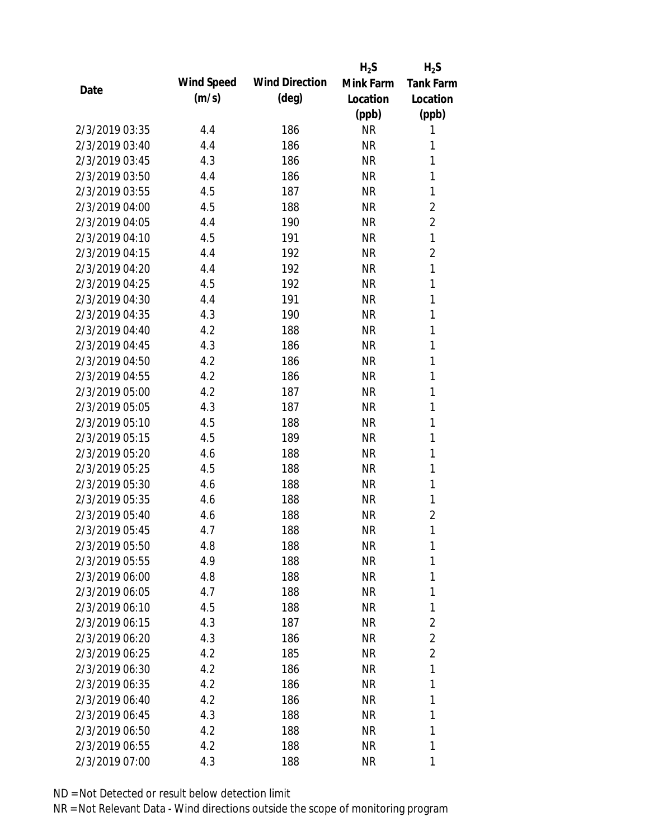|                |            |                       | $H_2S$    | $H_2S$           |
|----------------|------------|-----------------------|-----------|------------------|
|                | Wind Speed | <b>Wind Direction</b> | Mink Farm | <b>Tank Farm</b> |
| Date           | (m/s)      | $(\text{deg})$        | Location  | Location         |
|                |            |                       | (ppb)     | (ppb)            |
| 2/3/2019 03:35 | 4.4        | 186                   | <b>NR</b> | 1                |
| 2/3/2019 03:40 | 4.4        | 186                   | <b>NR</b> | 1                |
| 2/3/2019 03:45 | 4.3        | 186                   | <b>NR</b> | 1                |
| 2/3/2019 03:50 | 4.4        | 186                   | <b>NR</b> | $\mathbf{1}$     |
| 2/3/2019 03:55 | 4.5        | 187                   | <b>NR</b> | 1                |
| 2/3/2019 04:00 | 4.5        | 188                   | <b>NR</b> | 2                |
| 2/3/2019 04:05 | 4.4        | 190                   | <b>NR</b> | $\overline{2}$   |
| 2/3/2019 04:10 | 4.5        | 191                   | <b>NR</b> | 1                |
| 2/3/2019 04:15 | 4.4        | 192                   | <b>NR</b> | $\overline{2}$   |
| 2/3/2019 04:20 | 4.4        | 192                   | <b>NR</b> | $\mathbf{1}$     |
| 2/3/2019 04:25 | 4.5        | 192                   | <b>NR</b> | $\mathbf{1}$     |
| 2/3/2019 04:30 | 4.4        | 191                   | <b>NR</b> | 1                |
| 2/3/2019 04:35 | 4.3        | 190                   | <b>NR</b> | 1                |
| 2/3/2019 04:40 | 4.2        | 188                   | <b>NR</b> | 1                |
| 2/3/2019 04:45 | 4.3        | 186                   | <b>NR</b> | 1                |
| 2/3/2019 04:50 | 4.2        | 186                   | <b>NR</b> | 1                |
| 2/3/2019 04:55 | 4.2        | 186                   | <b>NR</b> | 1                |
| 2/3/2019 05:00 | 4.2        | 187                   | <b>NR</b> | $\mathbf{1}$     |
| 2/3/2019 05:05 | 4.3        | 187                   | <b>NR</b> | 1                |
| 2/3/2019 05:10 | 4.5        | 188                   | <b>NR</b> | 1                |
| 2/3/2019 05:15 | 4.5        | 189                   | <b>NR</b> | 1                |
| 2/3/2019 05:20 | 4.6        | 188                   | <b>NR</b> | 1                |
| 2/3/2019 05:25 | 4.5        | 188                   | <b>NR</b> | $\mathbf{1}$     |
| 2/3/2019 05:30 | 4.6        | 188                   | <b>NR</b> | 1                |
| 2/3/2019 05:35 | 4.6        | 188                   | <b>NR</b> | 1                |
| 2/3/2019 05:40 | 4.6        | 188                   | <b>NR</b> | $\overline{2}$   |
| 2/3/2019 05:45 | 4.7        | 188                   | <b>NR</b> | 1                |
| 2/3/2019 05:50 | 4.8        | 188                   | <b>NR</b> | 1                |
| 2/3/2019 05:55 | 4.9        | 188                   | <b>NR</b> | 1                |
| 2/3/2019 06:00 | 4.8        | 188                   | <b>NR</b> | 1                |
| 2/3/2019 06:05 | 4.7        | 188                   | <b>NR</b> | 1                |
| 2/3/2019 06:10 | 4.5        | 188                   | <b>NR</b> | 1                |
| 2/3/2019 06:15 | 4.3        | 187                   | <b>NR</b> | $\overline{2}$   |
| 2/3/2019 06:20 | 4.3        | 186                   | <b>NR</b> | $\overline{2}$   |
| 2/3/2019 06:25 | 4.2        | 185                   | <b>NR</b> | $\overline{2}$   |
| 2/3/2019 06:30 | 4.2        | 186                   | <b>NR</b> | 1                |
| 2/3/2019 06:35 | 4.2        | 186                   | <b>NR</b> | 1                |
| 2/3/2019 06:40 | 4.2        | 186                   | <b>NR</b> | 1                |
| 2/3/2019 06:45 | 4.3        | 188                   | <b>NR</b> | 1                |
| 2/3/2019 06:50 | 4.2        | 188                   | <b>NR</b> | 1                |
| 2/3/2019 06:55 | 4.2        | 188                   | <b>NR</b> | 1                |
| 2/3/2019 07:00 | 4.3        | 188                   | <b>NR</b> | 1                |
|                |            |                       |           |                  |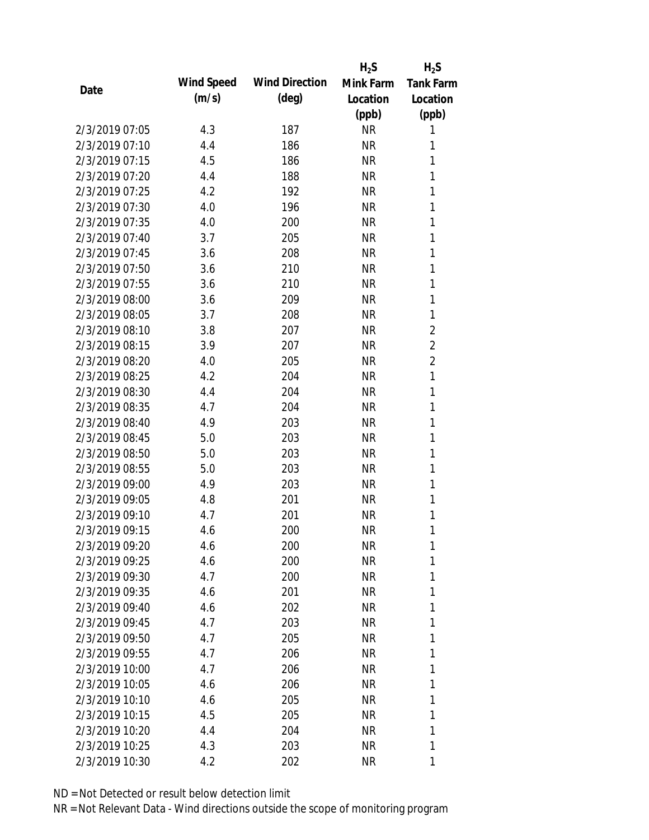|                |            |                       | $H_2S$    | $H_2S$           |
|----------------|------------|-----------------------|-----------|------------------|
|                | Wind Speed | <b>Wind Direction</b> | Mink Farm | <b>Tank Farm</b> |
| Date           | (m/s)      | $(\text{deg})$        | Location  | Location         |
|                |            |                       | (ppb)     | (ppb)            |
| 2/3/2019 07:05 | 4.3        | 187                   | <b>NR</b> | 1                |
| 2/3/2019 07:10 | 4.4        | 186                   | <b>NR</b> | 1                |
| 2/3/2019 07:15 | 4.5        | 186                   | <b>NR</b> | 1                |
| 2/3/2019 07:20 | 4.4        | 188                   | <b>NR</b> | 1                |
| 2/3/2019 07:25 | 4.2        | 192                   | <b>NR</b> | 1                |
| 2/3/2019 07:30 | 4.0        | 196                   | <b>NR</b> | 1                |
| 2/3/2019 07:35 | 4.0        | 200                   | <b>NR</b> | 1                |
| 2/3/2019 07:40 | 3.7        | 205                   | <b>NR</b> | 1                |
| 2/3/2019 07:45 | 3.6        | 208                   | <b>NR</b> | 1                |
| 2/3/2019 07:50 | 3.6        | 210                   | <b>NR</b> | 1                |
| 2/3/2019 07:55 | 3.6        | 210                   | <b>NR</b> | 1                |
| 2/3/2019 08:00 | 3.6        | 209                   | <b>NR</b> | 1                |
| 2/3/2019 08:05 | 3.7        | 208                   | <b>NR</b> | 1                |
| 2/3/2019 08:10 | 3.8        | 207                   | <b>NR</b> | $\overline{2}$   |
| 2/3/2019 08:15 | 3.9        | 207                   | <b>NR</b> | $\overline{2}$   |
| 2/3/2019 08:20 | 4.0        | 205                   | <b>NR</b> | $\overline{2}$   |
| 2/3/2019 08:25 | 4.2        | 204                   | <b>NR</b> | 1                |
| 2/3/2019 08:30 | 4.4        | 204                   | <b>NR</b> | 1                |
| 2/3/2019 08:35 | 4.7        | 204                   | <b>NR</b> | 1                |
| 2/3/2019 08:40 | 4.9        | 203                   | <b>NR</b> | 1                |
| 2/3/2019 08:45 | 5.0        | 203                   | <b>NR</b> | 1                |
| 2/3/2019 08:50 | 5.0        | 203                   | <b>NR</b> | 1                |
| 2/3/2019 08:55 | 5.0        | 203                   | <b>NR</b> | 1                |
| 2/3/2019 09:00 | 4.9        | 203                   | <b>NR</b> | 1                |
| 2/3/2019 09:05 | 4.8        | 201                   | <b>NR</b> | 1                |
| 2/3/2019 09:10 | 4.7        | 201                   | <b>NR</b> | 1                |
| 2/3/2019 09:15 | 4.6        | 200                   | <b>NR</b> | 1                |
| 2/3/2019 09:20 | 4.6        | 200                   | <b>NR</b> | 1                |
| 2/3/2019 09:25 | 4.6        | 200                   | <b>NR</b> | 1                |
| 2/3/2019 09:30 | 4.7        | 200                   | <b>NR</b> | 1                |
| 2/3/2019 09:35 | 4.6        | 201                   | <b>NR</b> | 1                |
| 2/3/2019 09:40 | 4.6        | 202                   | <b>NR</b> | 1                |
| 2/3/2019 09:45 | 4.7        | 203                   | <b>NR</b> | 1                |
| 2/3/2019 09:50 | 4.7        | 205                   | <b>NR</b> | 1                |
| 2/3/2019 09:55 | 4.7        | 206                   | <b>NR</b> | 1                |
| 2/3/2019 10:00 | 4.7        | 206                   | <b>NR</b> | 1                |
| 2/3/2019 10:05 | 4.6        | 206                   | <b>NR</b> | 1                |
| 2/3/2019 10:10 | 4.6        | 205                   | NR        | 1                |
| 2/3/2019 10:15 | 4.5        | 205                   | <b>NR</b> | 1                |
| 2/3/2019 10:20 | 4.4        | 204                   | <b>NR</b> | 1                |
| 2/3/2019 10:25 | 4.3        | 203                   | <b>NR</b> | 1                |
| 2/3/2019 10:30 | 4.2        | 202                   | <b>NR</b> | 1                |
|                |            |                       |           |                  |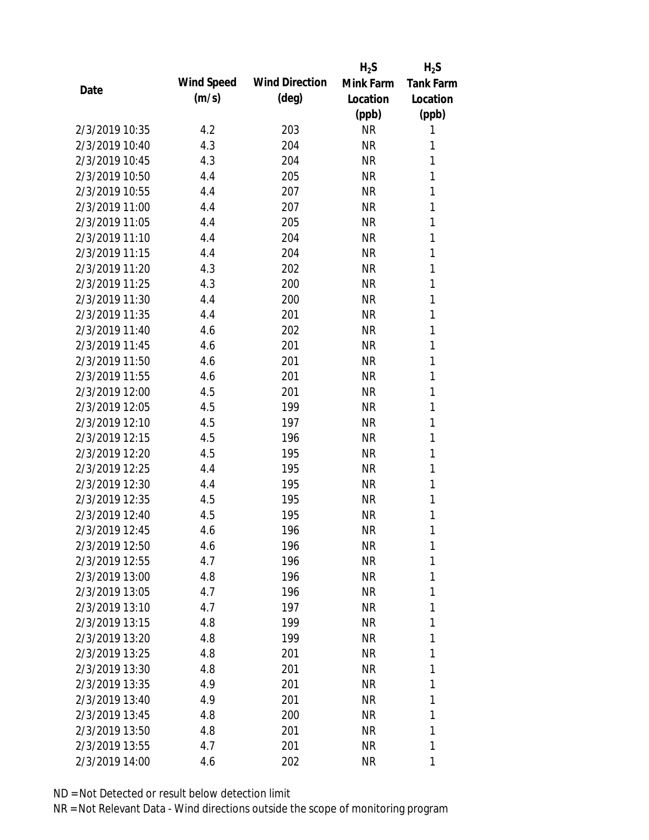|                |            |                       | $H_2S$    | $H_2S$           |
|----------------|------------|-----------------------|-----------|------------------|
| Date           | Wind Speed | <b>Wind Direction</b> | Mink Farm | <b>Tank Farm</b> |
|                | (m/s)      | $(\text{deg})$        | Location  | Location         |
|                |            |                       | (ppb)     | (ppb)            |
| 2/3/2019 10:35 | 4.2        | 203                   | <b>NR</b> | 1                |
| 2/3/2019 10:40 | 4.3        | 204                   | <b>NR</b> | 1                |
| 2/3/2019 10:45 | 4.3        | 204                   | <b>NR</b> | 1                |
| 2/3/2019 10:50 | 4.4        | 205                   | <b>NR</b> | 1                |
| 2/3/2019 10:55 | 4.4        | 207                   | <b>NR</b> | 1                |
| 2/3/2019 11:00 | 4.4        | 207                   | <b>NR</b> | 1                |
| 2/3/2019 11:05 | 4.4        | 205                   | <b>NR</b> | 1                |
| 2/3/2019 11:10 | 4.4        | 204                   | <b>NR</b> | 1                |
| 2/3/2019 11:15 | 4.4        | 204                   | <b>NR</b> | 1                |
| 2/3/2019 11:20 | 4.3        | 202                   | <b>NR</b> | 1                |
| 2/3/2019 11:25 | 4.3        | 200                   | <b>NR</b> | 1                |
| 2/3/2019 11:30 | 4.4        | 200                   | <b>NR</b> | 1                |
| 2/3/2019 11:35 | 4.4        | 201                   | <b>NR</b> | 1                |
| 2/3/2019 11:40 | 4.6        | 202                   | <b>NR</b> | 1                |
| 2/3/2019 11:45 | 4.6        | 201                   | <b>NR</b> | 1                |
| 2/3/2019 11:50 | 4.6        | 201                   | <b>NR</b> | 1                |
| 2/3/2019 11:55 | 4.6        | 201                   | <b>NR</b> | 1                |
| 2/3/2019 12:00 | 4.5        | 201                   | <b>NR</b> | 1                |
| 2/3/2019 12:05 | 4.5        | 199                   | <b>NR</b> | 1                |
| 2/3/2019 12:10 | 4.5        | 197                   | <b>NR</b> | 1                |
| 2/3/2019 12:15 | 4.5        | 196                   | <b>NR</b> | 1                |
| 2/3/2019 12:20 | 4.5        | 195                   | <b>NR</b> | 1                |
| 2/3/2019 12:25 | 4.4        | 195                   | <b>NR</b> | 1                |
| 2/3/2019 12:30 | 4.4        | 195                   | <b>NR</b> | 1                |
| 2/3/2019 12:35 | 4.5        | 195                   | <b>NR</b> | 1                |
| 2/3/2019 12:40 | 4.5        | 195                   | <b>NR</b> | 1                |
| 2/3/2019 12:45 | 4.6        | 196                   | <b>NR</b> | 1                |
| 2/3/2019 12:50 | 4.6        | 196                   | <b>NR</b> | 1                |
| 2/3/2019 12:55 | 4.7        | 196                   | <b>NR</b> | 1                |
| 2/3/2019 13:00 | 4.8        | 196                   | <b>NR</b> | 1                |
| 2/3/2019 13:05 | 4.7        | 196                   | <b>NR</b> | 1                |
| 2/3/2019 13:10 | 4.7        | 197                   | <b>NR</b> | 1                |
| 2/3/2019 13:15 | 4.8        | 199                   | <b>NR</b> | 1                |
| 2/3/2019 13:20 | 4.8        | 199                   | <b>NR</b> | 1                |
| 2/3/2019 13:25 | 4.8        | 201                   | <b>NR</b> | 1                |
| 2/3/2019 13:30 | 4.8        | 201                   | <b>NR</b> | 1                |
| 2/3/2019 13:35 | 4.9        | 201                   | <b>NR</b> | 1                |
| 2/3/2019 13:40 | 4.9        | 201                   | NR        | 1                |
| 2/3/2019 13:45 | 4.8        | 200                   | <b>NR</b> | 1                |
| 2/3/2019 13:50 | 4.8        | 201                   | <b>NR</b> | 1                |
| 2/3/2019 13:55 | 4.7        | 201                   | <b>NR</b> | 1                |
| 2/3/2019 14:00 | 4.6        | 202                   | <b>NR</b> | 1                |
|                |            |                       |           |                  |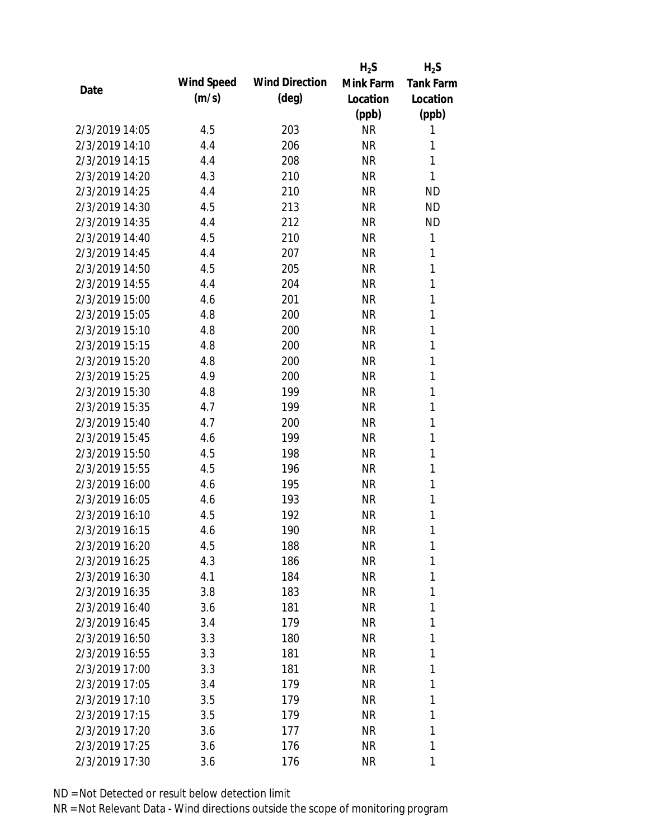|                |            |                       | $H_2S$    | $H_2S$           |
|----------------|------------|-----------------------|-----------|------------------|
| Date           | Wind Speed | <b>Wind Direction</b> | Mink Farm | <b>Tank Farm</b> |
|                | (m/s)      | $(\text{deg})$        | Location  | Location         |
|                |            |                       | (ppb)     | (ppb)            |
| 2/3/2019 14:05 | 4.5        | 203                   | <b>NR</b> | 1                |
| 2/3/2019 14:10 | 4.4        | 206                   | <b>NR</b> | 1                |
| 2/3/2019 14:15 | 4.4        | 208                   | <b>NR</b> | 1                |
| 2/3/2019 14:20 | 4.3        | 210                   | <b>NR</b> | 1                |
| 2/3/2019 14:25 | 4.4        | 210                   | <b>NR</b> | <b>ND</b>        |
| 2/3/2019 14:30 | 4.5        | 213                   | <b>NR</b> | <b>ND</b>        |
| 2/3/2019 14:35 | 4.4        | 212                   | <b>NR</b> | <b>ND</b>        |
| 2/3/2019 14:40 | 4.5        | 210                   | <b>NR</b> | 1                |
| 2/3/2019 14:45 | 4.4        | 207                   | <b>NR</b> | 1                |
| 2/3/2019 14:50 | 4.5        | 205                   | <b>NR</b> | 1                |
| 2/3/2019 14:55 | 4.4        | 204                   | <b>NR</b> | 1                |
| 2/3/2019 15:00 | 4.6        | 201                   | <b>NR</b> | 1                |
| 2/3/2019 15:05 | 4.8        | 200                   | <b>NR</b> | 1                |
| 2/3/2019 15:10 | 4.8        | 200                   | <b>NR</b> | 1                |
| 2/3/2019 15:15 | 4.8        | 200                   | <b>NR</b> | 1                |
| 2/3/2019 15:20 | 4.8        | 200                   | <b>NR</b> | 1                |
| 2/3/2019 15:25 | 4.9        | 200                   | <b>NR</b> | 1                |
| 2/3/2019 15:30 | 4.8        | 199                   | <b>NR</b> | $\mathbf{1}$     |
| 2/3/2019 15:35 | 4.7        | 199                   | <b>NR</b> | 1                |
| 2/3/2019 15:40 | 4.7        | 200                   | <b>NR</b> | 1                |
| 2/3/2019 15:45 | 4.6        | 199                   | <b>NR</b> | 1                |
| 2/3/2019 15:50 | 4.5        | 198                   | <b>NR</b> | 1                |
| 2/3/2019 15:55 | 4.5        | 196                   | <b>NR</b> | 1                |
| 2/3/2019 16:00 | 4.6        | 195                   | <b>NR</b> | 1                |
| 2/3/2019 16:05 | 4.6        | 193                   | <b>NR</b> | 1                |
| 2/3/2019 16:10 | 4.5        | 192                   | <b>NR</b> | 1                |
| 2/3/2019 16:15 | 4.6        | 190                   | <b>NR</b> | 1                |
| 2/3/2019 16:20 | 4.5        | 188                   | <b>NR</b> | 1                |
| 2/3/2019 16:25 | 4.3        | 186                   | <b>NR</b> | 1                |
| 2/3/2019 16:30 | 4.1        | 184                   | <b>NR</b> | 1                |
| 2/3/2019 16:35 | 3.8        | 183                   | <b>NR</b> | 1                |
| 2/3/2019 16:40 | 3.6        | 181                   | <b>NR</b> | 1                |
| 2/3/2019 16:45 | 3.4        | 179                   | <b>NR</b> | 1                |
| 2/3/2019 16:50 | 3.3        | 180                   | <b>NR</b> | 1                |
| 2/3/2019 16:55 | 3.3        | 181                   | <b>NR</b> | 1                |
| 2/3/2019 17:00 | 3.3        | 181                   | <b>NR</b> | 1                |
| 2/3/2019 17:05 | 3.4        | 179                   | <b>NR</b> | 1                |
| 2/3/2019 17:10 | 3.5        | 179                   | NR        | 1                |
| 2/3/2019 17:15 | 3.5        | 179                   | <b>NR</b> | 1                |
| 2/3/2019 17:20 | 3.6        | 177                   | <b>NR</b> | 1                |
| 2/3/2019 17:25 | 3.6        | 176                   | <b>NR</b> | 1                |
| 2/3/2019 17:30 | 3.6        | 176                   | <b>NR</b> | 1                |
|                |            |                       |           |                  |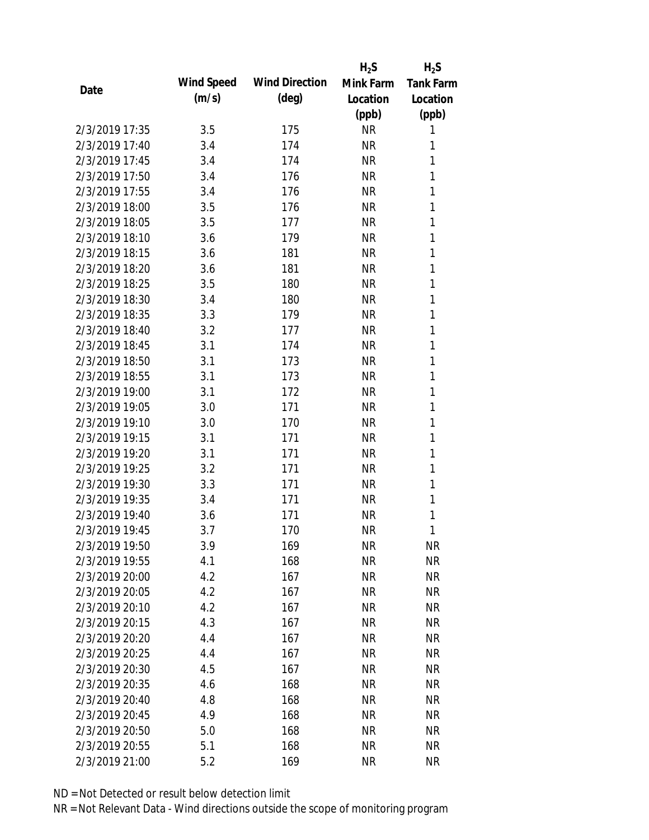|                |            |                       | $H_2S$    | $H_2S$           |
|----------------|------------|-----------------------|-----------|------------------|
| Date           | Wind Speed | <b>Wind Direction</b> | Mink Farm | <b>Tank Farm</b> |
|                | (m/s)      | $(\text{deg})$        | Location  | Location         |
|                |            |                       | (ppb)     | (ppb)            |
| 2/3/2019 17:35 | 3.5        | 175                   | <b>NR</b> | 1                |
| 2/3/2019 17:40 | 3.4        | 174                   | <b>NR</b> | 1                |
| 2/3/2019 17:45 | 3.4        | 174                   | <b>NR</b> | 1                |
| 2/3/2019 17:50 | 3.4        | 176                   | <b>NR</b> | 1                |
| 2/3/2019 17:55 | 3.4        | 176                   | <b>NR</b> | 1                |
| 2/3/2019 18:00 | 3.5        | 176                   | <b>NR</b> | 1                |
| 2/3/2019 18:05 | 3.5        | 177                   | <b>NR</b> | 1                |
| 2/3/2019 18:10 | 3.6        | 179                   | <b>NR</b> | 1                |
| 2/3/2019 18:15 | 3.6        | 181                   | <b>NR</b> | 1                |
| 2/3/2019 18:20 | 3.6        | 181                   | <b>NR</b> | 1                |
| 2/3/2019 18:25 | 3.5        | 180                   | <b>NR</b> | 1                |
| 2/3/2019 18:30 | 3.4        | 180                   | <b>NR</b> | 1                |
| 2/3/2019 18:35 | 3.3        | 179                   | <b>NR</b> | 1                |
| 2/3/2019 18:40 | 3.2        | 177                   | <b>NR</b> | 1                |
| 2/3/2019 18:45 | 3.1        | 174                   | <b>NR</b> | 1                |
| 2/3/2019 18:50 | 3.1        | 173                   | <b>NR</b> | 1                |
| 2/3/2019 18:55 | 3.1        | 173                   | <b>NR</b> | 1                |
| 2/3/2019 19:00 | 3.1        | 172                   | <b>NR</b> | 1                |
| 2/3/2019 19:05 | 3.0        | 171                   | <b>NR</b> | 1                |
| 2/3/2019 19:10 | 3.0        | 170                   | <b>NR</b> | 1                |
| 2/3/2019 19:15 | 3.1        | 171                   | <b>NR</b> | 1                |
| 2/3/2019 19:20 | 3.1        | 171                   | <b>NR</b> | 1                |
| 2/3/2019 19:25 | 3.2        | 171                   | <b>NR</b> | 1                |
| 2/3/2019 19:30 | 3.3        | 171                   | <b>NR</b> | 1                |
| 2/3/2019 19:35 | 3.4        | 171                   | <b>NR</b> | 1                |
| 2/3/2019 19:40 | 3.6        | 171                   | <b>NR</b> | 1                |
| 2/3/2019 19:45 | 3.7        | 170                   | <b>NR</b> | 1                |
| 2/3/2019 19:50 | 3.9        | 169                   | <b>NR</b> | <b>NR</b>        |
| 2/3/2019 19:55 | 4.1        | 168                   | <b>NR</b> | <b>NR</b>        |
| 2/3/2019 20:00 | 4.2        | 167                   | <b>NR</b> | <b>NR</b>        |
| 2/3/2019 20:05 | 4.2        | 167                   | <b>NR</b> | <b>NR</b>        |
| 2/3/2019 20:10 | 4.2        | 167                   | <b>NR</b> | <b>NR</b>        |
| 2/3/2019 20:15 | 4.3        | 167                   | <b>NR</b> | <b>NR</b>        |
| 2/3/2019 20:20 | 4.4        | 167                   | <b>NR</b> | <b>NR</b>        |
| 2/3/2019 20:25 | 4.4        | 167                   | <b>NR</b> | <b>NR</b>        |
| 2/3/2019 20:30 | 4.5        | 167                   | <b>NR</b> | <b>NR</b>        |
| 2/3/2019 20:35 | 4.6        | 168                   | <b>NR</b> | <b>NR</b>        |
| 2/3/2019 20:40 | 4.8        | 168                   | <b>NR</b> | <b>NR</b>        |
| 2/3/2019 20:45 | 4.9        | 168                   | <b>NR</b> | <b>NR</b>        |
| 2/3/2019 20:50 | 5.0        | 168                   | <b>NR</b> | <b>NR</b>        |
| 2/3/2019 20:55 | 5.1        | 168                   | <b>NR</b> | <b>NR</b>        |
| 2/3/2019 21:00 | 5.2        | 169                   | <b>NR</b> | <b>NR</b>        |
|                |            |                       |           |                  |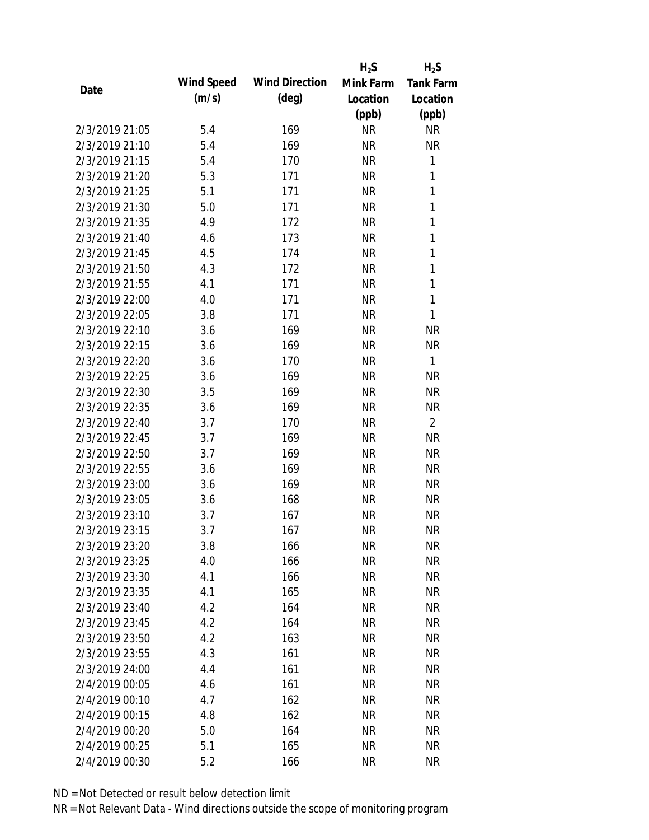|                |            |                       | $H_2S$    | $H_2S$           |
|----------------|------------|-----------------------|-----------|------------------|
|                | Wind Speed | <b>Wind Direction</b> | Mink Farm | <b>Tank Farm</b> |
| Date           | (m/s)      | $(\text{deg})$        | Location  | Location         |
|                |            |                       | (ppb)     | (ppb)            |
| 2/3/2019 21:05 | 5.4        | 169                   | <b>NR</b> | <b>NR</b>        |
| 2/3/2019 21:10 | 5.4        | 169                   | <b>NR</b> | <b>NR</b>        |
| 2/3/2019 21:15 | 5.4        | 170                   | <b>NR</b> | 1                |
| 2/3/2019 21:20 | 5.3        | 171                   | <b>NR</b> | 1                |
| 2/3/2019 21:25 | 5.1        | 171                   | <b>NR</b> | $\mathbf{1}$     |
| 2/3/2019 21:30 | 5.0        | 171                   | <b>NR</b> | 1                |
| 2/3/2019 21:35 | 4.9        | 172                   | <b>NR</b> | 1                |
| 2/3/2019 21:40 | 4.6        | 173                   | <b>NR</b> | $\mathbf{1}$     |
| 2/3/2019 21:45 | 4.5        | 174                   | <b>NR</b> | $\mathbf{1}$     |
| 2/3/2019 21:50 | 4.3        | 172                   | <b>NR</b> | $\mathbf{1}$     |
| 2/3/2019 21:55 | 4.1        | 171                   | <b>NR</b> | 1                |
| 2/3/2019 22:00 | 4.0        | 171                   | <b>NR</b> | 1                |
| 2/3/2019 22:05 | 3.8        | 171                   | <b>NR</b> | 1                |
| 2/3/2019 22:10 | 3.6        | 169                   | <b>NR</b> | <b>NR</b>        |
| 2/3/2019 22:15 | 3.6        | 169                   | <b>NR</b> | <b>NR</b>        |
| 2/3/2019 22:20 | 3.6        | 170                   | <b>NR</b> | $\mathbf{1}$     |
| 2/3/2019 22:25 | 3.6        | 169                   | <b>NR</b> | <b>NR</b>        |
| 2/3/2019 22:30 | 3.5        | 169                   | <b>NR</b> | <b>NR</b>        |
| 2/3/2019 22:35 | 3.6        | 169                   | <b>NR</b> | <b>NR</b>        |
| 2/3/2019 22:40 | 3.7        | 170                   | <b>NR</b> | $\overline{2}$   |
| 2/3/2019 22:45 | 3.7        | 169                   | <b>NR</b> | <b>NR</b>        |
| 2/3/2019 22:50 | 3.7        | 169                   | <b>NR</b> | <b>NR</b>        |
| 2/3/2019 22:55 | 3.6        | 169                   | <b>NR</b> | <b>NR</b>        |
| 2/3/2019 23:00 | 3.6        | 169                   | <b>NR</b> | <b>NR</b>        |
| 2/3/2019 23:05 | 3.6        | 168                   | <b>NR</b> | <b>NR</b>        |
| 2/3/2019 23:10 | 3.7        | 167                   | <b>NR</b> | <b>NR</b>        |
| 2/3/2019 23:15 | 3.7        | 167                   | <b>NR</b> | <b>NR</b>        |
| 2/3/2019 23:20 | 3.8        | 166                   | <b>NR</b> | <b>NR</b>        |
| 2/3/2019 23:25 | 4.0        | 166                   | <b>NR</b> | <b>NR</b>        |
| 2/3/2019 23:30 | 4.1        | 166                   | <b>NR</b> | <b>NR</b>        |
| 2/3/2019 23:35 | 4.1        | 165                   | <b>NR</b> | <b>NR</b>        |
| 2/3/2019 23:40 | 4.2        | 164                   | <b>NR</b> | <b>NR</b>        |
| 2/3/2019 23:45 | 4.2        | 164                   | <b>NR</b> | <b>NR</b>        |
| 2/3/2019 23:50 | 4.2        | 163                   | <b>NR</b> | <b>NR</b>        |
| 2/3/2019 23:55 | 4.3        | 161                   | <b>NR</b> | <b>NR</b>        |
| 2/3/2019 24:00 | 4.4        | 161                   | <b>NR</b> | <b>NR</b>        |
| 2/4/2019 00:05 | 4.6        | 161                   | <b>NR</b> | <b>NR</b>        |
| 2/4/2019 00:10 | 4.7        | 162                   | <b>NR</b> | <b>NR</b>        |
| 2/4/2019 00:15 | 4.8        | 162                   | <b>NR</b> | <b>NR</b>        |
| 2/4/2019 00:20 | 5.0        | 164                   | NR        | NR               |
| 2/4/2019 00:25 | 5.1        | 165                   | <b>NR</b> | <b>NR</b>        |
| 2/4/2019 00:30 | 5.2        | 166                   | <b>NR</b> | <b>NR</b>        |
|                |            |                       |           |                  |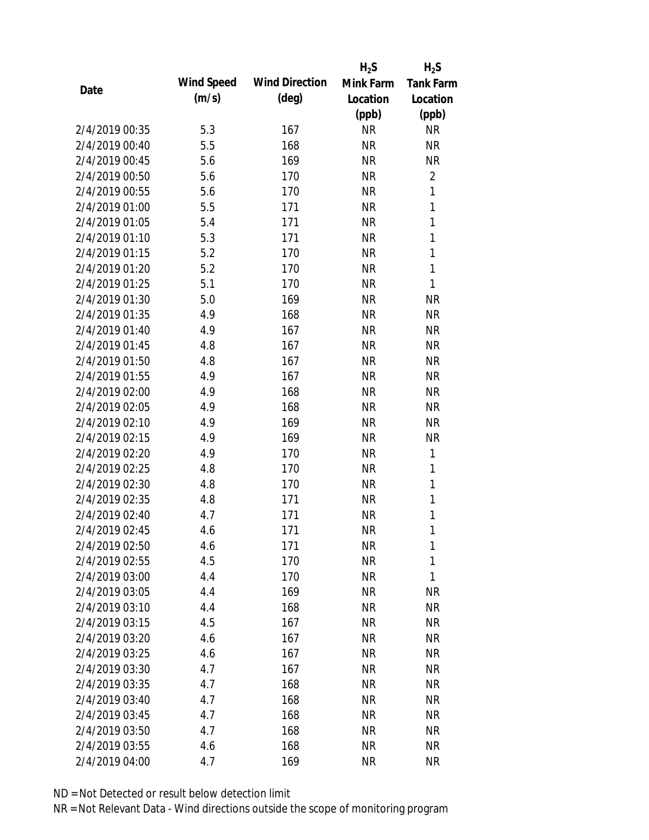|                |            |                       | $H_2S$    | $H_2S$           |
|----------------|------------|-----------------------|-----------|------------------|
| Date           | Wind Speed | <b>Wind Direction</b> | Mink Farm | <b>Tank Farm</b> |
|                | (m/s)      | $(\text{deg})$        | Location  | Location         |
|                |            |                       | (ppb)     | (ppb)            |
| 2/4/2019 00:35 | 5.3        | 167                   | <b>NR</b> | <b>NR</b>        |
| 2/4/2019 00:40 | 5.5        | 168                   | <b>NR</b> | <b>NR</b>        |
| 2/4/2019 00:45 | 5.6        | 169                   | <b>NR</b> | <b>NR</b>        |
| 2/4/2019 00:50 | 5.6        | 170                   | <b>NR</b> | $\overline{2}$   |
| 2/4/2019 00:55 | 5.6        | 170                   | <b>NR</b> | 1                |
| 2/4/2019 01:00 | 5.5        | 171                   | <b>NR</b> | 1                |
| 2/4/2019 01:05 | 5.4        | 171                   | <b>NR</b> | $\mathbf{1}$     |
| 2/4/2019 01:10 | 5.3        | 171                   | <b>NR</b> | $\mathbf{1}$     |
| 2/4/2019 01:15 | 5.2        | 170                   | <b>NR</b> | $\mathbf{1}$     |
| 2/4/2019 01:20 | 5.2        | 170                   | <b>NR</b> | $\mathbf{1}$     |
| 2/4/2019 01:25 | 5.1        | 170                   | <b>NR</b> | 1                |
| 2/4/2019 01:30 | 5.0        | 169                   | <b>NR</b> | <b>NR</b>        |
| 2/4/2019 01:35 | 4.9        | 168                   | <b>NR</b> | <b>NR</b>        |
| 2/4/2019 01:40 | 4.9        | 167                   | <b>NR</b> | <b>NR</b>        |
| 2/4/2019 01:45 | 4.8        | 167                   | <b>NR</b> | <b>NR</b>        |
| 2/4/2019 01:50 | 4.8        | 167                   | <b>NR</b> | <b>NR</b>        |
| 2/4/2019 01:55 | 4.9        | 167                   | <b>NR</b> | <b>NR</b>        |
| 2/4/2019 02:00 | 4.9        | 168                   | <b>NR</b> | <b>NR</b>        |
| 2/4/2019 02:05 | 4.9        | 168                   | <b>NR</b> | <b>NR</b>        |
| 2/4/2019 02:10 | 4.9        | 169                   | <b>NR</b> | <b>NR</b>        |
| 2/4/2019 02:15 | 4.9        | 169                   | <b>NR</b> | <b>NR</b>        |
| 2/4/2019 02:20 | 4.9        | 170                   | <b>NR</b> | 1                |
| 2/4/2019 02:25 | 4.8        | 170                   | <b>NR</b> | 1                |
| 2/4/2019 02:30 | 4.8        | 170                   | <b>NR</b> | $\mathbf{1}$     |
| 2/4/2019 02:35 | 4.8        | 171                   | <b>NR</b> | 1                |
| 2/4/2019 02:40 | 4.7        | 171                   | <b>NR</b> | 1                |
| 2/4/2019 02:45 | 4.6        | 171                   | <b>NR</b> | 1                |
| 2/4/2019 02:50 | 4.6        | 171                   | <b>NR</b> | 1                |
| 2/4/2019 02:55 | 4.5        | 170                   | <b>NR</b> | 1                |
| 2/4/2019 03:00 | 4.4        | 170                   | <b>NR</b> | 1                |
| 2/4/2019 03:05 | 4.4        | 169                   | <b>NR</b> | <b>NR</b>        |
| 2/4/2019 03:10 | 4.4        | 168                   | <b>NR</b> | <b>NR</b>        |
| 2/4/2019 03:15 | 4.5        | 167                   | <b>NR</b> | <b>NR</b>        |
| 2/4/2019 03:20 | 4.6        | 167                   | <b>NR</b> | <b>NR</b>        |
| 2/4/2019 03:25 | 4.6        | 167                   | <b>NR</b> | <b>NR</b>        |
| 2/4/2019 03:30 | 4.7        | 167                   | <b>NR</b> | <b>NR</b>        |
| 2/4/2019 03:35 | 4.7        | 168                   | <b>NR</b> | <b>NR</b>        |
| 2/4/2019 03:40 | 4.7        | 168                   | NR        | <b>NR</b>        |
| 2/4/2019 03:45 | 4.7        | 168                   | <b>NR</b> | <b>NR</b>        |
| 2/4/2019 03:50 | 4.7        | 168                   | <b>NR</b> | <b>NR</b>        |
| 2/4/2019 03:55 | 4.6        | 168                   | <b>NR</b> | <b>NR</b>        |
| 2/4/2019 04:00 | 4.7        | 169                   | <b>NR</b> | <b>NR</b>        |
|                |            |                       |           |                  |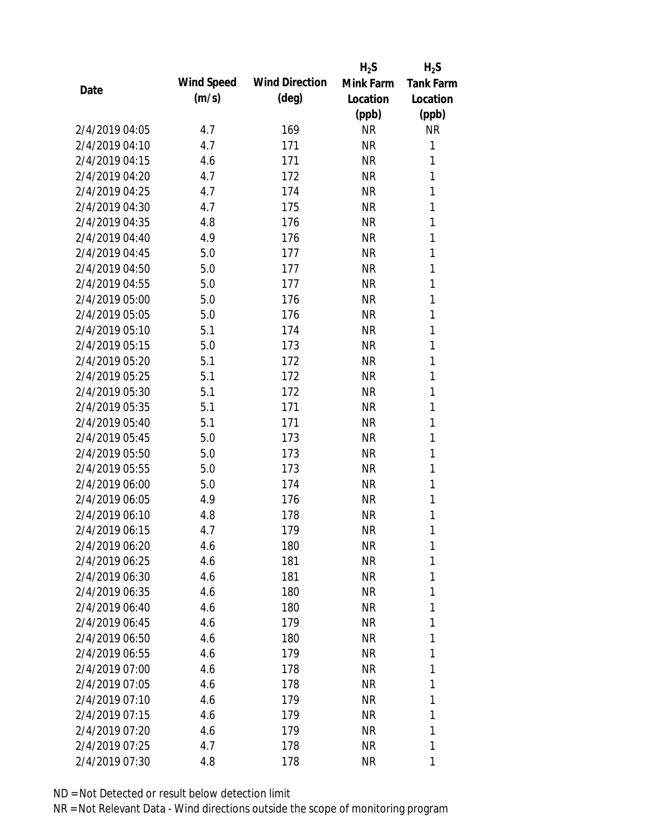|                |            |                       | $H_2S$    | $H_2S$           |
|----------------|------------|-----------------------|-----------|------------------|
| Date           | Wind Speed | <b>Wind Direction</b> | Mink Farm | <b>Tank Farm</b> |
|                | (m/s)      | $(\text{deg})$        | Location  | Location         |
|                |            |                       | (ppb)     | (ppb)            |
| 2/4/2019 04:05 | 4.7        | 169                   | <b>NR</b> | <b>NR</b>        |
| 2/4/2019 04:10 | 4.7        | 171                   | <b>NR</b> | 1                |
| 2/4/2019 04:15 | 4.6        | 171                   | <b>NR</b> | 1                |
| 2/4/2019 04:20 | 4.7        | 172                   | <b>NR</b> | 1                |
| 2/4/2019 04:25 | 4.7        | 174                   | <b>NR</b> | 1                |
| 2/4/2019 04:30 | 4.7        | 175                   | <b>NR</b> | 1                |
| 2/4/2019 04:35 | 4.8        | 176                   | <b>NR</b> | 1                |
| 2/4/2019 04:40 | 4.9        | 176                   | <b>NR</b> | 1                |
| 2/4/2019 04:45 | 5.0        | 177                   | <b>NR</b> | 1                |
| 2/4/2019 04:50 | 5.0        | 177                   | <b>NR</b> | 1                |
| 2/4/2019 04:55 | 5.0        | 177                   | <b>NR</b> | 1                |
| 2/4/2019 05:00 | 5.0        | 176                   | <b>NR</b> | $\mathbf{1}$     |
| 2/4/2019 05:05 | 5.0        | 176                   | <b>NR</b> | 1                |
| 2/4/2019 05:10 | 5.1        | 174                   | <b>NR</b> | 1                |
| 2/4/2019 05:15 | 5.0        | 173                   | <b>NR</b> | 1                |
| 2/4/2019 05:20 | 5.1        | 172                   | <b>NR</b> | 1                |
| 2/4/2019 05:25 | 5.1        | 172                   | <b>NR</b> | 1                |
| 2/4/2019 05:30 | 5.1        | 172                   | <b>NR</b> | 1                |
| 2/4/2019 05:35 | 5.1        | 171                   | <b>NR</b> | $\mathbf{1}$     |
| 2/4/2019 05:40 | 5.1        | 171                   | <b>NR</b> | 1                |
| 2/4/2019 05:45 | 5.0        | 173                   | <b>NR</b> | 1                |
| 2/4/2019 05:50 | 5.0        | 173                   | <b>NR</b> | 1                |
| 2/4/2019 05:55 | 5.0        | 173                   | <b>NR</b> | 1                |
| 2/4/2019 06:00 | 5.0        | 174                   | <b>NR</b> | 1                |
| 2/4/2019 06:05 | 4.9        | 176                   | <b>NR</b> | 1                |
| 2/4/2019 06:10 | 4.8        | 178                   | <b>NR</b> | 1                |
| 2/4/2019 06:15 | 4.7        | 179                   | <b>NR</b> | 1                |
| 2/4/2019 06:20 | 4.6        | 180                   | <b>NR</b> | 1                |
| 2/4/2019 06:25 | 4.6        | 181                   | <b>NR</b> | 1                |
| 2/4/2019 06:30 | 4.6        | 181                   | NR        | 1                |
| 2/4/2019 06:35 | 4.6        | 180                   | NR        | 1                |
| 2/4/2019 06:40 | 4.6        | 180                   | NR        | 1                |
| 2/4/2019 06:45 | 4.6        | 179                   | NR        | 1                |
| 2/4/2019 06:50 | 4.6        | 180                   | <b>NR</b> | 1                |
| 2/4/2019 06:55 | 4.6        | 179                   | <b>NR</b> | 1                |
| 2/4/2019 07:00 | 4.6        | 178                   | <b>NR</b> | 1                |
| 2/4/2019 07:05 | 4.6        | 178                   | NR        | 1                |
| 2/4/2019 07:10 | 4.6        | 179                   | NR        | 1                |
| 2/4/2019 07:15 | 4.6        | 179                   | NR        | 1                |
| 2/4/2019 07:20 | 4.6        | 179                   | <b>NR</b> | 1                |
| 2/4/2019 07:25 | 4.7        | 178                   | <b>NR</b> | 1                |
| 2/4/2019 07:30 | 4.8        | 178                   | <b>NR</b> | 1                |
|                |            |                       |           |                  |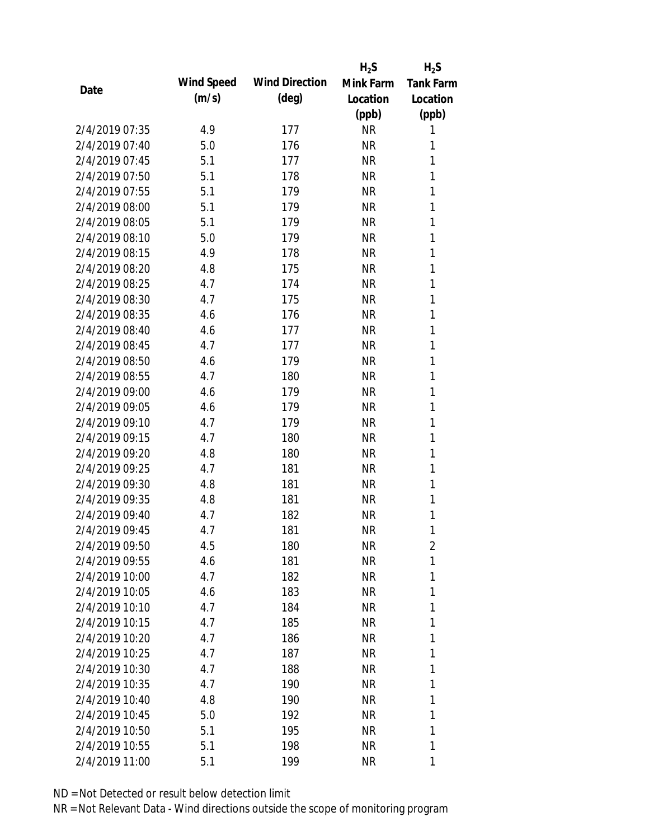|                |            |                       | $H_2S$    | $H_2S$           |
|----------------|------------|-----------------------|-----------|------------------|
| Date           | Wind Speed | <b>Wind Direction</b> | Mink Farm | <b>Tank Farm</b> |
|                | (m/s)      | $(\text{deg})$        | Location  | Location         |
|                |            |                       | (ppb)     | (ppb)            |
| 2/4/2019 07:35 | 4.9        | 177                   | <b>NR</b> | 1                |
| 2/4/2019 07:40 | 5.0        | 176                   | <b>NR</b> | 1                |
| 2/4/2019 07:45 | 5.1        | 177                   | <b>NR</b> | 1                |
| 2/4/2019 07:50 | 5.1        | 178                   | <b>NR</b> | 1                |
| 2/4/2019 07:55 | 5.1        | 179                   | <b>NR</b> | 1                |
| 2/4/2019 08:00 | 5.1        | 179                   | <b>NR</b> | 1                |
| 2/4/2019 08:05 | 5.1        | 179                   | <b>NR</b> | 1                |
| 2/4/2019 08:10 | 5.0        | 179                   | <b>NR</b> | 1                |
| 2/4/2019 08:15 | 4.9        | 178                   | <b>NR</b> | 1                |
| 2/4/2019 08:20 | 4.8        | 175                   | <b>NR</b> | 1                |
| 2/4/2019 08:25 | 4.7        | 174                   | <b>NR</b> | 1                |
| 2/4/2019 08:30 | 4.7        | 175                   | <b>NR</b> | 1                |
| 2/4/2019 08:35 | 4.6        | 176                   | <b>NR</b> | 1                |
| 2/4/2019 08:40 | 4.6        | 177                   | <b>NR</b> | 1                |
| 2/4/2019 08:45 | 4.7        | 177                   | <b>NR</b> | 1                |
| 2/4/2019 08:50 | 4.6        | 179                   | <b>NR</b> | 1                |
| 2/4/2019 08:55 | 4.7        | 180                   | <b>NR</b> | 1                |
| 2/4/2019 09:00 | 4.6        | 179                   | <b>NR</b> | 1                |
| 2/4/2019 09:05 | 4.6        | 179                   | <b>NR</b> | 1                |
| 2/4/2019 09:10 | 4.7        | 179                   | <b>NR</b> | 1                |
| 2/4/2019 09:15 | 4.7        | 180                   | <b>NR</b> | 1                |
| 2/4/2019 09:20 | 4.8        | 180                   | <b>NR</b> | 1                |
| 2/4/2019 09:25 | 4.7        | 181                   | <b>NR</b> | 1                |
| 2/4/2019 09:30 | 4.8        | 181                   | <b>NR</b> | 1                |
| 2/4/2019 09:35 | 4.8        | 181                   | <b>NR</b> | 1                |
| 2/4/2019 09:40 | 4.7        | 182                   | <b>NR</b> | 1                |
| 2/4/2019 09:45 | 4.7        | 181                   | <b>NR</b> | 1                |
| 2/4/2019 09:50 | 4.5        | 180                   | <b>NR</b> | $\overline{2}$   |
| 2/4/2019 09:55 | 4.6        | 181                   | <b>NR</b> | 1                |
| 2/4/2019 10:00 | 4.7        | 182                   | <b>NR</b> | 1                |
| 2/4/2019 10:05 | 4.6        | 183                   | <b>NR</b> | 1                |
| 2/4/2019 10:10 | 4.7        | 184                   | <b>NR</b> | 1                |
| 2/4/2019 10:15 | 4.7        | 185                   | <b>NR</b> | 1                |
| 2/4/2019 10:20 | 4.7        | 186                   | <b>NR</b> | 1                |
| 2/4/2019 10:25 | 4.7        | 187                   | <b>NR</b> | 1                |
| 2/4/2019 10:30 | 4.7        | 188                   | <b>NR</b> | 1                |
| 2/4/2019 10:35 | 4.7        | 190                   | <b>NR</b> | 1                |
| 2/4/2019 10:40 | 4.8        | 190                   | NR        | 1                |
| 2/4/2019 10:45 | 5.0        | 192                   | <b>NR</b> | 1                |
| 2/4/2019 10:50 | 5.1        | 195                   | <b>NR</b> | 1                |
| 2/4/2019 10:55 | 5.1        | 198                   | <b>NR</b> | 1                |
| 2/4/2019 11:00 | 5.1        | 199                   | <b>NR</b> | 1                |
|                |            |                       |           |                  |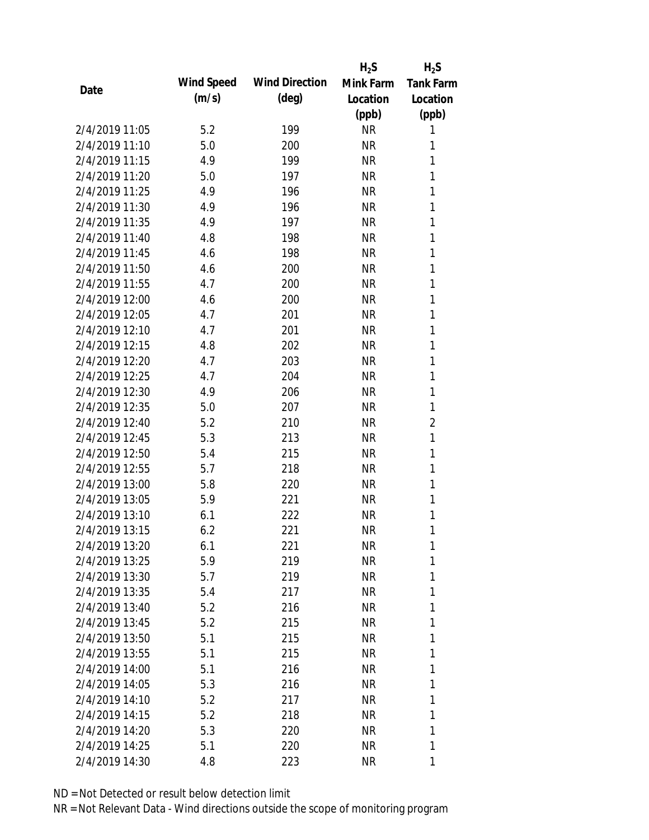|                |            |                       | $H_2S$    | $H_2S$           |
|----------------|------------|-----------------------|-----------|------------------|
| Date           | Wind Speed | <b>Wind Direction</b> | Mink Farm | <b>Tank Farm</b> |
|                | (m/s)      | $(\text{deg})$        | Location  | Location         |
|                |            |                       | (ppb)     | (ppb)            |
| 2/4/2019 11:05 | 5.2        | 199                   | <b>NR</b> | 1                |
| 2/4/2019 11:10 | 5.0        | 200                   | <b>NR</b> | 1                |
| 2/4/2019 11:15 | 4.9        | 199                   | <b>NR</b> | 1                |
| 2/4/2019 11:20 | 5.0        | 197                   | <b>NR</b> | 1                |
| 2/4/2019 11:25 | 4.9        | 196                   | <b>NR</b> | 1                |
| 2/4/2019 11:30 | 4.9        | 196                   | <b>NR</b> | 1                |
| 2/4/2019 11:35 | 4.9        | 197                   | <b>NR</b> | 1                |
| 2/4/2019 11:40 | 4.8        | 198                   | <b>NR</b> | 1                |
| 2/4/2019 11:45 | 4.6        | 198                   | <b>NR</b> | 1                |
| 2/4/2019 11:50 | 4.6        | 200                   | <b>NR</b> | 1                |
| 2/4/2019 11:55 | 4.7        | 200                   | <b>NR</b> | 1                |
| 2/4/2019 12:00 | 4.6        | 200                   | <b>NR</b> | 1                |
| 2/4/2019 12:05 | 4.7        | 201                   | <b>NR</b> | 1                |
| 2/4/2019 12:10 | 4.7        | 201                   | <b>NR</b> | 1                |
| 2/4/2019 12:15 | 4.8        | 202                   | <b>NR</b> | 1                |
| 2/4/2019 12:20 | 4.7        | 203                   | <b>NR</b> | 1                |
| 2/4/2019 12:25 | 4.7        | 204                   | <b>NR</b> | 1                |
| 2/4/2019 12:30 | 4.9        | 206                   | <b>NR</b> | 1                |
| 2/4/2019 12:35 | 5.0        | 207                   | <b>NR</b> | 1                |
| 2/4/2019 12:40 | 5.2        | 210                   | <b>NR</b> | $\overline{2}$   |
| 2/4/2019 12:45 | 5.3        | 213                   | <b>NR</b> | 1                |
| 2/4/2019 12:50 | 5.4        | 215                   | <b>NR</b> | 1                |
| 2/4/2019 12:55 | 5.7        | 218                   | <b>NR</b> | 1                |
| 2/4/2019 13:00 | 5.8        | 220                   | <b>NR</b> | 1                |
| 2/4/2019 13:05 | 5.9        | 221                   | <b>NR</b> | 1                |
| 2/4/2019 13:10 | 6.1        | 222                   | <b>NR</b> | 1                |
| 2/4/2019 13:15 | 6.2        | 221                   | <b>NR</b> | 1                |
| 2/4/2019 13:20 | 6.1        | 221                   | <b>NR</b> | 1                |
| 2/4/2019 13:25 | 5.9        | 219                   | <b>NR</b> | 1                |
| 2/4/2019 13:30 | 5.7        | 219                   | <b>NR</b> | 1                |
| 2/4/2019 13:35 | 5.4        | 217                   | <b>NR</b> | 1                |
| 2/4/2019 13:40 | 5.2        | 216                   | <b>NR</b> | 1                |
| 2/4/2019 13:45 | 5.2        | 215                   | <b>NR</b> | 1                |
| 2/4/2019 13:50 | 5.1        | 215                   | <b>NR</b> | 1                |
| 2/4/2019 13:55 | 5.1        | 215                   | <b>NR</b> | 1                |
| 2/4/2019 14:00 | 5.1        | 216                   | <b>NR</b> | 1                |
| 2/4/2019 14:05 | 5.3        | 216                   | <b>NR</b> | 1                |
| 2/4/2019 14:10 | 5.2        | 217                   | NR        | 1                |
| 2/4/2019 14:15 | 5.2        | 218                   | <b>NR</b> | 1                |
| 2/4/2019 14:20 | 5.3        | 220                   | <b>NR</b> | 1                |
| 2/4/2019 14:25 | 5.1        | 220                   | <b>NR</b> | 1                |
| 2/4/2019 14:30 | 4.8        | 223                   | <b>NR</b> | 1                |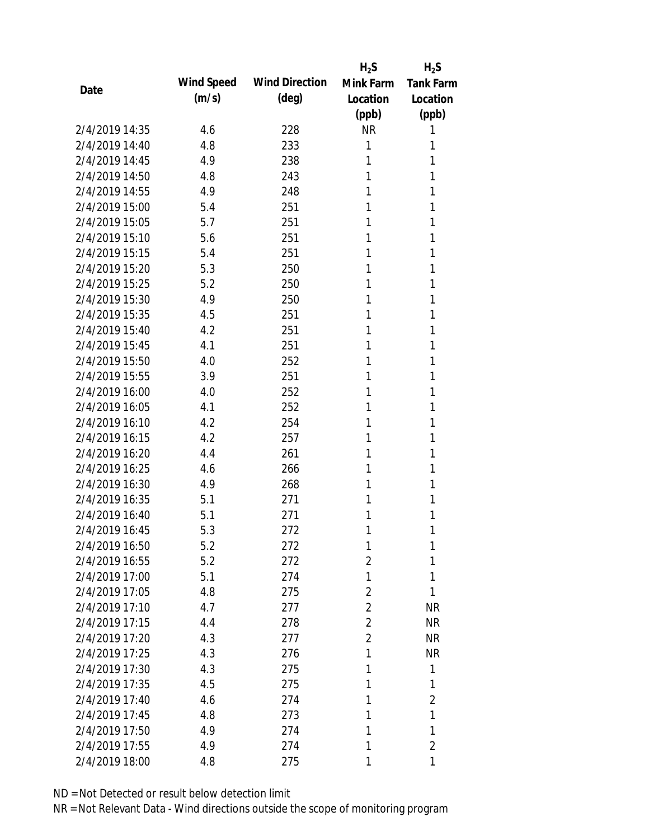|                |            |                       | $H_2S$         | $H_2S$           |
|----------------|------------|-----------------------|----------------|------------------|
| Date           | Wind Speed | <b>Wind Direction</b> | Mink Farm      | <b>Tank Farm</b> |
|                | (m/s)      | (deg)                 | Location       | Location         |
|                |            |                       | (ppb)          | (ppb)            |
| 2/4/2019 14:35 | 4.6        | 228                   | <b>NR</b>      | 1                |
| 2/4/2019 14:40 | 4.8        | 233                   | 1              | 1                |
| 2/4/2019 14:45 | 4.9        | 238                   | 1              | 1                |
| 2/4/2019 14:50 | 4.8        | 243                   | 1              | 1                |
| 2/4/2019 14:55 | 4.9        | 248                   | 1              | 1                |
| 2/4/2019 15:00 | 5.4        | 251                   | 1              | 1                |
| 2/4/2019 15:05 | 5.7        | 251                   | 1              | 1                |
| 2/4/2019 15:10 | 5.6        | 251                   | 1              | 1                |
| 2/4/2019 15:15 | 5.4        | 251                   | 1              | 1                |
| 2/4/2019 15:20 | 5.3        | 250                   | 1              | 1                |
| 2/4/2019 15:25 | 5.2        | 250                   | 1              | 1                |
| 2/4/2019 15:30 | 4.9        | 250                   | 1              | 1                |
| 2/4/2019 15:35 | 4.5        | 251                   | 1              | 1                |
| 2/4/2019 15:40 | 4.2        | 251                   | 1              | 1                |
| 2/4/2019 15:45 | 4.1        | 251                   | 1              | 1                |
| 2/4/2019 15:50 | 4.0        | 252                   | 1              | 1                |
| 2/4/2019 15:55 | 3.9        | 251                   | 1              | 1                |
| 2/4/2019 16:00 | 4.0        | 252                   | 1              | 1                |
| 2/4/2019 16:05 | 4.1        | 252                   | 1              | 1                |
| 2/4/2019 16:10 | 4.2        | 254                   | 1              | 1                |
| 2/4/2019 16:15 | 4.2        | 257                   | 1              | 1                |
| 2/4/2019 16:20 | 4.4        | 261                   | 1              | 1                |
| 2/4/2019 16:25 | 4.6        | 266                   | 1              | 1                |
| 2/4/2019 16:30 | 4.9        | 268                   | 1              | 1                |
| 2/4/2019 16:35 | 5.1        | 271                   | 1              | 1                |
| 2/4/2019 16:40 | 5.1        | 271                   | 1              | 1                |
| 2/4/2019 16:45 | 5.3        | 272                   | 1              | 1                |
| 2/4/2019 16:50 | 5.2        | 272                   | 1              | 1                |
| 2/4/2019 16:55 | 5.2        | 272                   | 2              | 1                |
| 2/4/2019 17:00 | 5.1        | 274                   | 1              | 1                |
| 2/4/2019 17:05 | 4.8        | 275                   | $\overline{2}$ | 1                |
| 2/4/2019 17:10 | 4.7        | 277                   | $\overline{2}$ | <b>NR</b>        |
| 2/4/2019 17:15 | 4.4        | 278                   | $\overline{2}$ | <b>NR</b>        |
| 2/4/2019 17:20 | 4.3        | 277                   | $\overline{2}$ | <b>NR</b>        |
| 2/4/2019 17:25 | 4.3        | 276                   | 1              | <b>NR</b>        |
| 2/4/2019 17:30 | 4.3        | 275                   | 1              | 1                |
| 2/4/2019 17:35 | 4.5        | 275                   | 1              | 1                |
| 2/4/2019 17:40 | 4.6        | 274                   | 1              | $\overline{2}$   |
| 2/4/2019 17:45 | 4.8        | 273                   | 1              | 1                |
| 2/4/2019 17:50 | 4.9        | 274                   | 1              | 1                |
| 2/4/2019 17:55 | 4.9        | 274                   | 1              | $\overline{2}$   |
| 2/4/2019 18:00 | 4.8        | 275                   | 1              | 1                |
|                |            |                       |                |                  |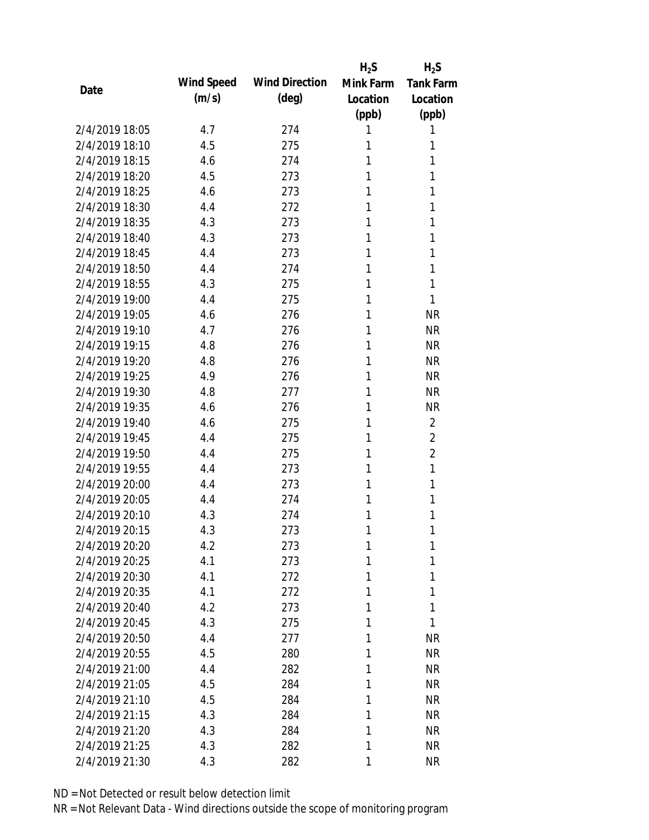|                |            |                       | $H_2S$    | $H_2S$           |
|----------------|------------|-----------------------|-----------|------------------|
| Date           | Wind Speed | <b>Wind Direction</b> | Mink Farm | <b>Tank Farm</b> |
|                | (m/s)      | $(\text{deg})$        | Location  | Location         |
|                |            |                       | (ppb)     | (ppb)            |
| 2/4/2019 18:05 | 4.7        | 274                   | 1         | 1                |
| 2/4/2019 18:10 | 4.5        | 275                   | 1         | 1                |
| 2/4/2019 18:15 | 4.6        | 274                   | 1         | 1                |
| 2/4/2019 18:20 | 4.5        | 273                   | 1         | 1                |
| 2/4/2019 18:25 | 4.6        | 273                   | 1         | 1                |
| 2/4/2019 18:30 | 4.4        | 272                   | 1         | 1                |
| 2/4/2019 18:35 | 4.3        | 273                   | 1         | 1                |
| 2/4/2019 18:40 | 4.3        | 273                   | 1         | 1                |
| 2/4/2019 18:45 | 4.4        | 273                   | 1         | 1                |
| 2/4/2019 18:50 | 4.4        | 274                   | 1         | 1                |
| 2/4/2019 18:55 | 4.3        | 275                   | 1         | 1                |
| 2/4/2019 19:00 | 4.4        | 275                   | 1         | 1                |
| 2/4/2019 19:05 | 4.6        | 276                   | 1         | <b>NR</b>        |
| 2/4/2019 19:10 | 4.7        | 276                   | 1         | <b>NR</b>        |
| 2/4/2019 19:15 | 4.8        | 276                   | 1         | <b>NR</b>        |
| 2/4/2019 19:20 | 4.8        | 276                   | 1         | <b>NR</b>        |
| 2/4/2019 19:25 | 4.9        | 276                   | 1         | <b>NR</b>        |
| 2/4/2019 19:30 | 4.8        | 277                   | 1         | <b>NR</b>        |
| 2/4/2019 19:35 | 4.6        | 276                   | 1         | <b>NR</b>        |
| 2/4/2019 19:40 | 4.6        | 275                   | 1         | $\overline{2}$   |
| 2/4/2019 19:45 | 4.4        | 275                   | 1         | $\overline{2}$   |
| 2/4/2019 19:50 | 4.4        | 275                   | 1         | $\overline{2}$   |
| 2/4/2019 19:55 | 4.4        | 273                   | 1         | 1                |
| 2/4/2019 20:00 | 4.4        | 273                   | 1         | 1                |
| 2/4/2019 20:05 | 4.4        | 274                   | 1         | 1                |
| 2/4/2019 20:10 | 4.3        | 274                   | 1         | 1                |
| 2/4/2019 20:15 | 4.3        | 273                   | 1         | 1                |
| 2/4/2019 20:20 | 4.2        | 273                   | 1         | 1                |
| 2/4/2019 20:25 | 4.1        | 273                   | 1         | 1                |
| 2/4/2019 20:30 | 4.1        | 272                   | 1         | 1                |
| 2/4/2019 20:35 | 4.1        | 272                   | 1         | 1                |
| 2/4/2019 20:40 | 4.2        | 273                   | 1         | 1                |
| 2/4/2019 20:45 | 4.3        | 275                   | 1         | 1                |
| 2/4/2019 20:50 | 4.4        | 277                   | 1         | <b>NR</b>        |
| 2/4/2019 20:55 | 4.5        | 280                   | 1         | <b>NR</b>        |
| 2/4/2019 21:00 | 4.4        | 282                   | 1         | <b>NR</b>        |
| 2/4/2019 21:05 | 4.5        | 284                   | 1         | <b>NR</b>        |
| 2/4/2019 21:10 | 4.5        | 284                   | 1         | <b>NR</b>        |
| 2/4/2019 21:15 | 4.3        | 284                   | 1         | <b>NR</b>        |
| 2/4/2019 21:20 | 4.3        | 284                   | 1         | <b>NR</b>        |
| 2/4/2019 21:25 | 4.3        | 282                   | 1         | <b>NR</b>        |
| 2/4/2019 21:30 | 4.3        | 282                   | 1         | <b>NR</b>        |
|                |            |                       |           |                  |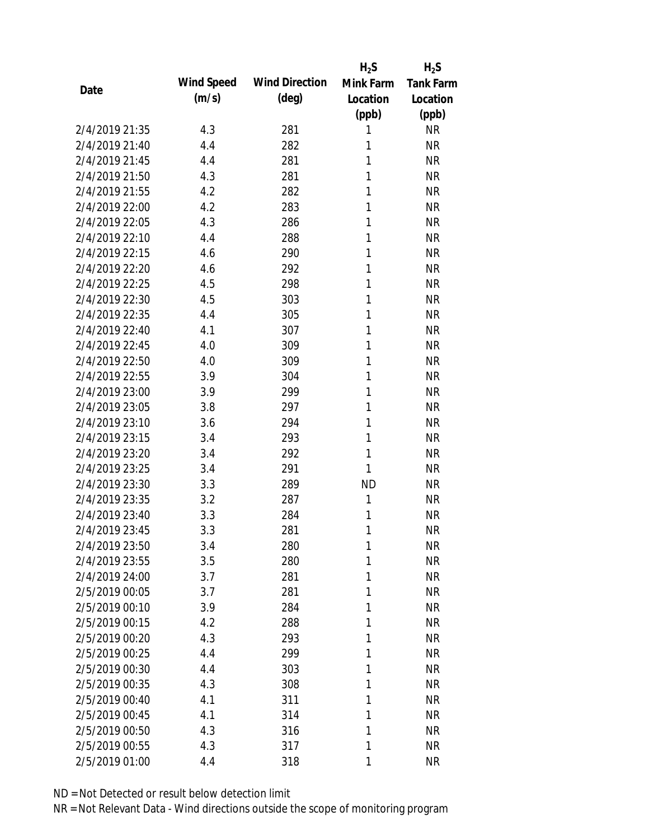|                |            |                       | $H_2S$       | $H_2S$           |
|----------------|------------|-----------------------|--------------|------------------|
| Date           | Wind Speed | <b>Wind Direction</b> | Mink Farm    | <b>Tank Farm</b> |
|                | (m/s)      | $(\text{deg})$        | Location     | Location         |
|                |            |                       | (ppb)        | (ppb)            |
| 2/4/2019 21:35 | 4.3        | 281                   | 1            | <b>NR</b>        |
| 2/4/2019 21:40 | 4.4        | 282                   | 1            | <b>NR</b>        |
| 2/4/2019 21:45 | 4.4        | 281                   | 1            | <b>NR</b>        |
| 2/4/2019 21:50 | 4.3        | 281                   | 1            | <b>NR</b>        |
| 2/4/2019 21:55 | 4.2        | 282                   | 1            | <b>NR</b>        |
| 2/4/2019 22:00 | 4.2        | 283                   | 1            | <b>NR</b>        |
| 2/4/2019 22:05 | 4.3        | 286                   | 1            | <b>NR</b>        |
| 2/4/2019 22:10 | 4.4        | 288                   | 1            | <b>NR</b>        |
| 2/4/2019 22:15 | 4.6        | 290                   | 1            | <b>NR</b>        |
| 2/4/2019 22:20 | 4.6        | 292                   | 1            | <b>NR</b>        |
| 2/4/2019 22:25 | 4.5        | 298                   | 1            | <b>NR</b>        |
| 2/4/2019 22:30 | 4.5        | 303                   | 1            | <b>NR</b>        |
| 2/4/2019 22:35 | 4.4        | 305                   | 1            | <b>NR</b>        |
| 2/4/2019 22:40 | 4.1        | 307                   | 1            | <b>NR</b>        |
| 2/4/2019 22:45 | 4.0        | 309                   | 1            | <b>NR</b>        |
| 2/4/2019 22:50 | 4.0        | 309                   | 1            | <b>NR</b>        |
| 2/4/2019 22:55 | 3.9        | 304                   | 1            | <b>NR</b>        |
| 2/4/2019 23:00 | 3.9        | 299                   | 1            | <b>NR</b>        |
| 2/4/2019 23:05 | 3.8        | 297                   | 1            | <b>NR</b>        |
| 2/4/2019 23:10 | 3.6        | 294                   | 1            | <b>NR</b>        |
| 2/4/2019 23:15 | 3.4        | 293                   | 1            | <b>NR</b>        |
| 2/4/2019 23:20 | 3.4        | 292                   | 1            | <b>NR</b>        |
| 2/4/2019 23:25 | 3.4        | 291                   | 1            | <b>NR</b>        |
| 2/4/2019 23:30 | 3.3        | 289                   | <b>ND</b>    | <b>NR</b>        |
| 2/4/2019 23:35 | 3.2        | 287                   | $\mathbf{1}$ | <b>NR</b>        |
| 2/4/2019 23:40 | 3.3        | 284                   | 1            | <b>NR</b>        |
| 2/4/2019 23:45 | 3.3        | 281                   | 1            | <b>NR</b>        |
| 2/4/2019 23:50 | 3.4        | 280                   | 1            | <b>NR</b>        |
| 2/4/2019 23:55 | 3.5        | 280                   | 1            | <b>NR</b>        |
| 2/4/2019 24:00 | 3.7        | 281                   | 1            | <b>NR</b>        |
| 2/5/2019 00:05 | 3.7        | 281                   | 1            | <b>NR</b>        |
| 2/5/2019 00:10 | 3.9        | 284                   | 1            | <b>NR</b>        |
| 2/5/2019 00:15 | 4.2        | 288                   | 1            | <b>NR</b>        |
| 2/5/2019 00:20 | 4.3        | 293                   | 1            | <b>NR</b>        |
| 2/5/2019 00:25 | 4.4        | 299                   | 1            | <b>NR</b>        |
| 2/5/2019 00:30 | 4.4        | 303                   | 1            | <b>NR</b>        |
| 2/5/2019 00:35 | 4.3        | 308                   | 1            | <b>NR</b>        |
| 2/5/2019 00:40 | 4.1        | 311                   | 1            | <b>NR</b>        |
| 2/5/2019 00:45 | 4.1        | 314                   | 1            | <b>NR</b>        |
| 2/5/2019 00:50 | 4.3        | 316                   | 1            | <b>NR</b>        |
| 2/5/2019 00:55 | 4.3        | 317                   | 1            | <b>NR</b>        |
| 2/5/2019 01:00 | 4.4        | 318                   | 1            | <b>NR</b>        |
|                |            |                       |              |                  |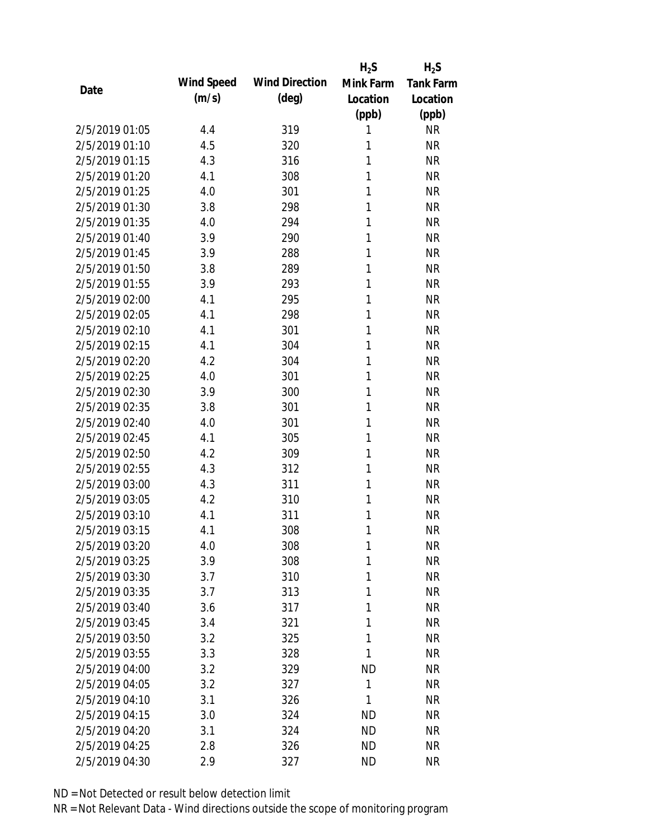|                |            |                       | $H_2S$    | $H_2S$           |
|----------------|------------|-----------------------|-----------|------------------|
| Date           | Wind Speed | <b>Wind Direction</b> | Mink Farm | <b>Tank Farm</b> |
|                | (m/s)      | $(\text{deg})$        | Location  | Location         |
|                |            |                       | (ppb)     | (ppb)            |
| 2/5/2019 01:05 | 4.4        | 319                   | 1         | <b>NR</b>        |
| 2/5/2019 01:10 | 4.5        | 320                   | 1         | <b>NR</b>        |
| 2/5/2019 01:15 | 4.3        | 316                   | 1         | <b>NR</b>        |
| 2/5/2019 01:20 | 4.1        | 308                   | 1         | <b>NR</b>        |
| 2/5/2019 01:25 | 4.0        | 301                   | 1         | <b>NR</b>        |
| 2/5/2019 01:30 | 3.8        | 298                   | 1         | <b>NR</b>        |
| 2/5/2019 01:35 | 4.0        | 294                   | 1         | <b>NR</b>        |
| 2/5/2019 01:40 | 3.9        | 290                   | 1         | <b>NR</b>        |
| 2/5/2019 01:45 | 3.9        | 288                   | 1         | <b>NR</b>        |
| 2/5/2019 01:50 | 3.8        | 289                   | 1         | <b>NR</b>        |
| 2/5/2019 01:55 | 3.9        | 293                   | 1         | <b>NR</b>        |
| 2/5/2019 02:00 | 4.1        | 295                   | 1         | <b>NR</b>        |
| 2/5/2019 02:05 | 4.1        | 298                   | 1         | <b>NR</b>        |
| 2/5/2019 02:10 | 4.1        | 301                   | 1         | <b>NR</b>        |
| 2/5/2019 02:15 | 4.1        | 304                   | 1         | <b>NR</b>        |
| 2/5/2019 02:20 | 4.2        | 304                   | 1         | <b>NR</b>        |
| 2/5/2019 02:25 | 4.0        | 301                   | 1         | <b>NR</b>        |
| 2/5/2019 02:30 | 3.9        | 300                   | 1         | <b>NR</b>        |
| 2/5/2019 02:35 | 3.8        | 301                   | 1         | <b>NR</b>        |
| 2/5/2019 02:40 | 4.0        | 301                   | 1         | <b>NR</b>        |
| 2/5/2019 02:45 | 4.1        | 305                   | 1         | <b>NR</b>        |
| 2/5/2019 02:50 | 4.2        | 309                   | 1         | <b>NR</b>        |
| 2/5/2019 02:55 | 4.3        | 312                   | 1         | <b>NR</b>        |
| 2/5/2019 03:00 | 4.3        | 311                   | 1         | <b>NR</b>        |
| 2/5/2019 03:05 | 4.2        | 310                   | 1         | <b>NR</b>        |
| 2/5/2019 03:10 | 4.1        | 311                   | 1         | <b>NR</b>        |
| 2/5/2019 03:15 | 4.1        | 308                   | 1         | <b>NR</b>        |
| 2/5/2019 03:20 | 4.0        | 308                   | 1         | <b>NR</b>        |
| 2/5/2019 03:25 | 3.9        | 308                   | 1         | <b>NR</b>        |
| 2/5/2019 03:30 | 3.7        | 310                   | 1         | <b>NR</b>        |
| 2/5/2019 03:35 | 3.7        | 313                   | 1         | <b>NR</b>        |
| 2/5/2019 03:40 | 3.6        | 317                   | 1         | <b>NR</b>        |
| 2/5/2019 03:45 | 3.4        | 321                   | 1         | <b>NR</b>        |
| 2/5/2019 03:50 | 3.2        | 325                   | 1         | <b>NR</b>        |
| 2/5/2019 03:55 | 3.3        | 328                   | 1         | <b>NR</b>        |
| 2/5/2019 04:00 | 3.2        | 329                   | <b>ND</b> | <b>NR</b>        |
| 2/5/2019 04:05 | 3.2        | 327                   | 1         | <b>NR</b>        |
| 2/5/2019 04:10 | 3.1        | 326                   | 1         | <b>NR</b>        |
| 2/5/2019 04:15 | 3.0        | 324                   | <b>ND</b> | <b>NR</b>        |
| 2/5/2019 04:20 | 3.1        | 324                   | <b>ND</b> | <b>NR</b>        |
| 2/5/2019 04:25 | 2.8        | 326                   | <b>ND</b> | <b>NR</b>        |
| 2/5/2019 04:30 | 2.9        | 327                   | <b>ND</b> | <b>NR</b>        |
|                |            |                       |           |                  |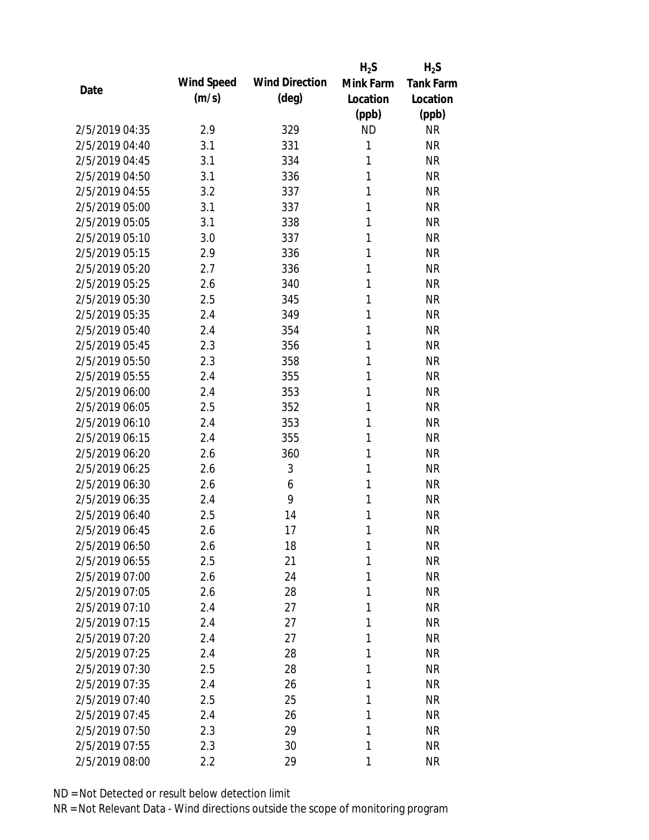|                |            |                       | $H_2S$    | $H_2S$           |
|----------------|------------|-----------------------|-----------|------------------|
| Date           | Wind Speed | <b>Wind Direction</b> | Mink Farm | <b>Tank Farm</b> |
|                | (m/s)      | $(\text{deg})$        | Location  | Location         |
|                |            |                       | (ppb)     | (ppb)            |
| 2/5/2019 04:35 | 2.9        | 329                   | <b>ND</b> | <b>NR</b>        |
| 2/5/2019 04:40 | 3.1        | 331                   | 1         | <b>NR</b>        |
| 2/5/2019 04:45 | 3.1        | 334                   | 1         | <b>NR</b>        |
| 2/5/2019 04:50 | 3.1        | 336                   | 1         | <b>NR</b>        |
| 2/5/2019 04:55 | 3.2        | 337                   | 1         | <b>NR</b>        |
| 2/5/2019 05:00 | 3.1        | 337                   | 1         | <b>NR</b>        |
| 2/5/2019 05:05 | 3.1        | 338                   | 1         | <b>NR</b>        |
| 2/5/2019 05:10 | 3.0        | 337                   | 1         | <b>NR</b>        |
| 2/5/2019 05:15 | 2.9        | 336                   | 1         | <b>NR</b>        |
| 2/5/2019 05:20 | 2.7        | 336                   | 1         | <b>NR</b>        |
| 2/5/2019 05:25 | 2.6        | 340                   | 1         | <b>NR</b>        |
| 2/5/2019 05:30 | 2.5        | 345                   | 1         | <b>NR</b>        |
| 2/5/2019 05:35 | 2.4        | 349                   | 1         | <b>NR</b>        |
| 2/5/2019 05:40 | 2.4        | 354                   | 1         | <b>NR</b>        |
| 2/5/2019 05:45 | 2.3        | 356                   | 1         | <b>NR</b>        |
| 2/5/2019 05:50 | 2.3        | 358                   | 1         | <b>NR</b>        |
| 2/5/2019 05:55 | 2.4        | 355                   | 1         | <b>NR</b>        |
| 2/5/2019 06:00 | 2.4        | 353                   | 1         | <b>NR</b>        |
| 2/5/2019 06:05 | 2.5        | 352                   | 1         | <b>NR</b>        |
| 2/5/2019 06:10 | 2.4        | 353                   | 1         | <b>NR</b>        |
| 2/5/2019 06:15 | 2.4        | 355                   | 1         | <b>NR</b>        |
| 2/5/2019 06:20 | 2.6        | 360                   | 1         | <b>NR</b>        |
| 2/5/2019 06:25 | 2.6        | 3                     | 1         | <b>NR</b>        |
| 2/5/2019 06:30 | 2.6        | 6                     | 1         | <b>NR</b>        |
| 2/5/2019 06:35 | 2.4        | 9                     | 1         | <b>NR</b>        |
| 2/5/2019 06:40 | 2.5        | 14                    | 1         | <b>NR</b>        |
| 2/5/2019 06:45 | 2.6        | 17                    | 1         | <b>NR</b>        |
| 2/5/2019 06:50 | 2.6        | 18                    | 1         | <b>NR</b>        |
| 2/5/2019 06:55 | 2.5        | 21                    | 1         | <b>NR</b>        |
| 2/5/2019 07:00 | 2.6        | 24                    | 1         | <b>NR</b>        |
| 2/5/2019 07:05 | 2.6        | 28                    | 1         | <b>NR</b>        |
| 2/5/2019 07:10 | 2.4        | 27                    | 1         | <b>NR</b>        |
| 2/5/2019 07:15 | 2.4        | 27                    | 1         | <b>NR</b>        |
| 2/5/2019 07:20 | 2.4        | 27                    | 1         | <b>NR</b>        |
| 2/5/2019 07:25 | 2.4        | 28                    | 1         | <b>NR</b>        |
| 2/5/2019 07:30 | 2.5        | 28                    | 1         | <b>NR</b>        |
| 2/5/2019 07:35 | 2.4        | 26                    | 1         | <b>NR</b>        |
| 2/5/2019 07:40 | 2.5        | 25                    | 1         | <b>NR</b>        |
| 2/5/2019 07:45 | 2.4        | 26                    | 1         | <b>NR</b>        |
| 2/5/2019 07:50 | 2.3        | 29                    | 1         | <b>NR</b>        |
| 2/5/2019 07:55 | 2.3        | 30                    | 1         | <b>NR</b>        |
| 2/5/2019 08:00 | 2.2        | 29                    | 1         | <b>NR</b>        |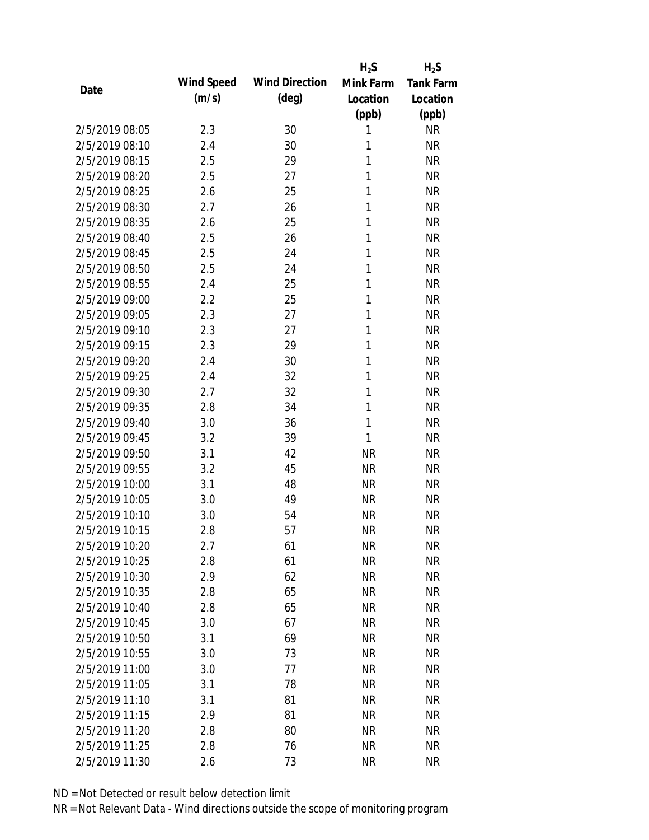|                |            |                       | $H_2S$    | $H_2S$           |
|----------------|------------|-----------------------|-----------|------------------|
| Date           | Wind Speed | <b>Wind Direction</b> | Mink Farm | <b>Tank Farm</b> |
|                | (m/s)      | $(\text{deg})$        | Location  | Location         |
|                |            |                       | (ppb)     | (ppb)            |
| 2/5/2019 08:05 | 2.3        | 30                    | 1         | <b>NR</b>        |
| 2/5/2019 08:10 | 2.4        | 30                    | 1         | <b>NR</b>        |
| 2/5/2019 08:15 | 2.5        | 29                    | 1         | <b>NR</b>        |
| 2/5/2019 08:20 | 2.5        | 27                    | 1         | <b>NR</b>        |
| 2/5/2019 08:25 | 2.6        | 25                    | 1         | <b>NR</b>        |
| 2/5/2019 08:30 | 2.7        | 26                    | 1         | <b>NR</b>        |
| 2/5/2019 08:35 | 2.6        | 25                    | 1         | <b>NR</b>        |
| 2/5/2019 08:40 | 2.5        | 26                    | 1         | <b>NR</b>        |
| 2/5/2019 08:45 | 2.5        | 24                    | 1         | <b>NR</b>        |
| 2/5/2019 08:50 | 2.5        | 24                    | 1         | <b>NR</b>        |
| 2/5/2019 08:55 | 2.4        | 25                    | 1         | <b>NR</b>        |
| 2/5/2019 09:00 | 2.2        | 25                    | 1         | <b>NR</b>        |
| 2/5/2019 09:05 | 2.3        | 27                    | 1         | <b>NR</b>        |
| 2/5/2019 09:10 | 2.3        | 27                    | 1         | <b>NR</b>        |
| 2/5/2019 09:15 | 2.3        | 29                    | 1         | <b>NR</b>        |
| 2/5/2019 09:20 | 2.4        | 30                    | 1         | <b>NR</b>        |
| 2/5/2019 09:25 | 2.4        | 32                    | 1         | <b>NR</b>        |
| 2/5/2019 09:30 | 2.7        | 32                    | 1         | <b>NR</b>        |
| 2/5/2019 09:35 | 2.8        | 34                    | 1         | <b>NR</b>        |
| 2/5/2019 09:40 | 3.0        | 36                    | 1         | <b>NR</b>        |
| 2/5/2019 09:45 | 3.2        | 39                    | 1         | <b>NR</b>        |
| 2/5/2019 09:50 | 3.1        | 42                    | <b>NR</b> | <b>NR</b>        |
| 2/5/2019 09:55 | 3.2        | 45                    | <b>NR</b> | <b>NR</b>        |
| 2/5/2019 10:00 | 3.1        | 48                    | <b>NR</b> | <b>NR</b>        |
| 2/5/2019 10:05 | 3.0        | 49                    | <b>NR</b> | <b>NR</b>        |
| 2/5/2019 10:10 | 3.0        | 54                    | <b>NR</b> | <b>NR</b>        |
| 2/5/2019 10:15 | 2.8        | 57                    | <b>NR</b> | <b>NR</b>        |
| 2/5/2019 10:20 | 2.7        | 61                    | <b>NR</b> | <b>NR</b>        |
| 2/5/2019 10:25 | 2.8        | 61                    | <b>NR</b> | <b>NR</b>        |
| 2/5/2019 10:30 | 2.9        | 62                    | <b>NR</b> | <b>NR</b>        |
| 2/5/2019 10:35 | 2.8        | 65                    | <b>NR</b> | <b>NR</b>        |
| 2/5/2019 10:40 | 2.8        | 65                    | <b>NR</b> | <b>NR</b>        |
| 2/5/2019 10:45 | 3.0        | 67                    | <b>NR</b> | <b>NR</b>        |
| 2/5/2019 10:50 | 3.1        | 69                    | <b>NR</b> | <b>NR</b>        |
| 2/5/2019 10:55 | 3.0        | 73                    | <b>NR</b> | <b>NR</b>        |
| 2/5/2019 11:00 | 3.0        | 77                    | <b>NR</b> | <b>NR</b>        |
| 2/5/2019 11:05 | 3.1        | 78                    | <b>NR</b> | <b>NR</b>        |
| 2/5/2019 11:10 | 3.1        | 81                    | <b>NR</b> | <b>NR</b>        |
| 2/5/2019 11:15 | 2.9        | 81                    | <b>NR</b> | <b>NR</b>        |
| 2/5/2019 11:20 | 2.8        | 80                    | <b>NR</b> | <b>NR</b>        |
| 2/5/2019 11:25 | 2.8        | 76                    | <b>NR</b> | <b>NR</b>        |
| 2/5/2019 11:30 | 2.6        | 73                    | <b>NR</b> | <b>NR</b>        |
|                |            |                       |           |                  |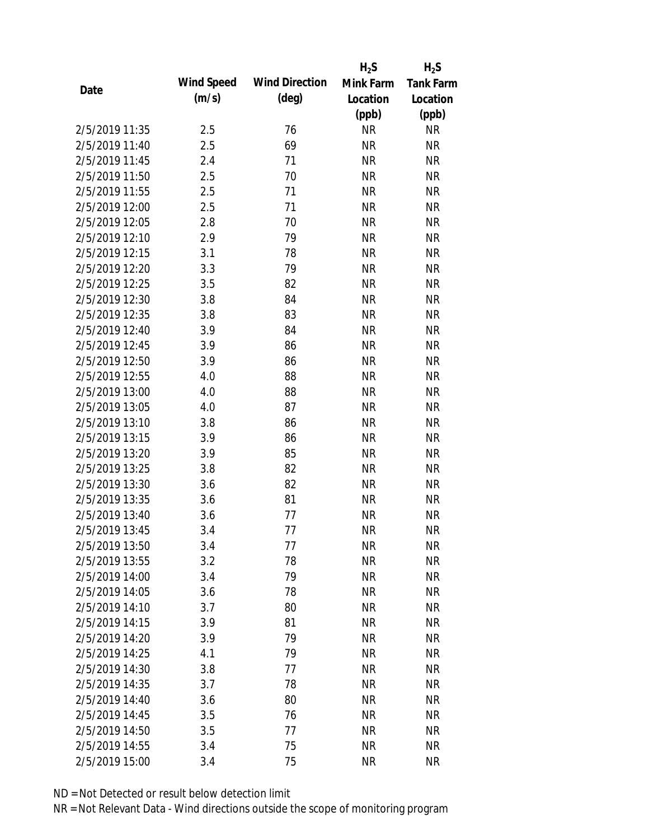|                |            |                       | $H_2S$    | $H_2S$           |
|----------------|------------|-----------------------|-----------|------------------|
| Date           | Wind Speed | <b>Wind Direction</b> | Mink Farm | <b>Tank Farm</b> |
|                | (m/s)      | $(\text{deg})$        | Location  | Location         |
|                |            |                       | (ppb)     | (ppb)            |
| 2/5/2019 11:35 | 2.5        | 76                    | <b>NR</b> | <b>NR</b>        |
| 2/5/2019 11:40 | 2.5        | 69                    | <b>NR</b> | <b>NR</b>        |
| 2/5/2019 11:45 | 2.4        | 71                    | <b>NR</b> | <b>NR</b>        |
| 2/5/2019 11:50 | 2.5        | 70                    | <b>NR</b> | <b>NR</b>        |
| 2/5/2019 11:55 | 2.5        | 71                    | <b>NR</b> | <b>NR</b>        |
| 2/5/2019 12:00 | 2.5        | 71                    | <b>NR</b> | <b>NR</b>        |
| 2/5/2019 12:05 | 2.8        | 70                    | <b>NR</b> | <b>NR</b>        |
| 2/5/2019 12:10 | 2.9        | 79                    | <b>NR</b> | <b>NR</b>        |
| 2/5/2019 12:15 | 3.1        | 78                    | <b>NR</b> | <b>NR</b>        |
| 2/5/2019 12:20 | 3.3        | 79                    | <b>NR</b> | <b>NR</b>        |
| 2/5/2019 12:25 | 3.5        | 82                    | <b>NR</b> | <b>NR</b>        |
| 2/5/2019 12:30 | 3.8        | 84                    | <b>NR</b> | <b>NR</b>        |
| 2/5/2019 12:35 | 3.8        | 83                    | <b>NR</b> | <b>NR</b>        |
| 2/5/2019 12:40 | 3.9        | 84                    | <b>NR</b> | <b>NR</b>        |
| 2/5/2019 12:45 | 3.9        | 86                    | <b>NR</b> | <b>NR</b>        |
| 2/5/2019 12:50 | 3.9        | 86                    | <b>NR</b> | <b>NR</b>        |
| 2/5/2019 12:55 | 4.0        | 88                    | <b>NR</b> | <b>NR</b>        |
| 2/5/2019 13:00 | 4.0        | 88                    | <b>NR</b> | <b>NR</b>        |
| 2/5/2019 13:05 | 4.0        | 87                    | <b>NR</b> | <b>NR</b>        |
| 2/5/2019 13:10 | 3.8        | 86                    | <b>NR</b> | <b>NR</b>        |
| 2/5/2019 13:15 | 3.9        | 86                    | <b>NR</b> | <b>NR</b>        |
| 2/5/2019 13:20 | 3.9        | 85                    | <b>NR</b> | <b>NR</b>        |
| 2/5/2019 13:25 | 3.8        | 82                    | <b>NR</b> | <b>NR</b>        |
| 2/5/2019 13:30 | 3.6        | 82                    | <b>NR</b> | <b>NR</b>        |
| 2/5/2019 13:35 | 3.6        | 81                    | <b>NR</b> | <b>NR</b>        |
| 2/5/2019 13:40 | 3.6        | 77                    | <b>NR</b> | <b>NR</b>        |
| 2/5/2019 13:45 | 3.4        | 77                    | <b>NR</b> | <b>NR</b>        |
| 2/5/2019 13:50 | 3.4        | 77                    | <b>NR</b> | <b>NR</b>        |
| 2/5/2019 13:55 | 3.2        | 78                    | <b>NR</b> | <b>NR</b>        |
| 2/5/2019 14:00 | 3.4        | 79                    | <b>NR</b> | <b>NR</b>        |
| 2/5/2019 14:05 | 3.6        | 78                    | <b>NR</b> | <b>NR</b>        |
| 2/5/2019 14:10 | 3.7        | 80                    | <b>NR</b> | <b>NR</b>        |
| 2/5/2019 14:15 | 3.9        | 81                    | <b>NR</b> | <b>NR</b>        |
| 2/5/2019 14:20 | 3.9        | 79                    | <b>NR</b> | <b>NR</b>        |
| 2/5/2019 14:25 | 4.1        | 79                    | <b>NR</b> | <b>NR</b>        |
| 2/5/2019 14:30 | 3.8        | 77                    | <b>NR</b> | <b>NR</b>        |
| 2/5/2019 14:35 | 3.7        | 78                    | <b>NR</b> | <b>NR</b>        |
| 2/5/2019 14:40 | 3.6        | 80                    | NR        | <b>NR</b>        |
| 2/5/2019 14:45 | 3.5        | 76                    | <b>NR</b> | <b>NR</b>        |
| 2/5/2019 14:50 | 3.5        | 77                    | <b>NR</b> | <b>NR</b>        |
|                |            |                       |           |                  |
| 2/5/2019 14:55 | 3.4        | 75                    | <b>NR</b> | <b>NR</b>        |
| 2/5/2019 15:00 | 3.4        | 75                    | <b>NR</b> | <b>NR</b>        |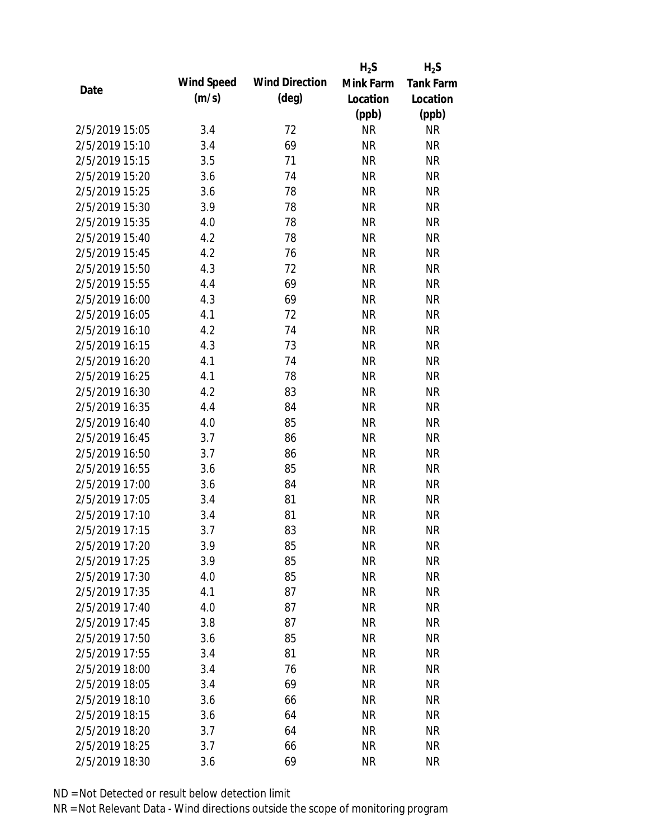|                |            |                       | $H_2S$    | $H_2S$           |
|----------------|------------|-----------------------|-----------|------------------|
|                | Wind Speed | <b>Wind Direction</b> | Mink Farm | <b>Tank Farm</b> |
| Date           | (m/s)      | $(\text{deg})$        | Location  | Location         |
|                |            |                       | (ppb)     | (ppb)            |
| 2/5/2019 15:05 | 3.4        | 72                    | <b>NR</b> | <b>NR</b>        |
| 2/5/2019 15:10 | 3.4        | 69                    | <b>NR</b> | <b>NR</b>        |
| 2/5/2019 15:15 | 3.5        | 71                    | <b>NR</b> | <b>NR</b>        |
| 2/5/2019 15:20 | 3.6        | 74                    | <b>NR</b> | <b>NR</b>        |
| 2/5/2019 15:25 | 3.6        | 78                    | <b>NR</b> | <b>NR</b>        |
| 2/5/2019 15:30 | 3.9        | 78                    | <b>NR</b> | <b>NR</b>        |
| 2/5/2019 15:35 | 4.0        | 78                    | <b>NR</b> | <b>NR</b>        |
| 2/5/2019 15:40 | 4.2        | 78                    | <b>NR</b> | <b>NR</b>        |
| 2/5/2019 15:45 | 4.2        | 76                    | <b>NR</b> | <b>NR</b>        |
| 2/5/2019 15:50 | 4.3        | 72                    | <b>NR</b> | <b>NR</b>        |
| 2/5/2019 15:55 | 4.4        | 69                    | <b>NR</b> | <b>NR</b>        |
| 2/5/2019 16:00 | 4.3        | 69                    | <b>NR</b> | <b>NR</b>        |
| 2/5/2019 16:05 | 4.1        | 72                    | <b>NR</b> | <b>NR</b>        |
| 2/5/2019 16:10 | 4.2        | 74                    | <b>NR</b> | <b>NR</b>        |
| 2/5/2019 16:15 | 4.3        | 73                    | <b>NR</b> | <b>NR</b>        |
| 2/5/2019 16:20 | 4.1        | 74                    | <b>NR</b> | <b>NR</b>        |
| 2/5/2019 16:25 | 4.1        | 78                    | <b>NR</b> | <b>NR</b>        |
| 2/5/2019 16:30 | 4.2        | 83                    | <b>NR</b> | <b>NR</b>        |
| 2/5/2019 16:35 | 4.4        | 84                    | <b>NR</b> | <b>NR</b>        |
| 2/5/2019 16:40 | 4.0        | 85                    | <b>NR</b> | <b>NR</b>        |
| 2/5/2019 16:45 | 3.7        | 86                    | <b>NR</b> | <b>NR</b>        |
| 2/5/2019 16:50 | 3.7        | 86                    | <b>NR</b> | <b>NR</b>        |
| 2/5/2019 16:55 | 3.6        | 85                    | <b>NR</b> | <b>NR</b>        |
| 2/5/2019 17:00 | 3.6        | 84                    | <b>NR</b> | <b>NR</b>        |
| 2/5/2019 17:05 | 3.4        | 81                    | <b>NR</b> | <b>NR</b>        |
| 2/5/2019 17:10 | 3.4        | 81                    | <b>NR</b> | <b>NR</b>        |
| 2/5/2019 17:15 | 3.7        | 83                    | <b>NR</b> | <b>NR</b>        |
| 2/5/2019 17:20 | 3.9        | 85                    | <b>NR</b> | <b>NR</b>        |
| 2/5/2019 17:25 | 3.9        | 85                    | <b>NR</b> | <b>NR</b>        |
| 2/5/2019 17:30 | 4.0        | 85                    | <b>NR</b> | <b>NR</b>        |
| 2/5/2019 17:35 | 4.1        | 87                    | <b>NR</b> | <b>NR</b>        |
| 2/5/2019 17:40 | 4.0        | 87                    | <b>NR</b> | <b>NR</b>        |
| 2/5/2019 17:45 | 3.8        | 87                    | <b>NR</b> | <b>NR</b>        |
| 2/5/2019 17:50 | 3.6        | 85                    | <b>NR</b> | <b>NR</b>        |
| 2/5/2019 17:55 | 3.4        | 81                    | <b>NR</b> | <b>NR</b>        |
| 2/5/2019 18:00 | 3.4        | 76                    | <b>NR</b> | <b>NR</b>        |
| 2/5/2019 18:05 | 3.4        | 69                    | <b>NR</b> | <b>NR</b>        |
| 2/5/2019 18:10 | 3.6        | 66                    | <b>NR</b> | <b>NR</b>        |
| 2/5/2019 18:15 | 3.6        | 64                    | <b>NR</b> | <b>NR</b>        |
| 2/5/2019 18:20 | 3.7        | 64                    | NR        | NR               |
| 2/5/2019 18:25 | 3.7        | 66                    | <b>NR</b> | <b>NR</b>        |
| 2/5/2019 18:30 | 3.6        | 69                    | <b>NR</b> | <b>NR</b>        |
|                |            |                       |           |                  |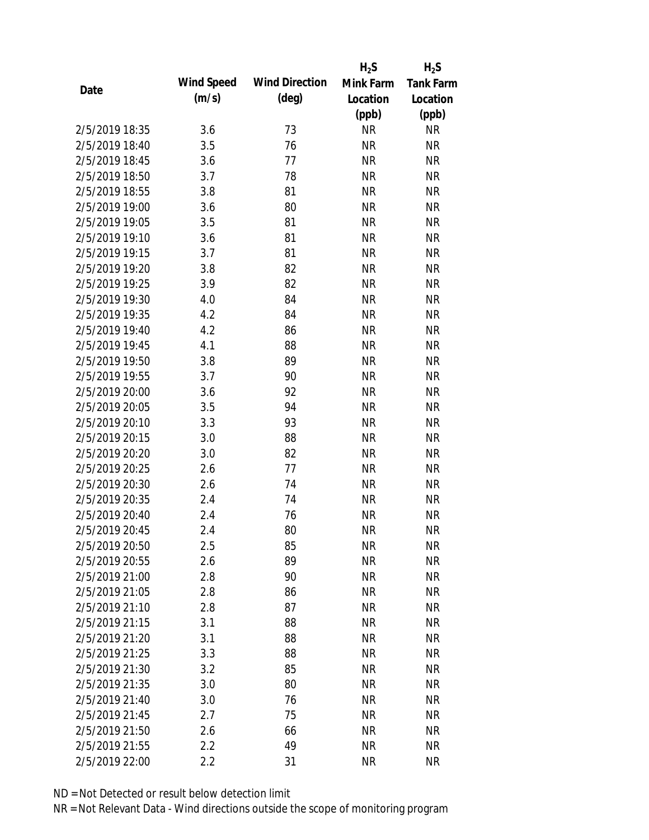|                |            |                       | $H_2S$                 | $H_2S$                 |
|----------------|------------|-----------------------|------------------------|------------------------|
|                | Wind Speed | <b>Wind Direction</b> | Mink Farm              | <b>Tank Farm</b>       |
| Date           | (m/s)      | $(\text{deg})$        | Location               | Location               |
|                |            |                       | (ppb)                  | (ppb)                  |
| 2/5/2019 18:35 | 3.6        | 73                    | <b>NR</b>              | <b>NR</b>              |
| 2/5/2019 18:40 | 3.5        | 76                    | <b>NR</b>              | <b>NR</b>              |
| 2/5/2019 18:45 | 3.6        | 77                    | <b>NR</b>              | <b>NR</b>              |
| 2/5/2019 18:50 | 3.7        | 78                    | <b>NR</b>              | <b>NR</b>              |
| 2/5/2019 18:55 | 3.8        | 81                    | <b>NR</b>              | <b>NR</b>              |
| 2/5/2019 19:00 | 3.6        | 80                    | <b>NR</b>              | <b>NR</b>              |
| 2/5/2019 19:05 | 3.5        | 81                    | <b>NR</b>              | <b>NR</b>              |
| 2/5/2019 19:10 | 3.6        | 81                    | <b>NR</b>              | <b>NR</b>              |
| 2/5/2019 19:15 | 3.7        | 81                    | <b>NR</b>              | <b>NR</b>              |
| 2/5/2019 19:20 | 3.8        | 82                    | <b>NR</b>              | <b>NR</b>              |
| 2/5/2019 19:25 | 3.9        | 82                    | <b>NR</b>              | <b>NR</b>              |
| 2/5/2019 19:30 | 4.0        | 84                    | <b>NR</b>              | <b>NR</b>              |
| 2/5/2019 19:35 | 4.2        | 84                    | <b>NR</b>              | <b>NR</b>              |
| 2/5/2019 19:40 | 4.2        | 86                    | <b>NR</b>              | <b>NR</b>              |
| 2/5/2019 19:45 | 4.1        | 88                    | <b>NR</b>              | <b>NR</b>              |
| 2/5/2019 19:50 | 3.8        | 89                    | <b>NR</b>              | <b>NR</b>              |
| 2/5/2019 19:55 | 3.7        | 90                    | <b>NR</b>              | <b>NR</b>              |
| 2/5/2019 20:00 | 3.6        | 92                    | <b>NR</b>              | <b>NR</b>              |
| 2/5/2019 20:05 | 3.5        | 94                    | <b>NR</b>              | <b>NR</b>              |
| 2/5/2019 20:10 | 3.3        | 93                    | <b>NR</b>              | <b>NR</b>              |
| 2/5/2019 20:15 | 3.0        | 88                    | <b>NR</b>              | <b>NR</b>              |
| 2/5/2019 20:20 | 3.0        | 82                    | <b>NR</b>              | <b>NR</b>              |
| 2/5/2019 20:25 | 2.6        | 77                    | <b>NR</b>              | <b>NR</b>              |
| 2/5/2019 20:30 | 2.6        | 74                    | <b>NR</b>              | <b>NR</b>              |
| 2/5/2019 20:35 | 2.4        | 74                    | <b>NR</b>              | <b>NR</b>              |
| 2/5/2019 20:40 | 2.4        | 76                    | <b>NR</b>              | <b>NR</b>              |
| 2/5/2019 20:45 | 2.4        | 80                    | <b>NR</b>              | <b>NR</b>              |
| 2/5/2019 20:50 | 2.5        | 85                    | <b>NR</b>              | <b>NR</b>              |
| 2/5/2019 20:55 | 2.6        | 89                    | <b>NR</b>              | <b>NR</b>              |
| 2/5/2019 21:00 | 2.8        | 90                    | <b>NR</b>              | <b>NR</b>              |
| 2/5/2019 21:05 | 2.8        | 86                    | <b>NR</b>              | <b>NR</b>              |
| 2/5/2019 21:10 | 2.8        | 87                    | <b>NR</b>              | <b>NR</b>              |
| 2/5/2019 21:15 | 3.1        | 88                    | <b>NR</b>              | <b>NR</b>              |
| 2/5/2019 21:20 | 3.1        | 88                    | <b>NR</b>              | <b>NR</b>              |
| 2/5/2019 21:25 |            |                       |                        |                        |
| 2/5/2019 21:30 | 3.3        | 88<br>85              | <b>NR</b><br><b>NR</b> | <b>NR</b><br><b>NR</b> |
|                | 3.2        |                       |                        |                        |
| 2/5/2019 21:35 | 3.0        | 80                    | <b>NR</b>              | <b>NR</b>              |
| 2/5/2019 21:40 | 3.0        | 76                    | <b>NR</b>              | <b>NR</b>              |
| 2/5/2019 21:45 | 2.7        | 75                    | <b>NR</b>              | <b>NR</b>              |
| 2/5/2019 21:50 | 2.6        | 66                    | <b>NR</b>              | NR                     |
| 2/5/2019 21:55 | 2.2        | 49                    | <b>NR</b>              | <b>NR</b>              |
| 2/5/2019 22:00 | 2.2        | 31                    | <b>NR</b>              | <b>NR</b>              |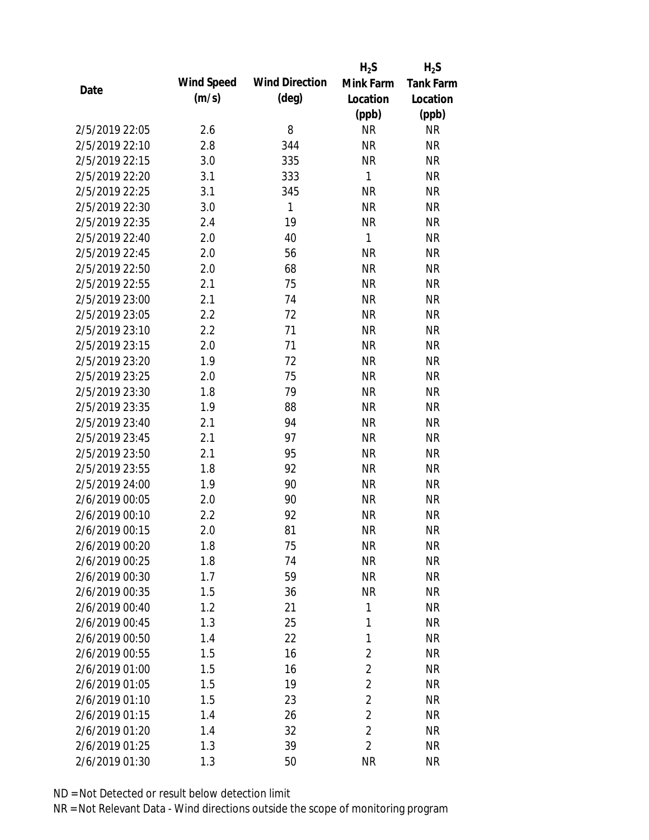|                |            |                       | $H_2S$         | $H_2S$           |
|----------------|------------|-----------------------|----------------|------------------|
| Date           | Wind Speed | <b>Wind Direction</b> | Mink Farm      | <b>Tank Farm</b> |
|                | (m/s)      | $(\text{deg})$        | Location       | Location         |
|                |            |                       | (ppb)          | (ppb)            |
| 2/5/2019 22:05 | 2.6        | 8                     | <b>NR</b>      | NR               |
| 2/5/2019 22:10 | 2.8        | 344                   | <b>NR</b>      | <b>NR</b>        |
| 2/5/2019 22:15 | 3.0        | 335                   | <b>NR</b>      | <b>NR</b>        |
| 2/5/2019 22:20 | 3.1        | 333                   | 1              | <b>NR</b>        |
| 2/5/2019 22:25 | 3.1        | 345                   | <b>NR</b>      | <b>NR</b>        |
| 2/5/2019 22:30 | 3.0        | 1                     | <b>NR</b>      | <b>NR</b>        |
| 2/5/2019 22:35 | 2.4        | 19                    | <b>NR</b>      | <b>NR</b>        |
| 2/5/2019 22:40 | 2.0        | 40                    | $\mathbf{1}$   | <b>NR</b>        |
| 2/5/2019 22:45 | 2.0        | 56                    | <b>NR</b>      | <b>NR</b>        |
| 2/5/2019 22:50 | 2.0        | 68                    | <b>NR</b>      | <b>NR</b>        |
| 2/5/2019 22:55 | 2.1        | 75                    | <b>NR</b>      | <b>NR</b>        |
| 2/5/2019 23:00 | 2.1        | 74                    | <b>NR</b>      | <b>NR</b>        |
| 2/5/2019 23:05 | 2.2        | 72                    | <b>NR</b>      | <b>NR</b>        |
| 2/5/2019 23:10 | 2.2        | 71                    | <b>NR</b>      | <b>NR</b>        |
| 2/5/2019 23:15 | 2.0        | 71                    | <b>NR</b>      | <b>NR</b>        |
| 2/5/2019 23:20 | 1.9        | 72                    | <b>NR</b>      | <b>NR</b>        |
| 2/5/2019 23:25 | 2.0        | 75                    | <b>NR</b>      | <b>NR</b>        |
| 2/5/2019 23:30 | 1.8        | 79                    | <b>NR</b>      | <b>NR</b>        |
| 2/5/2019 23:35 | 1.9        | 88                    | <b>NR</b>      | <b>NR</b>        |
| 2/5/2019 23:40 | 2.1        | 94                    | <b>NR</b>      | <b>NR</b>        |
| 2/5/2019 23:45 | 2.1        | 97                    | <b>NR</b>      | <b>NR</b>        |
| 2/5/2019 23:50 | 2.1        | 95                    | <b>NR</b>      | <b>NR</b>        |
| 2/5/2019 23:55 | 1.8        | 92                    | <b>NR</b>      | <b>NR</b>        |
| 2/5/2019 24:00 | 1.9        | 90                    | <b>NR</b>      | <b>NR</b>        |
| 2/6/2019 00:05 | 2.0        | 90                    | <b>NR</b>      | <b>NR</b>        |
| 2/6/2019 00:10 | 2.2        | 92                    | <b>NR</b>      | <b>NR</b>        |
| 2/6/2019 00:15 | 2.0        | 81                    | <b>NR</b>      | <b>NR</b>        |
| 2/6/2019 00:20 | 1.8        | 75                    | <b>NR</b>      | <b>NR</b>        |
| 2/6/2019 00:25 | 1.8        | 74                    | <b>NR</b>      | <b>NR</b>        |
| 2/6/2019 00:30 | 1.7        | 59                    | <b>NR</b>      | <b>NR</b>        |
| 2/6/2019 00:35 | 1.5        | 36                    | <b>NR</b>      | <b>NR</b>        |
| 2/6/2019 00:40 | 1.2        | 21                    | 1              | <b>NR</b>        |
| 2/6/2019 00:45 | 1.3        | 25                    | 1              | <b>NR</b>        |
| 2/6/2019 00:50 | 1.4        | 22                    | 1              | <b>NR</b>        |
| 2/6/2019 00:55 | 1.5        | 16                    | 2              | <b>NR</b>        |
| 2/6/2019 01:00 | 1.5        | 16                    | $\overline{2}$ | <b>NR</b>        |
| 2/6/2019 01:05 | 1.5        | 19                    | $\overline{2}$ | <b>NR</b>        |
| 2/6/2019 01:10 | 1.5        | 23                    | $\overline{2}$ | <b>NR</b>        |
| 2/6/2019 01:15 | 1.4        | 26                    | $\overline{2}$ | <b>NR</b>        |
| 2/6/2019 01:20 | 1.4        | 32                    | $\overline{2}$ | <b>NR</b>        |
| 2/6/2019 01:25 | 1.3        | 39                    | $\overline{2}$ | <b>NR</b>        |
| 2/6/2019 01:30 | 1.3        | 50                    | <b>NR</b>      | <b>NR</b>        |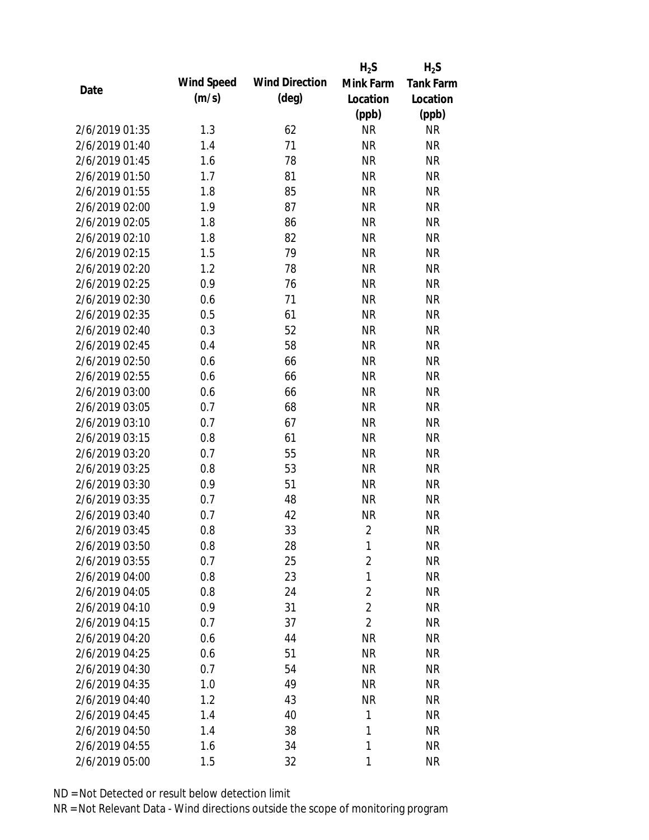|                |            |                       | $H_2S$         | $H_2S$           |
|----------------|------------|-----------------------|----------------|------------------|
| Date           | Wind Speed | <b>Wind Direction</b> | Mink Farm      | <b>Tank Farm</b> |
|                | (m/s)      | $(\text{deg})$        | Location       | Location         |
|                |            |                       | (ppb)          | (ppb)            |
| 2/6/2019 01:35 | 1.3        | 62                    | <b>NR</b>      | <b>NR</b>        |
| 2/6/2019 01:40 | 1.4        | 71                    | <b>NR</b>      | <b>NR</b>        |
| 2/6/2019 01:45 | 1.6        | 78                    | <b>NR</b>      | <b>NR</b>        |
| 2/6/2019 01:50 | 1.7        | 81                    | <b>NR</b>      | <b>NR</b>        |
| 2/6/2019 01:55 | 1.8        | 85                    | <b>NR</b>      | <b>NR</b>        |
| 2/6/2019 02:00 | 1.9        | 87                    | <b>NR</b>      | <b>NR</b>        |
| 2/6/2019 02:05 | 1.8        | 86                    | <b>NR</b>      | <b>NR</b>        |
| 2/6/2019 02:10 | 1.8        | 82                    | <b>NR</b>      | <b>NR</b>        |
| 2/6/2019 02:15 | 1.5        | 79                    | <b>NR</b>      | <b>NR</b>        |
| 2/6/2019 02:20 | 1.2        | 78                    | <b>NR</b>      | <b>NR</b>        |
| 2/6/2019 02:25 | 0.9        | 76                    | <b>NR</b>      | <b>NR</b>        |
| 2/6/2019 02:30 | 0.6        | 71                    | <b>NR</b>      | <b>NR</b>        |
| 2/6/2019 02:35 | 0.5        | 61                    | <b>NR</b>      | <b>NR</b>        |
| 2/6/2019 02:40 | 0.3        | 52                    | <b>NR</b>      | <b>NR</b>        |
| 2/6/2019 02:45 | 0.4        | 58                    | <b>NR</b>      | <b>NR</b>        |
| 2/6/2019 02:50 | 0.6        | 66                    | <b>NR</b>      | <b>NR</b>        |
| 2/6/2019 02:55 | 0.6        | 66                    | <b>NR</b>      | <b>NR</b>        |
| 2/6/2019 03:00 | 0.6        | 66                    | <b>NR</b>      | <b>NR</b>        |
| 2/6/2019 03:05 | 0.7        | 68                    | <b>NR</b>      | <b>NR</b>        |
| 2/6/2019 03:10 | 0.7        | 67                    | <b>NR</b>      | <b>NR</b>        |
| 2/6/2019 03:15 | 0.8        | 61                    | <b>NR</b>      | <b>NR</b>        |
| 2/6/2019 03:20 | 0.7        | 55                    | <b>NR</b>      | <b>NR</b>        |
| 2/6/2019 03:25 | 0.8        | 53                    | <b>NR</b>      | <b>NR</b>        |
| 2/6/2019 03:30 | 0.9        | 51                    | <b>NR</b>      | <b>NR</b>        |
| 2/6/2019 03:35 | 0.7        | 48                    | <b>NR</b>      | <b>NR</b>        |
| 2/6/2019 03:40 | 0.7        | 42                    | <b>NR</b>      | <b>NR</b>        |
| 2/6/2019 03:45 | 0.8        | 33                    | $\overline{2}$ | <b>NR</b>        |
| 2/6/2019 03:50 | 0.8        | 28                    | 1              | <b>NR</b>        |
| 2/6/2019 03:55 | 0.7        | 25                    | $\overline{2}$ | <b>NR</b>        |
| 2/6/2019 04:00 | 0.8        | 23                    | 1              | <b>NR</b>        |
| 2/6/2019 04:05 | 0.8        | 24                    | $\overline{2}$ | <b>NR</b>        |
| 2/6/2019 04:10 | 0.9        | 31                    | $\overline{2}$ | <b>NR</b>        |
| 2/6/2019 04:15 | 0.7        | 37                    | $\overline{2}$ | <b>NR</b>        |
| 2/6/2019 04:20 | 0.6        | 44                    | <b>NR</b>      | <b>NR</b>        |
| 2/6/2019 04:25 | 0.6        | 51                    | <b>NR</b>      | <b>NR</b>        |
| 2/6/2019 04:30 | 0.7        | 54                    | <b>NR</b>      | <b>NR</b>        |
| 2/6/2019 04:35 | 1.0        | 49                    | <b>NR</b>      | <b>NR</b>        |
| 2/6/2019 04:40 | 1.2        | 43                    | <b>NR</b>      | <b>NR</b>        |
| 2/6/2019 04:45 | 1.4        | 40                    | 1              | <b>NR</b>        |
| 2/6/2019 04:50 | 1.4        | 38                    | 1              | <b>NR</b>        |
| 2/6/2019 04:55 | 1.6        | 34                    | 1              | <b>NR</b>        |
| 2/6/2019 05:00 | 1.5        | 32                    | 1              | <b>NR</b>        |
|                |            |                       |                |                  |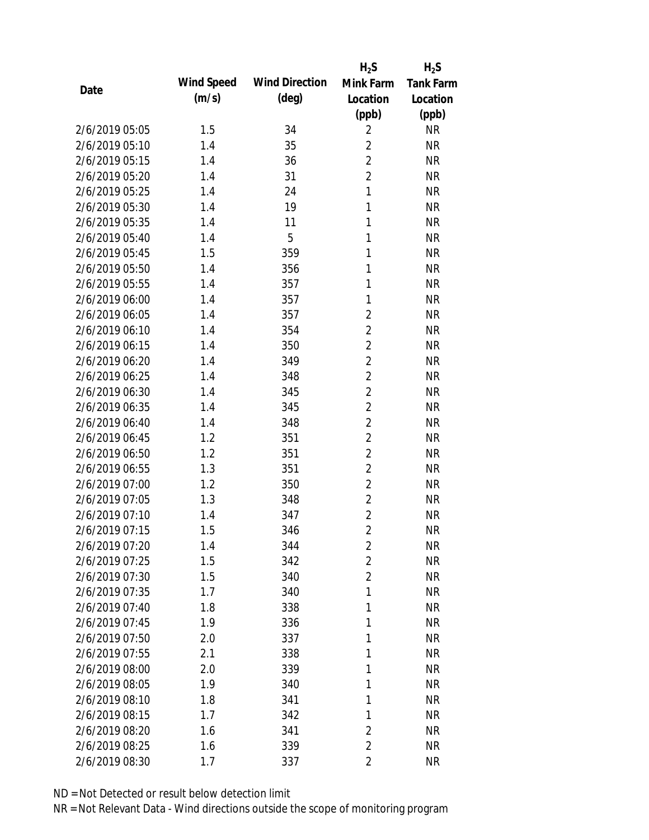|                |            |                       | $H_2S$         | $H_2S$           |
|----------------|------------|-----------------------|----------------|------------------|
|                | Wind Speed | <b>Wind Direction</b> | Mink Farm      | <b>Tank Farm</b> |
| Date           | (m/s)      | $(\text{deg})$        | Location       | Location         |
|                |            |                       | (ppb)          | (ppb)            |
| 2/6/2019 05:05 | 1.5        | 34                    | $\overline{2}$ | <b>NR</b>        |
| 2/6/2019 05:10 | 1.4        | 35                    | $\overline{2}$ | <b>NR</b>        |
| 2/6/2019 05:15 | 1.4        | 36                    | $\overline{2}$ | <b>NR</b>        |
| 2/6/2019 05:20 | 1.4        | 31                    | $\overline{2}$ | <b>NR</b>        |
| 2/6/2019 05:25 | 1.4        | 24                    | $\mathbf{1}$   | <b>NR</b>        |
| 2/6/2019 05:30 | 1.4        | 19                    | $\mathbf{1}$   | <b>NR</b>        |
| 2/6/2019 05:35 | 1.4        | 11                    | 1              | <b>NR</b>        |
| 2/6/2019 05:40 | 1.4        | 5                     | $\mathbf{1}$   | <b>NR</b>        |
| 2/6/2019 05:45 | 1.5        | 359                   | $\mathbf{1}$   | <b>NR</b>        |
| 2/6/2019 05:50 | 1.4        | 356                   | 1              | <b>NR</b>        |
| 2/6/2019 05:55 | 1.4        | 357                   | 1              | <b>NR</b>        |
| 2/6/2019 06:00 | 1.4        | 357                   | 1              | <b>NR</b>        |
| 2/6/2019 06:05 | 1.4        | 357                   | $\overline{2}$ | <b>NR</b>        |
| 2/6/2019 06:10 | 1.4        | 354                   | $\overline{2}$ | <b>NR</b>        |
| 2/6/2019 06:15 | 1.4        | 350                   | $\overline{2}$ | <b>NR</b>        |
| 2/6/2019 06:20 | 1.4        | 349                   | $\overline{2}$ | <b>NR</b>        |
| 2/6/2019 06:25 | 1.4        | 348                   | $\overline{2}$ | <b>NR</b>        |
| 2/6/2019 06:30 | 1.4        | 345                   | $\overline{2}$ | <b>NR</b>        |
| 2/6/2019 06:35 | 1.4        | 345                   | $\overline{2}$ | <b>NR</b>        |
| 2/6/2019 06:40 | 1.4        | 348                   | $\overline{2}$ | <b>NR</b>        |
| 2/6/2019 06:45 | 1.2        | 351                   | $\overline{2}$ | <b>NR</b>        |
| 2/6/2019 06:50 | 1.2        | 351                   | $\overline{2}$ | <b>NR</b>        |
| 2/6/2019 06:55 | 1.3        | 351                   | $\overline{2}$ | <b>NR</b>        |
| 2/6/2019 07:00 | 1.2        | 350                   | $\overline{2}$ | <b>NR</b>        |
| 2/6/2019 07:05 | 1.3        | 348                   | $\overline{2}$ | <b>NR</b>        |
| 2/6/2019 07:10 | 1.4        | 347                   | $\overline{2}$ | <b>NR</b>        |
| 2/6/2019 07:15 | 1.5        | 346                   | $\overline{2}$ | <b>NR</b>        |
| 2/6/2019 07:20 | 1.4        | 344                   | $\overline{2}$ | <b>NR</b>        |
| 2/6/2019 07:25 | 1.5        | 342                   | $\overline{2}$ | <b>NR</b>        |
| 2/6/2019 07:30 | 1.5        | 340                   | $\overline{2}$ | <b>NR</b>        |
| 2/6/2019 07:35 | 1.7        | 340                   | 1              | <b>NR</b>        |
| 2/6/2019 07:40 | 1.8        | 338                   | 1              | <b>NR</b>        |
| 2/6/2019 07:45 | 1.9        | 336                   | 1              | <b>NR</b>        |
| 2/6/2019 07:50 | 2.0        | 337                   | 1              | <b>NR</b>        |
| 2/6/2019 07:55 | 2.1        | 338                   | 1              | <b>NR</b>        |
| 2/6/2019 08:00 | 2.0        | 339                   | 1              | <b>NR</b>        |
| 2/6/2019 08:05 | 1.9        | 340                   | 1              | <b>NR</b>        |
| 2/6/2019 08:10 | 1.8        | 341                   | 1              | <b>NR</b>        |
| 2/6/2019 08:15 | 1.7        | 342                   | 1              | <b>NR</b>        |
| 2/6/2019 08:20 | 1.6        | 341                   | 2              | <b>NR</b>        |
| 2/6/2019 08:25 | 1.6        | 339                   | $\overline{2}$ | <b>NR</b>        |
| 2/6/2019 08:30 | 1.7        | 337                   | $\overline{2}$ | <b>NR</b>        |
|                |            |                       |                |                  |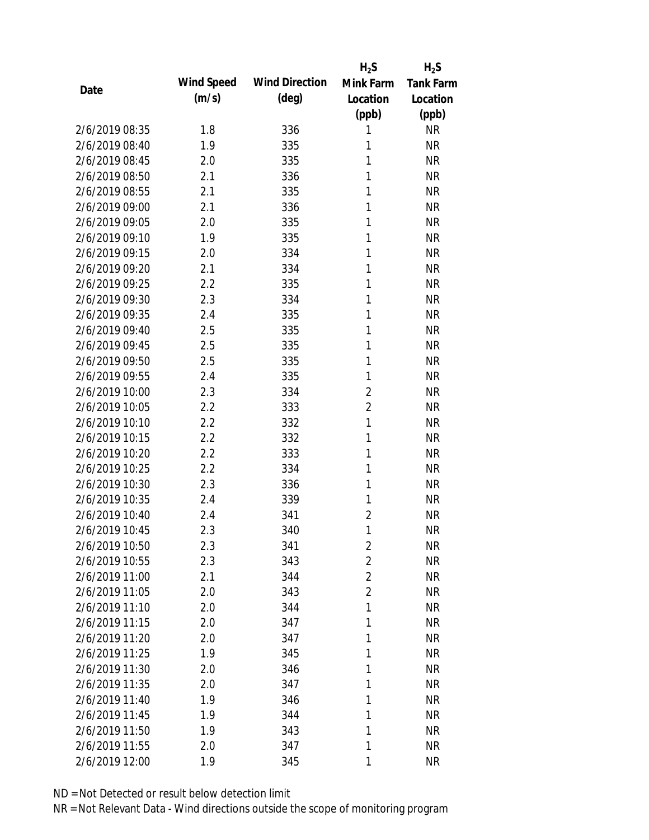|                |            |                       | $H_2S$         | $H_2S$           |
|----------------|------------|-----------------------|----------------|------------------|
|                | Wind Speed | <b>Wind Direction</b> | Mink Farm      | <b>Tank Farm</b> |
| Date           | (m/s)      | $(\text{deg})$        | Location       | Location         |
|                |            |                       | (ppb)          | (ppb)            |
| 2/6/2019 08:35 | 1.8        | 336                   | 1              | <b>NR</b>        |
| 2/6/2019 08:40 | 1.9        | 335                   | 1              | <b>NR</b>        |
| 2/6/2019 08:45 | 2.0        | 335                   | 1              | <b>NR</b>        |
| 2/6/2019 08:50 | 2.1        | 336                   | 1              | <b>NR</b>        |
| 2/6/2019 08:55 | 2.1        | 335                   | 1              | <b>NR</b>        |
| 2/6/2019 09:00 | 2.1        | 336                   | 1              | <b>NR</b>        |
| 2/6/2019 09:05 | 2.0        | 335                   | 1              | <b>NR</b>        |
| 2/6/2019 09:10 | 1.9        | 335                   | 1              | <b>NR</b>        |
| 2/6/2019 09:15 | 2.0        | 334                   | 1              | <b>NR</b>        |
| 2/6/2019 09:20 | 2.1        | 334                   | 1              | <b>NR</b>        |
| 2/6/2019 09:25 | 2.2        | 335                   | 1              | <b>NR</b>        |
| 2/6/2019 09:30 | 2.3        | 334                   | 1              | <b>NR</b>        |
| 2/6/2019 09:35 | 2.4        | 335                   | 1              | <b>NR</b>        |
| 2/6/2019 09:40 | 2.5        | 335                   | 1              | <b>NR</b>        |
| 2/6/2019 09:45 | 2.5        | 335                   | 1              | <b>NR</b>        |
| 2/6/2019 09:50 | 2.5        | 335                   | 1              | <b>NR</b>        |
| 2/6/2019 09:55 | 2.4        | 335                   | 1              | <b>NR</b>        |
| 2/6/2019 10:00 | 2.3        | 334                   | $\overline{2}$ | <b>NR</b>        |
| 2/6/2019 10:05 | 2.2        | 333                   | $\overline{2}$ | <b>NR</b>        |
| 2/6/2019 10:10 | 2.2        | 332                   | $\mathbf{1}$   | <b>NR</b>        |
| 2/6/2019 10:15 | 2.2        | 332                   | 1              | <b>NR</b>        |
| 2/6/2019 10:20 | 2.2        | 333                   | 1              | <b>NR</b>        |
| 2/6/2019 10:25 | 2.2        | 334                   | 1              | <b>NR</b>        |
| 2/6/2019 10:30 | 2.3        | 336                   | 1              | <b>NR</b>        |
| 2/6/2019 10:35 | 2.4        | 339                   | 1              | <b>NR</b>        |
| 2/6/2019 10:40 | 2.4        | 341                   | $\overline{2}$ | <b>NR</b>        |
| 2/6/2019 10:45 | 2.3        | 340                   | 1              | <b>NR</b>        |
| 2/6/2019 10:50 | 2.3        | 341                   | $\sqrt{2}$     | <b>NR</b>        |
| 2/6/2019 10:55 | 2.3        | 343                   | $\overline{2}$ | <b>NR</b>        |
| 2/6/2019 11:00 | 2.1        | 344                   | $\overline{2}$ | <b>NR</b>        |
| 2/6/2019 11:05 | 2.0        | 343                   | $\overline{2}$ | <b>NR</b>        |
| 2/6/2019 11:10 | 2.0        | 344                   | 1              | <b>NR</b>        |
| 2/6/2019 11:15 | 2.0        | 347                   | 1              | <b>NR</b>        |
| 2/6/2019 11:20 | 2.0        | 347                   | 1              | <b>NR</b>        |
| 2/6/2019 11:25 | 1.9        | 345                   | 1              | <b>NR</b>        |
| 2/6/2019 11:30 | 2.0        | 346                   | 1              | <b>NR</b>        |
| 2/6/2019 11:35 | 2.0        | 347                   | 1              | <b>NR</b>        |
| 2/6/2019 11:40 | 1.9        | 346                   | 1              | <b>NR</b>        |
| 2/6/2019 11:45 | 1.9        | 344                   | 1              | <b>NR</b>        |
| 2/6/2019 11:50 | 1.9        | 343                   | 1              | <b>NR</b>        |
| 2/6/2019 11:55 | 2.0        | 347                   | 1              | <b>NR</b>        |
| 2/6/2019 12:00 | 1.9        | 345                   | 1              | <b>NR</b>        |
|                |            |                       |                |                  |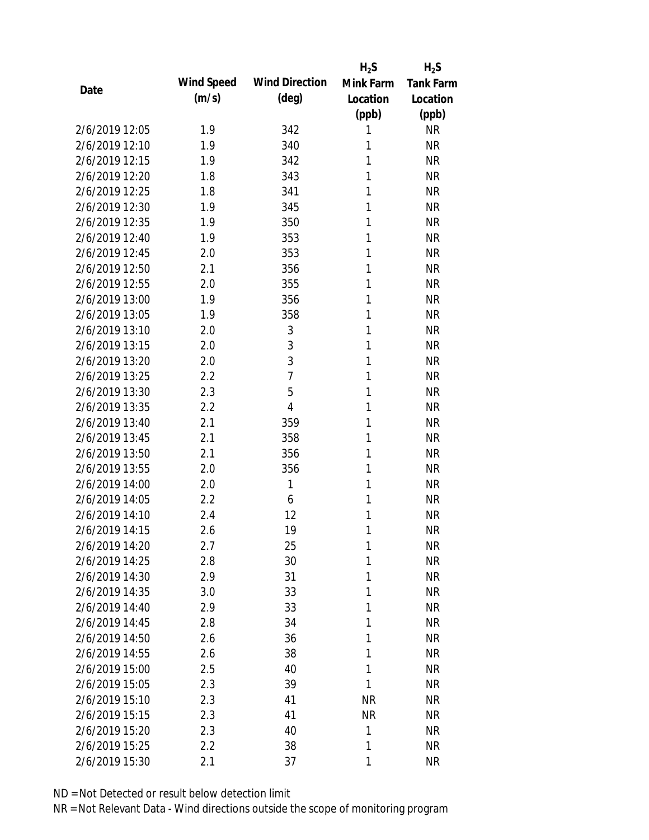|                |            |                       | $H_2S$    | $H_2S$    |
|----------------|------------|-----------------------|-----------|-----------|
| Date           | Wind Speed | <b>Wind Direction</b> | Mink Farm | Tank Farm |
|                | (m/s)      | $(\text{deg})$        | Location  | Location  |
|                |            |                       | (ppb)     | (ppb)     |
| 2/6/2019 12:05 | 1.9        | 342                   | 1         | <b>NR</b> |
| 2/6/2019 12:10 | 1.9        | 340                   | 1         | <b>NR</b> |
| 2/6/2019 12:15 | 1.9        | 342                   | 1         | <b>NR</b> |
| 2/6/2019 12:20 | 1.8        | 343                   | 1         | <b>NR</b> |
| 2/6/2019 12:25 | 1.8        | 341                   | 1         | <b>NR</b> |
| 2/6/2019 12:30 | 1.9        | 345                   | 1         | <b>NR</b> |
| 2/6/2019 12:35 | 1.9        | 350                   | 1         | <b>NR</b> |
| 2/6/2019 12:40 | 1.9        | 353                   | 1         | <b>NR</b> |
| 2/6/2019 12:45 | 2.0        | 353                   | 1         | <b>NR</b> |
| 2/6/2019 12:50 | 2.1        | 356                   | 1         | <b>NR</b> |
| 2/6/2019 12:55 | 2.0        | 355                   | 1         | <b>NR</b> |
| 2/6/2019 13:00 | 1.9        | 356                   | 1         | <b>NR</b> |
| 2/6/2019 13:05 | 1.9        | 358                   | 1         | <b>NR</b> |
| 2/6/2019 13:10 | 2.0        | 3                     | 1         | <b>NR</b> |
| 2/6/2019 13:15 | 2.0        | 3                     | 1         | <b>NR</b> |
| 2/6/2019 13:20 | 2.0        | 3                     | 1         | <b>NR</b> |
| 2/6/2019 13:25 | 2.2        | $\overline{7}$        | 1         | <b>NR</b> |
| 2/6/2019 13:30 | 2.3        | 5                     | 1         | <b>NR</b> |
| 2/6/2019 13:35 | 2.2        | 4                     | 1         | <b>NR</b> |
| 2/6/2019 13:40 | 2.1        | 359                   | 1         | <b>NR</b> |
| 2/6/2019 13:45 | 2.1        | 358                   | 1         | <b>NR</b> |
| 2/6/2019 13:50 | 2.1        | 356                   | 1         | <b>NR</b> |
| 2/6/2019 13:55 | 2.0        | 356                   | 1         | <b>NR</b> |
| 2/6/2019 14:00 | 2.0        | 1                     | 1         | <b>NR</b> |
| 2/6/2019 14:05 | 2.2        | 6                     | 1         | <b>NR</b> |
| 2/6/2019 14:10 | 2.4        | 12                    | 1         | <b>NR</b> |
| 2/6/2019 14:15 | 2.6        | 19                    | 1         | <b>NR</b> |
| 2/6/2019 14:20 | 2.7        | 25                    | 1         | <b>NR</b> |
| 2/6/2019 14:25 | 2.8        | 30                    | 1         | <b>NR</b> |
| 2/6/2019 14:30 | 2.9        | 31                    | 1         | <b>NR</b> |
| 2/6/2019 14:35 | 3.0        | 33                    | 1         | <b>NR</b> |
| 2/6/2019 14:40 | 2.9        | 33                    | 1         | <b>NR</b> |
| 2/6/2019 14:45 | 2.8        | 34                    | 1         | <b>NR</b> |
| 2/6/2019 14:50 | 2.6        | 36                    | 1         | <b>NR</b> |
| 2/6/2019 14:55 | 2.6        | 38                    | 1         | <b>NR</b> |
| 2/6/2019 15:00 | 2.5        | 40                    | 1         | <b>NR</b> |
| 2/6/2019 15:05 | 2.3        | 39                    | 1         | <b>NR</b> |
| 2/6/2019 15:10 | 2.3        | 41                    | <b>NR</b> | <b>NR</b> |
| 2/6/2019 15:15 | 2.3        | 41                    | <b>NR</b> | <b>NR</b> |
| 2/6/2019 15:20 | 2.3        | 40                    | 1         | <b>NR</b> |
| 2/6/2019 15:25 | 2.2        | 38                    | 1         | <b>NR</b> |
| 2/6/2019 15:30 | 2.1        | 37                    | 1         | <b>NR</b> |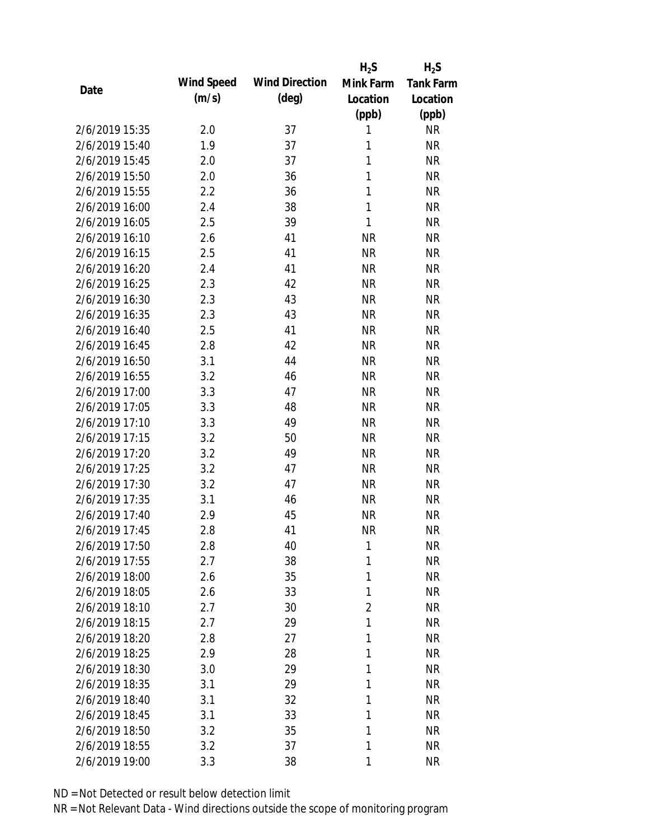|                |            |                       | $H_2S$         | $H_2S$    |
|----------------|------------|-----------------------|----------------|-----------|
| Date           | Wind Speed | <b>Wind Direction</b> | Mink Farm      | Tank Farm |
|                | (m/s)      | $(\text{deg})$        | Location       | Location  |
|                |            |                       | (ppb)          | (ppb)     |
| 2/6/2019 15:35 | 2.0        | 37                    | 1              | <b>NR</b> |
| 2/6/2019 15:40 | 1.9        | 37                    | 1              | <b>NR</b> |
| 2/6/2019 15:45 | 2.0        | 37                    | $\mathbf{1}$   | <b>NR</b> |
| 2/6/2019 15:50 | 2.0        | 36                    | 1              | <b>NR</b> |
| 2/6/2019 15:55 | 2.2        | 36                    | $\mathbf{1}$   | <b>NR</b> |
| 2/6/2019 16:00 | 2.4        | 38                    | 1              | <b>NR</b> |
| 2/6/2019 16:05 | 2.5        | 39                    | 1              | <b>NR</b> |
| 2/6/2019 16:10 | 2.6        | 41                    | <b>NR</b>      | <b>NR</b> |
| 2/6/2019 16:15 | 2.5        | 41                    | <b>NR</b>      | <b>NR</b> |
| 2/6/2019 16:20 | 2.4        | 41                    | <b>NR</b>      | <b>NR</b> |
| 2/6/2019 16:25 | 2.3        | 42                    | <b>NR</b>      | <b>NR</b> |
| 2/6/2019 16:30 | 2.3        | 43                    | <b>NR</b>      | <b>NR</b> |
| 2/6/2019 16:35 | 2.3        | 43                    | <b>NR</b>      | <b>NR</b> |
| 2/6/2019 16:40 | 2.5        | 41                    | <b>NR</b>      | <b>NR</b> |
| 2/6/2019 16:45 | 2.8        | 42                    | <b>NR</b>      | <b>NR</b> |
| 2/6/2019 16:50 | 3.1        | 44                    | <b>NR</b>      | <b>NR</b> |
| 2/6/2019 16:55 | 3.2        | 46                    | <b>NR</b>      | <b>NR</b> |
| 2/6/2019 17:00 | 3.3        | 47                    | <b>NR</b>      | <b>NR</b> |
| 2/6/2019 17:05 | 3.3        | 48                    | <b>NR</b>      | <b>NR</b> |
| 2/6/2019 17:10 | 3.3        | 49                    | <b>NR</b>      | <b>NR</b> |
| 2/6/2019 17:15 | 3.2        | 50                    | <b>NR</b>      | <b>NR</b> |
| 2/6/2019 17:20 | 3.2        | 49                    | <b>NR</b>      | <b>NR</b> |
| 2/6/2019 17:25 | 3.2        | 47                    | <b>NR</b>      | <b>NR</b> |
| 2/6/2019 17:30 | 3.2        | 47                    | <b>NR</b>      | <b>NR</b> |
| 2/6/2019 17:35 | 3.1        | 46                    | <b>NR</b>      | <b>NR</b> |
| 2/6/2019 17:40 | 2.9        | 45                    | <b>NR</b>      | <b>NR</b> |
| 2/6/2019 17:45 | 2.8        | 41                    | <b>NR</b>      | <b>NR</b> |
| 2/6/2019 17:50 | 2.8        | 40                    | 1              | <b>NR</b> |
| 2/6/2019 17:55 | 2.7        | 38                    | 1              | <b>NR</b> |
| 2/6/2019 18:00 | 2.6        | 35                    | 1              | <b>NR</b> |
| 2/6/2019 18:05 | 2.6        | 33                    | 1              | <b>NR</b> |
| 2/6/2019 18:10 | 2.7        | 30                    | $\overline{2}$ | <b>NR</b> |
| 2/6/2019 18:15 | 2.7        | 29                    | 1              | <b>NR</b> |
| 2/6/2019 18:20 | 2.8        | 27                    | 1              | <b>NR</b> |
| 2/6/2019 18:25 | 2.9        | 28                    | 1              | <b>NR</b> |
| 2/6/2019 18:30 | 3.0        | 29                    | 1              | <b>NR</b> |
| 2/6/2019 18:35 | 3.1        | 29                    | 1              | <b>NR</b> |
| 2/6/2019 18:40 | 3.1        | 32                    | 1              | <b>NR</b> |
| 2/6/2019 18:45 | 3.1        | 33                    | 1              | <b>NR</b> |
| 2/6/2019 18:50 | 3.2        | 35                    | 1              | <b>NR</b> |
| 2/6/2019 18:55 | 3.2        | 37                    | 1              | <b>NR</b> |
| 2/6/2019 19:00 | 3.3        | 38                    | 1              | <b>NR</b> |
|                |            |                       |                |           |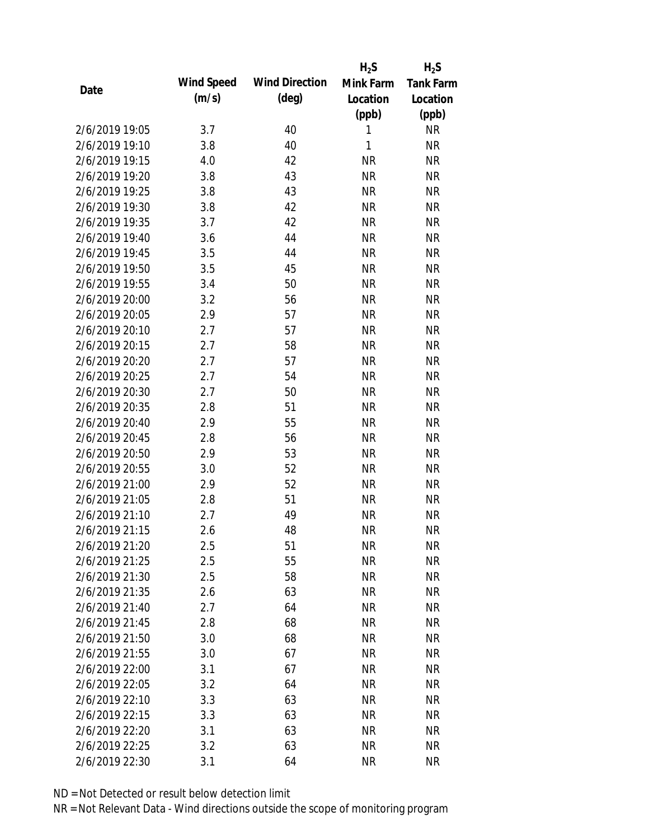|                |            |                       | $H_2S$    | $H_2S$           |
|----------------|------------|-----------------------|-----------|------------------|
| Date           | Wind Speed | <b>Wind Direction</b> | Mink Farm | <b>Tank Farm</b> |
|                | (m/s)      | $(\text{deg})$        | Location  | Location         |
|                |            |                       | (ppb)     | (ppb)            |
| 2/6/2019 19:05 | 3.7        | 40                    | 1         | <b>NR</b>        |
| 2/6/2019 19:10 | 3.8        | 40                    | 1         | <b>NR</b>        |
| 2/6/2019 19:15 | 4.0        | 42                    | <b>NR</b> | <b>NR</b>        |
| 2/6/2019 19:20 | 3.8        | 43                    | <b>NR</b> | <b>NR</b>        |
| 2/6/2019 19:25 | 3.8        | 43                    | <b>NR</b> | <b>NR</b>        |
| 2/6/2019 19:30 | 3.8        | 42                    | <b>NR</b> | <b>NR</b>        |
| 2/6/2019 19:35 | 3.7        | 42                    | <b>NR</b> | <b>NR</b>        |
| 2/6/2019 19:40 | 3.6        | 44                    | <b>NR</b> | <b>NR</b>        |
| 2/6/2019 19:45 | 3.5        | 44                    | <b>NR</b> | <b>NR</b>        |
| 2/6/2019 19:50 | 3.5        | 45                    | <b>NR</b> | <b>NR</b>        |
| 2/6/2019 19:55 | 3.4        | 50                    | <b>NR</b> | <b>NR</b>        |
| 2/6/2019 20:00 | 3.2        | 56                    | <b>NR</b> | <b>NR</b>        |
| 2/6/2019 20:05 | 2.9        | 57                    | <b>NR</b> | <b>NR</b>        |
| 2/6/2019 20:10 | 2.7        | 57                    | <b>NR</b> | <b>NR</b>        |
| 2/6/2019 20:15 | 2.7        | 58                    | <b>NR</b> | <b>NR</b>        |
| 2/6/2019 20:20 | 2.7        | 57                    | <b>NR</b> | <b>NR</b>        |
| 2/6/2019 20:25 | 2.7        | 54                    | <b>NR</b> | <b>NR</b>        |
| 2/6/2019 20:30 | 2.7        | 50                    | <b>NR</b> | <b>NR</b>        |
| 2/6/2019 20:35 | 2.8        | 51                    | <b>NR</b> | <b>NR</b>        |
| 2/6/2019 20:40 | 2.9        | 55                    | <b>NR</b> | <b>NR</b>        |
| 2/6/2019 20:45 | 2.8        | 56                    | <b>NR</b> | <b>NR</b>        |
| 2/6/2019 20:50 | 2.9        | 53                    | <b>NR</b> | <b>NR</b>        |
| 2/6/2019 20:55 | 3.0        | 52                    | <b>NR</b> | <b>NR</b>        |
| 2/6/2019 21:00 | 2.9        | 52                    | <b>NR</b> | <b>NR</b>        |
| 2/6/2019 21:05 | 2.8        | 51                    | <b>NR</b> | <b>NR</b>        |
| 2/6/2019 21:10 | 2.7        | 49                    | <b>NR</b> | <b>NR</b>        |
| 2/6/2019 21:15 | 2.6        | 48                    | <b>NR</b> | <b>NR</b>        |
| 2/6/2019 21:20 | 2.5        | 51                    | <b>NR</b> | <b>NR</b>        |
| 2/6/2019 21:25 | 2.5        | 55                    | <b>NR</b> | <b>NR</b>        |
| 2/6/2019 21:30 | 2.5        | 58                    | <b>NR</b> | <b>NR</b>        |
| 2/6/2019 21:35 | 2.6        | 63                    | <b>NR</b> | <b>NR</b>        |
| 2/6/2019 21:40 | 2.7        | 64                    | <b>NR</b> | <b>NR</b>        |
| 2/6/2019 21:45 | 2.8        | 68                    | <b>NR</b> | <b>NR</b>        |
| 2/6/2019 21:50 | 3.0        | 68                    | <b>NR</b> | <b>NR</b>        |
| 2/6/2019 21:55 | 3.0        | 67                    | <b>NR</b> | <b>NR</b>        |
| 2/6/2019 22:00 | 3.1        | 67                    | <b>NR</b> | <b>NR</b>        |
| 2/6/2019 22:05 | 3.2        | 64                    | <b>NR</b> | <b>NR</b>        |
| 2/6/2019 22:10 | 3.3        | 63                    | <b>NR</b> | <b>NR</b>        |
| 2/6/2019 22:15 | 3.3        | 63                    | <b>NR</b> | <b>NR</b>        |
| 2/6/2019 22:20 | 3.1        | 63                    | <b>NR</b> | <b>NR</b>        |
| 2/6/2019 22:25 | 3.2        | 63                    | <b>NR</b> | <b>NR</b>        |
| 2/6/2019 22:30 | 3.1        | 64                    | <b>NR</b> | <b>NR</b>        |
|                |            |                       |           |                  |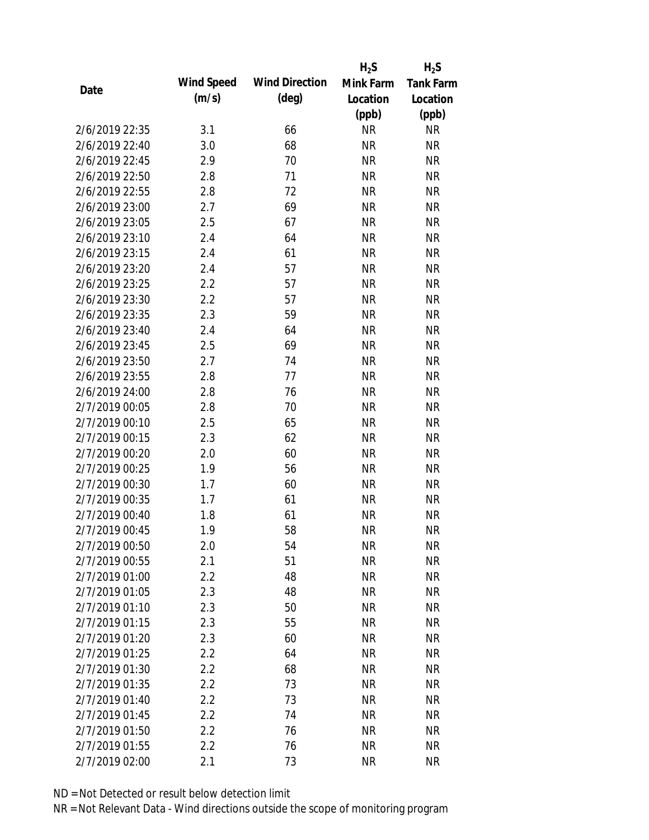|                |            |                       | $H_2S$    | $H_2S$           |
|----------------|------------|-----------------------|-----------|------------------|
| Date           | Wind Speed | <b>Wind Direction</b> | Mink Farm | <b>Tank Farm</b> |
|                | (m/s)      | $(\text{deg})$        | Location  | Location         |
|                |            |                       | (ppb)     | (ppb)            |
| 2/6/2019 22:35 | 3.1        | 66                    | <b>NR</b> | <b>NR</b>        |
| 2/6/2019 22:40 | 3.0        | 68                    | <b>NR</b> | <b>NR</b>        |
| 2/6/2019 22:45 | 2.9        | 70                    | <b>NR</b> | <b>NR</b>        |
| 2/6/2019 22:50 | 2.8        | 71                    | <b>NR</b> | <b>NR</b>        |
| 2/6/2019 22:55 | 2.8        | 72                    | <b>NR</b> | <b>NR</b>        |
| 2/6/2019 23:00 | 2.7        | 69                    | <b>NR</b> | <b>NR</b>        |
| 2/6/2019 23:05 | 2.5        | 67                    | <b>NR</b> | <b>NR</b>        |
| 2/6/2019 23:10 | 2.4        | 64                    | <b>NR</b> | <b>NR</b>        |
| 2/6/2019 23:15 | 2.4        | 61                    | <b>NR</b> | <b>NR</b>        |
| 2/6/2019 23:20 | 2.4        | 57                    | <b>NR</b> | <b>NR</b>        |
| 2/6/2019 23:25 | 2.2        | 57                    | <b>NR</b> | <b>NR</b>        |
| 2/6/2019 23:30 | 2.2        | 57                    | <b>NR</b> | <b>NR</b>        |
| 2/6/2019 23:35 | 2.3        | 59                    | <b>NR</b> | <b>NR</b>        |
| 2/6/2019 23:40 | 2.4        | 64                    | <b>NR</b> | <b>NR</b>        |
| 2/6/2019 23:45 | 2.5        | 69                    | <b>NR</b> | <b>NR</b>        |
| 2/6/2019 23:50 | 2.7        | 74                    | <b>NR</b> | <b>NR</b>        |
| 2/6/2019 23:55 | 2.8        | 77                    | <b>NR</b> | <b>NR</b>        |
| 2/6/2019 24:00 | 2.8        | 76                    | <b>NR</b> | <b>NR</b>        |
| 2/7/2019 00:05 | 2.8        | 70                    | <b>NR</b> | <b>NR</b>        |
| 2/7/2019 00:10 | 2.5        | 65                    | <b>NR</b> | <b>NR</b>        |
| 2/7/2019 00:15 | 2.3        | 62                    | <b>NR</b> | <b>NR</b>        |
| 2/7/2019 00:20 | 2.0        | 60                    | <b>NR</b> | <b>NR</b>        |
| 2/7/2019 00:25 | 1.9        | 56                    | <b>NR</b> | <b>NR</b>        |
| 2/7/2019 00:30 | 1.7        | 60                    | <b>NR</b> | <b>NR</b>        |
| 2/7/2019 00:35 | 1.7        | 61                    | <b>NR</b> | <b>NR</b>        |
| 2/7/2019 00:40 | 1.8        | 61                    | <b>NR</b> | <b>NR</b>        |
| 2/7/2019 00:45 | 1.9        | 58                    | <b>NR</b> | <b>NR</b>        |
| 2/7/2019 00:50 | 2.0        | 54                    | <b>NR</b> | <b>NR</b>        |
| 2/7/2019 00:55 | 2.1        | 51                    | <b>NR</b> | <b>NR</b>        |
| 2/7/2019 01:00 | 2.2        | 48                    | <b>NR</b> | <b>NR</b>        |
| 2/7/2019 01:05 | 2.3        | 48                    | <b>NR</b> | <b>NR</b>        |
| 2/7/2019 01:10 | 2.3        | 50                    | <b>NR</b> | <b>NR</b>        |
| 2/7/2019 01:15 | 2.3        | 55                    | <b>NR</b> | <b>NR</b>        |
| 2/7/2019 01:20 | 2.3        | 60                    | <b>NR</b> | <b>NR</b>        |
| 2/7/2019 01:25 | 2.2        | 64                    | <b>NR</b> | <b>NR</b>        |
| 2/7/2019 01:30 | 2.2        | 68                    | <b>NR</b> | <b>NR</b>        |
| 2/7/2019 01:35 | 2.2        | 73                    | <b>NR</b> | <b>NR</b>        |
| 2/7/2019 01:40 | 2.2        | 73                    | NR        | <b>NR</b>        |
| 2/7/2019 01:45 | 2.2        | 74                    | <b>NR</b> | <b>NR</b>        |
| 2/7/2019 01:50 | 2.2        | 76                    | <b>NR</b> | <b>NR</b>        |
| 2/7/2019 01:55 | 2.2        | 76                    | <b>NR</b> | <b>NR</b>        |
| 2/7/2019 02:00 | 2.1        | 73                    | <b>NR</b> | <b>NR</b>        |
|                |            |                       |           |                  |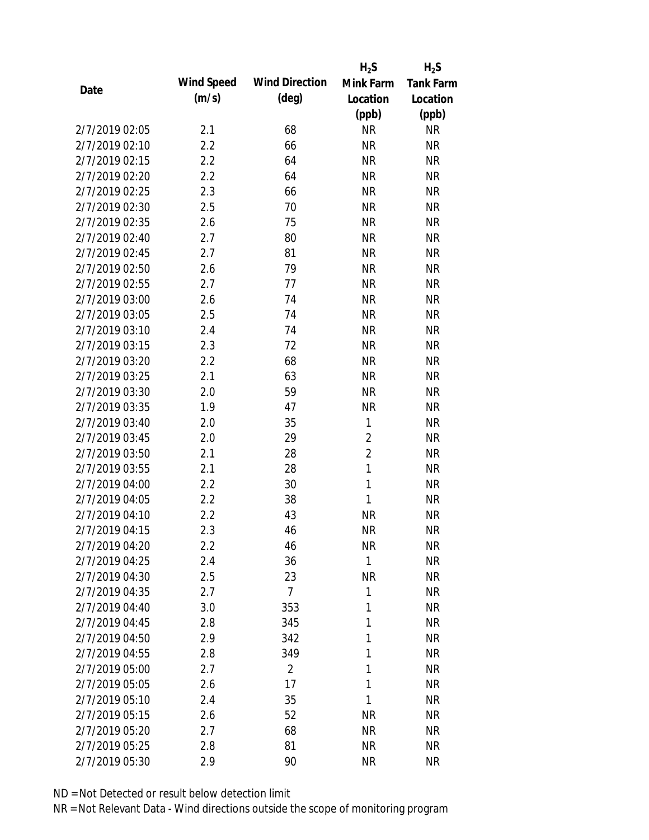|                |            |                       | $H_2S$         | $H_2S$           |
|----------------|------------|-----------------------|----------------|------------------|
| Date           | Wind Speed | <b>Wind Direction</b> | Mink Farm      | <b>Tank Farm</b> |
|                | (m/s)      | $(\text{deg})$        | Location       | Location         |
|                |            |                       | (ppb)          | (ppb)            |
| 2/7/2019 02:05 | 2.1        | 68                    | <b>NR</b>      | <b>NR</b>        |
| 2/7/2019 02:10 | 2.2        | 66                    | <b>NR</b>      | <b>NR</b>        |
| 2/7/2019 02:15 | 2.2        | 64                    | <b>NR</b>      | <b>NR</b>        |
| 2/7/2019 02:20 | 2.2        | 64                    | <b>NR</b>      | <b>NR</b>        |
| 2/7/2019 02:25 | 2.3        | 66                    | <b>NR</b>      | <b>NR</b>        |
| 2/7/2019 02:30 | 2.5        | 70                    | <b>NR</b>      | <b>NR</b>        |
| 2/7/2019 02:35 | 2.6        | 75                    | <b>NR</b>      | <b>NR</b>        |
| 2/7/2019 02:40 | 2.7        | 80                    | <b>NR</b>      | <b>NR</b>        |
| 2/7/2019 02:45 | 2.7        | 81                    | <b>NR</b>      | <b>NR</b>        |
| 2/7/2019 02:50 | 2.6        | 79                    | <b>NR</b>      | <b>NR</b>        |
| 2/7/2019 02:55 | 2.7        | 77                    | <b>NR</b>      | <b>NR</b>        |
| 2/7/2019 03:00 | 2.6        | 74                    | <b>NR</b>      | <b>NR</b>        |
| 2/7/2019 03:05 | 2.5        | 74                    | <b>NR</b>      | <b>NR</b>        |
| 2/7/2019 03:10 | 2.4        | 74                    | <b>NR</b>      | <b>NR</b>        |
| 2/7/2019 03:15 | 2.3        | 72                    | <b>NR</b>      | <b>NR</b>        |
| 2/7/2019 03:20 | 2.2        | 68                    | <b>NR</b>      | <b>NR</b>        |
| 2/7/2019 03:25 | 2.1        | 63                    | <b>NR</b>      | <b>NR</b>        |
| 2/7/2019 03:30 | 2.0        | 59                    | <b>NR</b>      | <b>NR</b>        |
| 2/7/2019 03:35 | 1.9        | 47                    | <b>NR</b>      | <b>NR</b>        |
| 2/7/2019 03:40 | 2.0        | 35                    | 1              | <b>NR</b>        |
| 2/7/2019 03:45 | 2.0        | 29                    | $\overline{2}$ | <b>NR</b>        |
| 2/7/2019 03:50 | 2.1        | 28                    | $\overline{2}$ | <b>NR</b>        |
| 2/7/2019 03:55 | 2.1        | 28                    | $\mathbf{1}$   | <b>NR</b>        |
| 2/7/2019 04:00 | 2.2        | 30                    | 1              | <b>NR</b>        |
| 2/7/2019 04:05 | 2.2        | 38                    | 1              | <b>NR</b>        |
| 2/7/2019 04:10 | 2.2        | 43                    | <b>NR</b>      | <b>NR</b>        |
| 2/7/2019 04:15 | 2.3        | 46                    | <b>NR</b>      | <b>NR</b>        |
| 2/7/2019 04:20 | 2.2        | 46                    | <b>NR</b>      | <b>NR</b>        |
| 2/7/2019 04:25 | 2.4        | 36                    | $\mathbf{1}$   | <b>NR</b>        |
| 2/7/2019 04:30 | 2.5        | 23                    | <b>NR</b>      | <b>NR</b>        |
| 2/7/2019 04:35 | 2.7        | $\overline{7}$        | 1              | <b>NR</b>        |
| 2/7/2019 04:40 | 3.0        | 353                   | 1              | <b>NR</b>        |
| 2/7/2019 04:45 | 2.8        | 345                   | 1              | <b>NR</b>        |
| 2/7/2019 04:50 | 2.9        | 342                   | 1              | <b>NR</b>        |
| 2/7/2019 04:55 | 2.8        | 349                   | 1              | <b>NR</b>        |
| 2/7/2019 05:00 | 2.7        | $\overline{2}$        | 1              | <b>NR</b>        |
| 2/7/2019 05:05 | 2.6        | 17                    | 1              | <b>NR</b>        |
| 2/7/2019 05:10 | 2.4        | 35                    | 1              | <b>NR</b>        |
| 2/7/2019 05:15 | 2.6        | 52                    | <b>NR</b>      | <b>NR</b>        |
| 2/7/2019 05:20 | 2.7        | 68                    | <b>NR</b>      | <b>NR</b>        |
| 2/7/2019 05:25 | 2.8        | 81                    | <b>NR</b>      | <b>NR</b>        |
| 2/7/2019 05:30 | 2.9        | 90                    | <b>NR</b>      | <b>NR</b>        |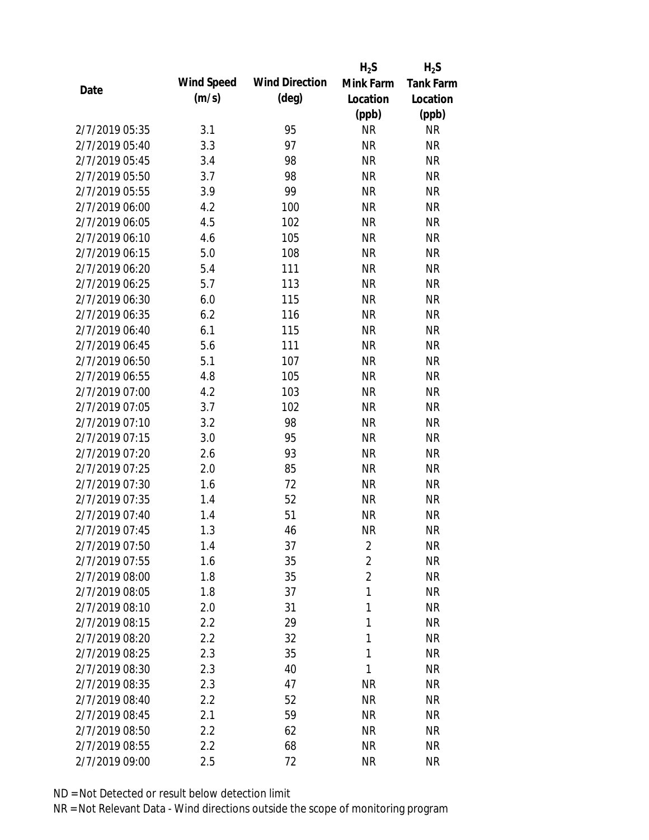|                |            |                       | $H_2S$         | $H_2S$           |
|----------------|------------|-----------------------|----------------|------------------|
| Date           | Wind Speed | <b>Wind Direction</b> | Mink Farm      | <b>Tank Farm</b> |
|                | (m/s)      | $(\text{deg})$        | Location       | Location         |
|                |            |                       | (ppb)          | (ppb)            |
| 2/7/2019 05:35 | 3.1        | 95                    | <b>NR</b>      | <b>NR</b>        |
| 2/7/2019 05:40 | 3.3        | 97                    | <b>NR</b>      | <b>NR</b>        |
| 2/7/2019 05:45 | 3.4        | 98                    | <b>NR</b>      | <b>NR</b>        |
| 2/7/2019 05:50 | 3.7        | 98                    | <b>NR</b>      | <b>NR</b>        |
| 2/7/2019 05:55 | 3.9        | 99                    | <b>NR</b>      | <b>NR</b>        |
| 2/7/2019 06:00 | 4.2        | 100                   | <b>NR</b>      | <b>NR</b>        |
| 2/7/2019 06:05 | 4.5        | 102                   | <b>NR</b>      | <b>NR</b>        |
| 2/7/2019 06:10 | 4.6        | 105                   | <b>NR</b>      | <b>NR</b>        |
| 2/7/2019 06:15 | 5.0        | 108                   | <b>NR</b>      | <b>NR</b>        |
| 2/7/2019 06:20 | 5.4        | 111                   | <b>NR</b>      | <b>NR</b>        |
| 2/7/2019 06:25 | 5.7        | 113                   | <b>NR</b>      | <b>NR</b>        |
| 2/7/2019 06:30 | 6.0        | 115                   | <b>NR</b>      | <b>NR</b>        |
| 2/7/2019 06:35 | 6.2        | 116                   | <b>NR</b>      | <b>NR</b>        |
| 2/7/2019 06:40 | 6.1        | 115                   | <b>NR</b>      | <b>NR</b>        |
| 2/7/2019 06:45 | 5.6        | 111                   | <b>NR</b>      | <b>NR</b>        |
| 2/7/2019 06:50 | 5.1        | 107                   | <b>NR</b>      | <b>NR</b>        |
| 2/7/2019 06:55 | 4.8        | 105                   | <b>NR</b>      | <b>NR</b>        |
| 2/7/2019 07:00 | 4.2        | 103                   | <b>NR</b>      | <b>NR</b>        |
| 2/7/2019 07:05 | 3.7        | 102                   | <b>NR</b>      | <b>NR</b>        |
| 2/7/2019 07:10 | 3.2        | 98                    | <b>NR</b>      | <b>NR</b>        |
| 2/7/2019 07:15 | 3.0        | 95                    | <b>NR</b>      | <b>NR</b>        |
| 2/7/2019 07:20 | 2.6        | 93                    | <b>NR</b>      | <b>NR</b>        |
| 2/7/2019 07:25 | 2.0        | 85                    | <b>NR</b>      | <b>NR</b>        |
| 2/7/2019 07:30 | 1.6        | 72                    | <b>NR</b>      | <b>NR</b>        |
| 2/7/2019 07:35 | 1.4        | 52                    | <b>NR</b>      | <b>NR</b>        |
| 2/7/2019 07:40 | 1.4        | 51                    | <b>NR</b>      | <b>NR</b>        |
| 2/7/2019 07:45 | 1.3        | 46                    | <b>NR</b>      | <b>NR</b>        |
| 2/7/2019 07:50 | 1.4        | 37                    | $\overline{2}$ | <b>NR</b>        |
| 2/7/2019 07:55 | 1.6        | 35                    | $\overline{2}$ | <b>NR</b>        |
| 2/7/2019 08:00 | 1.8        | 35                    | $\overline{2}$ | <b>NR</b>        |
| 2/7/2019 08:05 | 1.8        | 37                    | 1              | <b>NR</b>        |
| 2/7/2019 08:10 | 2.0        | 31                    | 1              | <b>NR</b>        |
| 2/7/2019 08:15 | 2.2        | 29                    | 1              | <b>NR</b>        |
| 2/7/2019 08:20 | 2.2        | 32                    | 1              | <b>NR</b>        |
| 2/7/2019 08:25 | 2.3        | 35                    | 1              | <b>NR</b>        |
| 2/7/2019 08:30 | 2.3        | 40                    | 1              | <b>NR</b>        |
| 2/7/2019 08:35 | 2.3        | 47                    | <b>NR</b>      | <b>NR</b>        |
| 2/7/2019 08:40 | 2.2        | 52                    | <b>NR</b>      | <b>NR</b>        |
| 2/7/2019 08:45 | 2.1        | 59                    | <b>NR</b>      | <b>NR</b>        |
| 2/7/2019 08:50 | 2.2        | 62                    | <b>NR</b>      | <b>NR</b>        |
| 2/7/2019 08:55 | 2.2        | 68                    | <b>NR</b>      | <b>NR</b>        |
| 2/7/2019 09:00 | 2.5        | 72                    | <b>NR</b>      | <b>NR</b>        |
|                |            |                       |                |                  |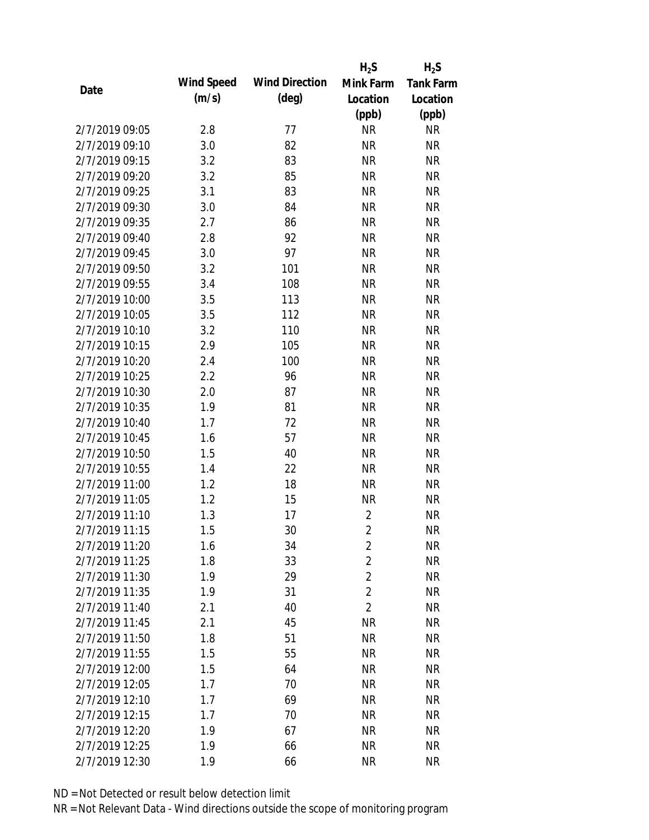|                |            |                       | $H_2S$         | $H_2S$           |
|----------------|------------|-----------------------|----------------|------------------|
| Date           | Wind Speed | <b>Wind Direction</b> | Mink Farm      | <b>Tank Farm</b> |
|                | (m/s)      | $(\text{deg})$        | Location       | Location         |
|                |            |                       | (ppb)          | (ppb)            |
| 2/7/2019 09:05 | 2.8        | 77                    | <b>NR</b>      | <b>NR</b>        |
| 2/7/2019 09:10 | 3.0        | 82                    | <b>NR</b>      | <b>NR</b>        |
| 2/7/2019 09:15 | 3.2        | 83                    | <b>NR</b>      | <b>NR</b>        |
| 2/7/2019 09:20 | 3.2        | 85                    | <b>NR</b>      | <b>NR</b>        |
| 2/7/2019 09:25 | 3.1        | 83                    | <b>NR</b>      | <b>NR</b>        |
| 2/7/2019 09:30 | 3.0        | 84                    | <b>NR</b>      | <b>NR</b>        |
| 2/7/2019 09:35 | 2.7        | 86                    | <b>NR</b>      | <b>NR</b>        |
| 2/7/2019 09:40 | 2.8        | 92                    | <b>NR</b>      | <b>NR</b>        |
| 2/7/2019 09:45 | 3.0        | 97                    | <b>NR</b>      | <b>NR</b>        |
| 2/7/2019 09:50 | 3.2        | 101                   | <b>NR</b>      | <b>NR</b>        |
| 2/7/2019 09:55 | 3.4        | 108                   | <b>NR</b>      | <b>NR</b>        |
| 2/7/2019 10:00 | 3.5        | 113                   | <b>NR</b>      | <b>NR</b>        |
| 2/7/2019 10:05 | 3.5        | 112                   | <b>NR</b>      | <b>NR</b>        |
| 2/7/2019 10:10 | 3.2        | 110                   | <b>NR</b>      | <b>NR</b>        |
| 2/7/2019 10:15 | 2.9        | 105                   | <b>NR</b>      | <b>NR</b>        |
| 2/7/2019 10:20 | 2.4        | 100                   | <b>NR</b>      | <b>NR</b>        |
| 2/7/2019 10:25 | 2.2        | 96                    | <b>NR</b>      | <b>NR</b>        |
| 2/7/2019 10:30 | 2.0        | 87                    | <b>NR</b>      | <b>NR</b>        |
| 2/7/2019 10:35 | 1.9        | 81                    | <b>NR</b>      | <b>NR</b>        |
| 2/7/2019 10:40 | 1.7        | 72                    | <b>NR</b>      | <b>NR</b>        |
| 2/7/2019 10:45 | 1.6        | 57                    | <b>NR</b>      | <b>NR</b>        |
| 2/7/2019 10:50 | 1.5        | 40                    | <b>NR</b>      | <b>NR</b>        |
| 2/7/2019 10:55 | 1.4        | 22                    | <b>NR</b>      | <b>NR</b>        |
| 2/7/2019 11:00 | 1.2        | 18                    | <b>NR</b>      | <b>NR</b>        |
| 2/7/2019 11:05 | 1.2        | 15                    | <b>NR</b>      | <b>NR</b>        |
| 2/7/2019 11:10 | 1.3        | 17                    | $\overline{2}$ | <b>NR</b>        |
| 2/7/2019 11:15 | 1.5        | 30                    | $\overline{2}$ | <b>NR</b>        |
| 2/7/2019 11:20 | 1.6        | 34                    | $\overline{c}$ | <b>NR</b>        |
| 2/7/2019 11:25 | 1.8        | 33                    | $\overline{2}$ | <b>NR</b>        |
| 2/7/2019 11:30 | 1.9        | 29                    | $\overline{2}$ | <b>NR</b>        |
| 2/7/2019 11:35 | 1.9        | 31                    | $\overline{2}$ | <b>NR</b>        |
| 2/7/2019 11:40 | 2.1        | 40                    | $\overline{2}$ | <b>NR</b>        |
| 2/7/2019 11:45 | 2.1        | 45                    | <b>NR</b>      | <b>NR</b>        |
| 2/7/2019 11:50 | 1.8        | 51                    | <b>NR</b>      | <b>NR</b>        |
| 2/7/2019 11:55 | 1.5        | 55                    | <b>NR</b>      | <b>NR</b>        |
| 2/7/2019 12:00 | 1.5        | 64                    | <b>NR</b>      | <b>NR</b>        |
| 2/7/2019 12:05 | 1.7        | 70                    | <b>NR</b>      | <b>NR</b>        |
| 2/7/2019 12:10 | 1.7        | 69                    | <b>NR</b>      | <b>NR</b>        |
| 2/7/2019 12:15 | 1.7        | 70                    | <b>NR</b>      | <b>NR</b>        |
| 2/7/2019 12:20 | 1.9        | 67                    | <b>NR</b>      | <b>NR</b>        |
| 2/7/2019 12:25 | 1.9        | 66                    | <b>NR</b>      | <b>NR</b>        |
| 2/7/2019 12:30 | 1.9        | 66                    | <b>NR</b>      | <b>NR</b>        |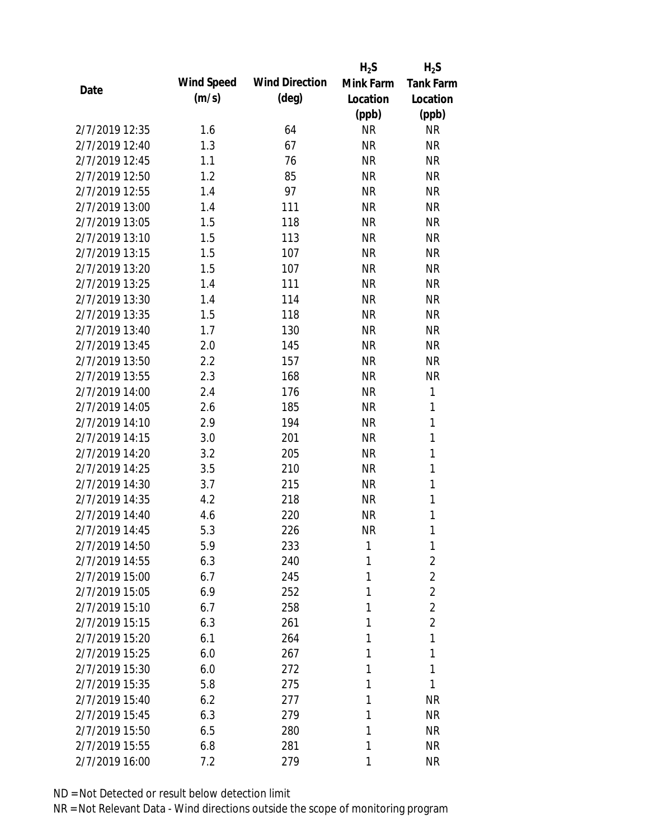|                |            |                       | $H_2S$    | $H_2S$           |
|----------------|------------|-----------------------|-----------|------------------|
| Date           | Wind Speed | <b>Wind Direction</b> | Mink Farm | <b>Tank Farm</b> |
|                | (m/s)      | $(\text{deg})$        | Location  | Location         |
|                |            |                       | (ppb)     | (ppb)            |
| 2/7/2019 12:35 | 1.6        | 64                    | <b>NR</b> | <b>NR</b>        |
| 2/7/2019 12:40 | 1.3        | 67                    | <b>NR</b> | <b>NR</b>        |
| 2/7/2019 12:45 | 1.1        | 76                    | <b>NR</b> | <b>NR</b>        |
| 2/7/2019 12:50 | 1.2        | 85                    | <b>NR</b> | <b>NR</b>        |
| 2/7/2019 12:55 | 1.4        | 97                    | <b>NR</b> | <b>NR</b>        |
| 2/7/2019 13:00 | 1.4        | 111                   | <b>NR</b> | <b>NR</b>        |
| 2/7/2019 13:05 | 1.5        | 118                   | <b>NR</b> | <b>NR</b>        |
| 2/7/2019 13:10 | 1.5        | 113                   | <b>NR</b> | <b>NR</b>        |
| 2/7/2019 13:15 | 1.5        | 107                   | <b>NR</b> | <b>NR</b>        |
| 2/7/2019 13:20 | 1.5        | 107                   | <b>NR</b> | <b>NR</b>        |
| 2/7/2019 13:25 | 1.4        | 111                   | <b>NR</b> | <b>NR</b>        |
| 2/7/2019 13:30 | 1.4        | 114                   | <b>NR</b> | <b>NR</b>        |
| 2/7/2019 13:35 | 1.5        | 118                   | <b>NR</b> | <b>NR</b>        |
| 2/7/2019 13:40 | 1.7        | 130                   | <b>NR</b> | <b>NR</b>        |
| 2/7/2019 13:45 | 2.0        | 145                   | <b>NR</b> | <b>NR</b>        |
| 2/7/2019 13:50 | 2.2        | 157                   | <b>NR</b> | <b>NR</b>        |
| 2/7/2019 13:55 | 2.3        | 168                   | <b>NR</b> | <b>NR</b>        |
| 2/7/2019 14:00 | 2.4        | 176                   | <b>NR</b> | 1                |
| 2/7/2019 14:05 | 2.6        | 185                   | <b>NR</b> | 1                |
| 2/7/2019 14:10 | 2.9        | 194                   | <b>NR</b> | 1                |
| 2/7/2019 14:15 | 3.0        | 201                   | <b>NR</b> | 1                |
| 2/7/2019 14:20 | 3.2        | 205                   | <b>NR</b> | 1                |
| 2/7/2019 14:25 | 3.5        | 210                   | <b>NR</b> | 1                |
| 2/7/2019 14:30 | 3.7        | 215                   | <b>NR</b> | 1                |
| 2/7/2019 14:35 | 4.2        | 218                   | <b>NR</b> | 1                |
| 2/7/2019 14:40 | 4.6        | 220                   | <b>NR</b> | 1                |
| 2/7/2019 14:45 | 5.3        | 226                   | <b>NR</b> | 1                |
| 2/7/2019 14:50 | 5.9        | 233                   | 1         | 1                |
| 2/7/2019 14:55 | 6.3        | 240                   | 1         | 2                |
| 2/7/2019 15:00 | 6.7        | 245                   | 1         | $\overline{2}$   |
| 2/7/2019 15:05 | 6.9        | 252                   | 1         | $\overline{2}$   |
| 2/7/2019 15:10 | 6.7        | 258                   | 1         | $\overline{2}$   |
| 2/7/2019 15:15 | 6.3        | 261                   | 1         | $\overline{2}$   |
| 2/7/2019 15:20 | 6.1        | 264                   | 1         | 1                |
| 2/7/2019 15:25 | 6.0        | 267                   | 1         | 1                |
| 2/7/2019 15:30 | 6.0        | 272                   | 1         | 1                |
| 2/7/2019 15:35 | 5.8        | 275                   | 1         | 1                |
| 2/7/2019 15:40 | 6.2        | 277                   | 1         | <b>NR</b>        |
| 2/7/2019 15:45 | 6.3        | 279                   | 1         | <b>NR</b>        |
| 2/7/2019 15:50 | 6.5        | 280                   | 1         | <b>NR</b>        |
| 2/7/2019 15:55 | 6.8        | 281                   | 1         | <b>NR</b>        |
| 2/7/2019 16:00 | 7.2        | 279                   | 1         | <b>NR</b>        |
|                |            |                       |           |                  |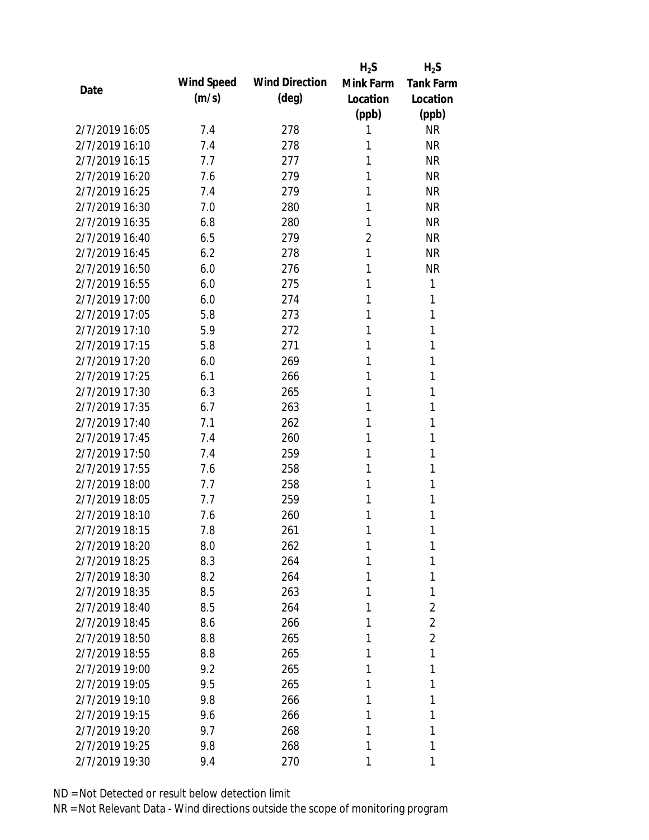|                |            |                       | $H_2S$         | $H_2S$           |
|----------------|------------|-----------------------|----------------|------------------|
| Date           | Wind Speed | <b>Wind Direction</b> | Mink Farm      | <b>Tank Farm</b> |
|                | (m/s)      | $(\text{deg})$        | Location       | Location         |
|                |            |                       | (ppb)          | (ppb)            |
| 2/7/2019 16:05 | 7.4        | 278                   | 1              | <b>NR</b>        |
| 2/7/2019 16:10 | 7.4        | 278                   | 1              | <b>NR</b>        |
| 2/7/2019 16:15 | 7.7        | 277                   | 1              | <b>NR</b>        |
| 2/7/2019 16:20 | 7.6        | 279                   | 1              | <b>NR</b>        |
| 2/7/2019 16:25 | 7.4        | 279                   | 1              | <b>NR</b>        |
| 2/7/2019 16:30 | 7.0        | 280                   | 1              | <b>NR</b>        |
| 2/7/2019 16:35 | 6.8        | 280                   | 1              | <b>NR</b>        |
| 2/7/2019 16:40 | 6.5        | 279                   | $\overline{2}$ | <b>NR</b>        |
| 2/7/2019 16:45 | 6.2        | 278                   | 1              | <b>NR</b>        |
| 2/7/2019 16:50 | 6.0        | 276                   | 1              | <b>NR</b>        |
| 2/7/2019 16:55 | 6.0        | 275                   | 1              | 1                |
| 2/7/2019 17:00 | 6.0        | 274                   | 1              | 1                |
| 2/7/2019 17:05 | 5.8        | 273                   | 1              | 1                |
| 2/7/2019 17:10 | 5.9        | 272                   | 1              | 1                |
| 2/7/2019 17:15 | 5.8        | 271                   | 1              | 1                |
| 2/7/2019 17:20 | 6.0        | 269                   | 1              | 1                |
| 2/7/2019 17:25 | 6.1        | 266                   | 1              | 1                |
| 2/7/2019 17:30 | 6.3        | 265                   | 1              | 1                |
| 2/7/2019 17:35 | 6.7        | 263                   | 1              | 1                |
| 2/7/2019 17:40 | 7.1        | 262                   | 1              | 1                |
| 2/7/2019 17:45 | 7.4        | 260                   | 1              | 1                |
| 2/7/2019 17:50 | 7.4        | 259                   | 1              | 1                |
| 2/7/2019 17:55 | 7.6        | 258                   | 1              | 1                |
| 2/7/2019 18:00 | 7.7        | 258                   | 1              | 1                |
| 2/7/2019 18:05 | 7.7        | 259                   | 1              | 1                |
| 2/7/2019 18:10 | 7.6        | 260                   | 1              | 1                |
| 2/7/2019 18:15 | 7.8        | 261                   | 1              | 1                |
| 2/7/2019 18:20 | 8.0        | 262                   | 1              | 1                |
| 2/7/2019 18:25 | 8.3        | 264                   | 1              | 1                |
| 2/7/2019 18:30 | 8.2        | 264                   | 1              | 1                |
| 2/7/2019 18:35 | 8.5        | 263                   | 1              | 1                |
| 2/7/2019 18:40 | 8.5        | 264                   | 1              | $\overline{2}$   |
| 2/7/2019 18:45 | 8.6        | 266                   | 1              | $\overline{2}$   |
| 2/7/2019 18:50 | 8.8        | 265                   | 1              | $\overline{2}$   |
| 2/7/2019 18:55 | 8.8        | 265                   | 1              | 1                |
| 2/7/2019 19:00 | 9.2        | 265                   | 1              | 1                |
| 2/7/2019 19:05 | 9.5        | 265                   | 1              | 1                |
| 2/7/2019 19:10 | 9.8        | 266                   | 1              | 1                |
| 2/7/2019 19:15 | 9.6        | 266                   | 1              | 1                |
| 2/7/2019 19:20 | 9.7        | 268                   | 1              | 1                |
| 2/7/2019 19:25 | 9.8        | 268                   | 1              | 1                |
| 2/7/2019 19:30 | 9.4        | 270                   | 1              | 1                |
|                |            |                       |                |                  |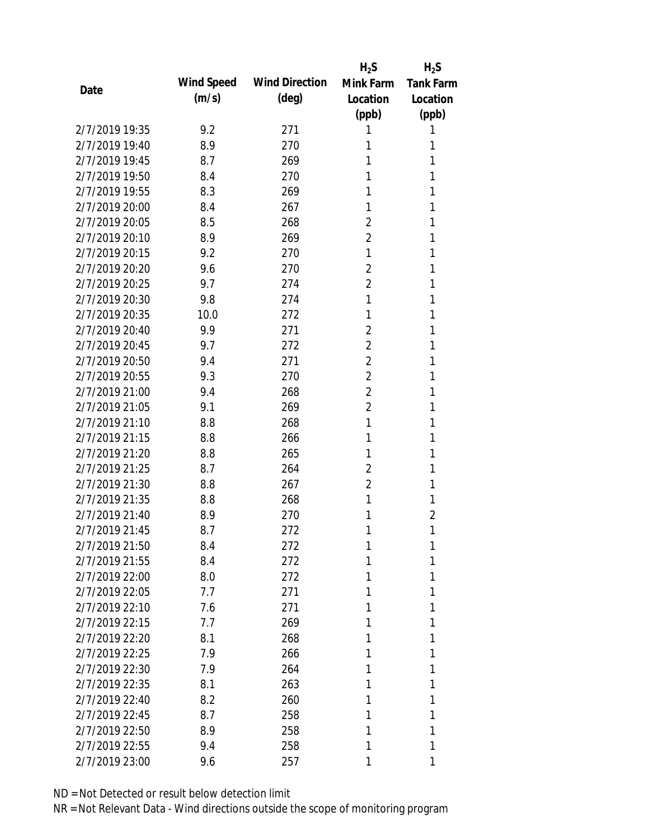|                |            |                       | $H_2S$         | $H_2S$           |
|----------------|------------|-----------------------|----------------|------------------|
| Date           | Wind Speed | <b>Wind Direction</b> | Mink Farm      | <b>Tank Farm</b> |
|                | (m/s)      | $(\text{deg})$        | Location       | Location         |
|                |            |                       | (ppb)          | (ppb)            |
| 2/7/2019 19:35 | 9.2        | 271                   | 1              | 1                |
| 2/7/2019 19:40 | 8.9        | 270                   | 1              | 1                |
| 2/7/2019 19:45 | 8.7        | 269                   | 1              | 1                |
| 2/7/2019 19:50 | 8.4        | 270                   | 1              | 1                |
| 2/7/2019 19:55 | 8.3        | 269                   | 1              | 1                |
| 2/7/2019 20:00 | 8.4        | 267                   | 1              | 1                |
| 2/7/2019 20:05 | 8.5        | 268                   | $\overline{2}$ | 1                |
| 2/7/2019 20:10 | 8.9        | 269                   | $\overline{2}$ | 1                |
| 2/7/2019 20:15 | 9.2        | 270                   | 1              | 1                |
| 2/7/2019 20:20 | 9.6        | 270                   | $\overline{2}$ | 1                |
| 2/7/2019 20:25 | 9.7        | 274                   | $\overline{2}$ | 1                |
| 2/7/2019 20:30 | 9.8        | 274                   | 1              | 1                |
| 2/7/2019 20:35 | 10.0       | 272                   | 1              | 1                |
| 2/7/2019 20:40 | 9.9        | 271                   | $\overline{2}$ | 1                |
| 2/7/2019 20:45 | 9.7        | 272                   | $\overline{2}$ | 1                |
| 2/7/2019 20:50 | 9.4        | 271                   | $\overline{2}$ | 1                |
| 2/7/2019 20:55 | 9.3        | 270                   | 2              | 1                |
| 2/7/2019 21:00 | 9.4        | 268                   | $\overline{2}$ | 1                |
| 2/7/2019 21:05 | 9.1        | 269                   | $\overline{2}$ | 1                |
| 2/7/2019 21:10 | 8.8        | 268                   | 1              | 1                |
| 2/7/2019 21:15 | 8.8        | 266                   | 1              | 1                |
| 2/7/2019 21:20 | 8.8        | 265                   | 1              | 1                |
| 2/7/2019 21:25 | 8.7        | 264                   | $\overline{2}$ | 1                |
| 2/7/2019 21:30 | 8.8        | 267                   | $\overline{2}$ | 1                |
| 2/7/2019 21:35 | 8.8        | 268                   | 1              | 1                |
| 2/7/2019 21:40 | 8.9        | 270                   | 1              | $\overline{2}$   |
| 2/7/2019 21:45 | 8.7        | 272                   | 1              | 1                |
| 2/7/2019 21:50 | 8.4        | 272                   | 1              | 1                |
| 2/7/2019 21:55 | 8.4        | 272                   | 1              | 1                |
| 2/7/2019 22:00 | 8.0        | 272                   | 1              | 1                |
| 2/7/2019 22:05 | 7.7        | 271                   | 1              | 1                |
| 2/7/2019 22:10 | 7.6        | 271                   | 1              | 1                |
| 2/7/2019 22:15 | 7.7        | 269                   | 1              | 1                |
| 2/7/2019 22:20 | 8.1        | 268                   | 1              | 1                |
| 2/7/2019 22:25 | 7.9        | 266                   | 1              | 1                |
| 2/7/2019 22:30 | 7.9        | 264                   | 1              | 1                |
| 2/7/2019 22:35 | 8.1        | 263                   | 1              | 1                |
| 2/7/2019 22:40 | 8.2        | 260                   | 1              | 1                |
| 2/7/2019 22:45 | 8.7        | 258                   | 1              | 1                |
| 2/7/2019 22:50 | 8.9        | 258                   | 1              | 1                |
| 2/7/2019 22:55 | 9.4        | 258                   | 1              | 1                |
| 2/7/2019 23:00 | 9.6        | 257                   | 1              | 1                |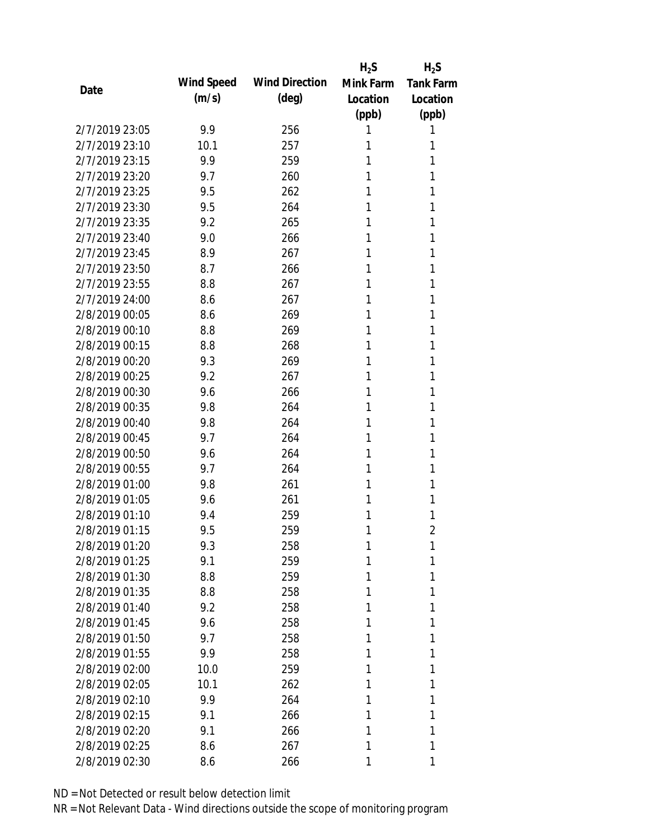|                |            |                       | $H_2S$    | $H_2S$           |
|----------------|------------|-----------------------|-----------|------------------|
| Date           | Wind Speed | <b>Wind Direction</b> | Mink Farm | <b>Tank Farm</b> |
|                | (m/s)      | $(\text{deg})$        | Location  | Location         |
|                |            |                       | (ppb)     | (ppb)            |
| 2/7/2019 23:05 | 9.9        | 256                   | 1         | 1                |
| 2/7/2019 23:10 | 10.1       | 257                   | 1         | 1                |
| 2/7/2019 23:15 | 9.9        | 259                   | 1         | 1                |
| 2/7/2019 23:20 | 9.7        | 260                   | 1         | 1                |
| 2/7/2019 23:25 | 9.5        | 262                   | 1         | 1                |
| 2/7/2019 23:30 | 9.5        | 264                   | 1         | 1                |
| 2/7/2019 23:35 | 9.2        | 265                   | 1         | 1                |
| 2/7/2019 23:40 | 9.0        | 266                   | 1         | 1                |
| 2/7/2019 23:45 | 8.9        | 267                   | 1         | 1                |
| 2/7/2019 23:50 | 8.7        | 266                   | 1         | 1                |
| 2/7/2019 23:55 | 8.8        | 267                   | 1         | 1                |
| 2/7/2019 24:00 | 8.6        | 267                   | 1         | 1                |
| 2/8/2019 00:05 | 8.6        | 269                   | 1         | 1                |
| 2/8/2019 00:10 | 8.8        | 269                   | 1         | 1                |
| 2/8/2019 00:15 | 8.8        | 268                   | 1         | 1                |
| 2/8/2019 00:20 | 9.3        | 269                   | 1         | 1                |
| 2/8/2019 00:25 | 9.2        | 267                   | 1         | 1                |
| 2/8/2019 00:30 | 9.6        | 266                   | 1         | 1                |
| 2/8/2019 00:35 | 9.8        | 264                   | 1         | 1                |
| 2/8/2019 00:40 | 9.8        | 264                   | 1         | 1                |
| 2/8/2019 00:45 | 9.7        | 264                   | 1         | 1                |
| 2/8/2019 00:50 | 9.6        | 264                   | 1         | 1                |
| 2/8/2019 00:55 | 9.7        | 264                   | 1         | 1                |
| 2/8/2019 01:00 | 9.8        | 261                   | 1         | 1                |
| 2/8/2019 01:05 | 9.6        | 261                   | 1         | 1                |
| 2/8/2019 01:10 | 9.4        | 259                   | 1         | 1                |
| 2/8/2019 01:15 | 9.5        | 259                   | 1         | 2                |
| 2/8/2019 01:20 | 9.3        | 258                   | 1         | 1                |
| 2/8/2019 01:25 | 9.1        | 259                   | 1         | 1                |
| 2/8/2019 01:30 | 8.8        | 259                   | 1         | 1                |
| 2/8/2019 01:35 | 8.8        | 258                   | 1         | 1                |
| 2/8/2019 01:40 | 9.2        | 258                   | 1         | 1                |
| 2/8/2019 01:45 | 9.6        | 258                   | 1         | 1                |
| 2/8/2019 01:50 | 9.7        | 258                   | 1         | 1                |
| 2/8/2019 01:55 | 9.9        | 258                   | 1         | 1                |
| 2/8/2019 02:00 | 10.0       | 259                   | 1         | 1                |
| 2/8/2019 02:05 | 10.1       | 262                   | 1         | 1                |
| 2/8/2019 02:10 | 9.9        | 264                   | 1         | 1                |
| 2/8/2019 02:15 | 9.1        | 266                   | 1         | 1                |
| 2/8/2019 02:20 | 9.1        | 266                   | 1         | 1                |
| 2/8/2019 02:25 | 8.6        | 267                   | 1         | 1                |
| 2/8/2019 02:30 | 8.6        | 266                   | 1         | 1                |
|                |            |                       |           |                  |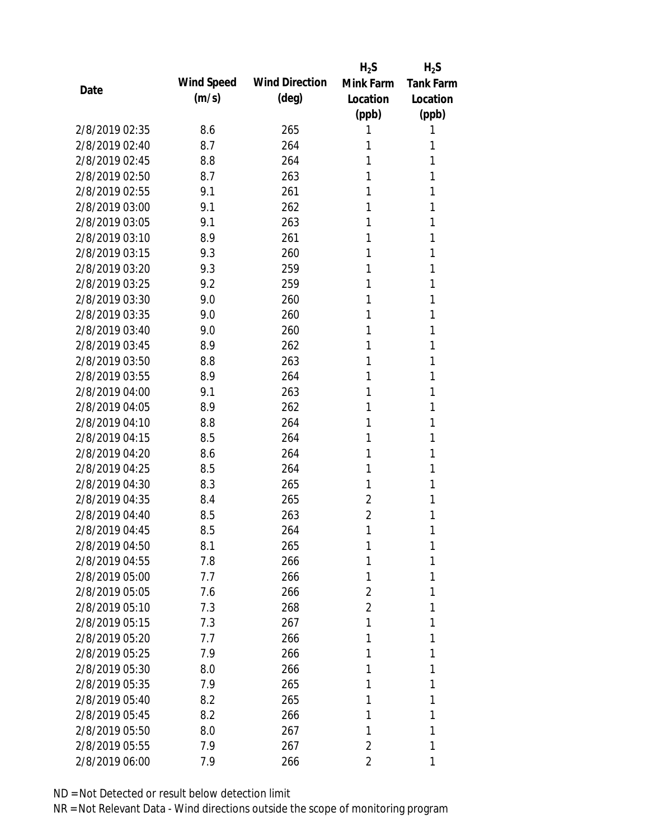|                |            |                       | $H_2S$         | $H_2S$           |
|----------------|------------|-----------------------|----------------|------------------|
| Date           | Wind Speed | <b>Wind Direction</b> | Mink Farm      | <b>Tank Farm</b> |
|                | (m/s)      | $(\text{deg})$        | Location       | Location         |
|                |            |                       | (ppb)          | (ppb)            |
| 2/8/2019 02:35 | 8.6        | 265                   | 1              | 1                |
| 2/8/2019 02:40 | 8.7        | 264                   | 1              | 1                |
| 2/8/2019 02:45 | 8.8        | 264                   | 1              | 1                |
| 2/8/2019 02:50 | 8.7        | 263                   | 1              | 1                |
| 2/8/2019 02:55 | 9.1        | 261                   | 1              | 1                |
| 2/8/2019 03:00 | 9.1        | 262                   | 1              | 1                |
| 2/8/2019 03:05 | 9.1        | 263                   | 1              | 1                |
| 2/8/2019 03:10 | 8.9        | 261                   | 1              | 1                |
| 2/8/2019 03:15 | 9.3        | 260                   | 1              | 1                |
| 2/8/2019 03:20 | 9.3        | 259                   | 1              | 1                |
| 2/8/2019 03:25 | 9.2        | 259                   | 1              | 1                |
| 2/8/2019 03:30 | 9.0        | 260                   | 1              | 1                |
| 2/8/2019 03:35 | 9.0        | 260                   | 1              | 1                |
| 2/8/2019 03:40 | 9.0        | 260                   | 1              | 1                |
| 2/8/2019 03:45 | 8.9        | 262                   | 1              | 1                |
| 2/8/2019 03:50 | 8.8        | 263                   | 1              | 1                |
| 2/8/2019 03:55 | 8.9        | 264                   | 1              | 1                |
| 2/8/2019 04:00 | 9.1        | 263                   | 1              | 1                |
| 2/8/2019 04:05 | 8.9        | 262                   | 1              | 1                |
| 2/8/2019 04:10 | 8.8        | 264                   | 1              | 1                |
| 2/8/2019 04:15 | 8.5        | 264                   | 1              | 1                |
| 2/8/2019 04:20 | 8.6        | 264                   | 1              | 1                |
| 2/8/2019 04:25 | 8.5        | 264                   | 1              | 1                |
| 2/8/2019 04:30 | 8.3        | 265                   | 1              | 1                |
| 2/8/2019 04:35 | 8.4        | 265                   | 2              | 1                |
| 2/8/2019 04:40 | 8.5        | 263                   | $\overline{2}$ | 1                |
| 2/8/2019 04:45 | 8.5        | 264                   | 1              | 1                |
| 2/8/2019 04:50 | 8.1        | 265                   | 1              | 1                |
| 2/8/2019 04:55 | 7.8        | 266                   | 1              | 1                |
| 2/8/2019 05:00 | 7.7        | 266                   | 1              | 1                |
| 2/8/2019 05:05 | 7.6        | 266                   | 2              | 1                |
| 2/8/2019 05:10 | 7.3        | 268                   | 2              | 1                |
| 2/8/2019 05:15 | 7.3        | 267                   | 1              | 1                |
| 2/8/2019 05:20 | 7.7        | 266                   | 1              | 1                |
| 2/8/2019 05:25 | 7.9        | 266                   | 1              | 1                |
| 2/8/2019 05:30 | 8.0        | 266                   | 1              | 1                |
| 2/8/2019 05:35 | 7.9        | 265                   | 1              | 1                |
| 2/8/2019 05:40 | 8.2        | 265                   | 1              | 1                |
| 2/8/2019 05:45 | 8.2        | 266                   | 1              | 1                |
| 2/8/2019 05:50 | 8.0        | 267                   | 1              | 1                |
| 2/8/2019 05:55 | 7.9        | 267                   | 2              | 1                |
| 2/8/2019 06:00 | 7.9        | 266                   | 2              | 1                |
|                |            |                       |                |                  |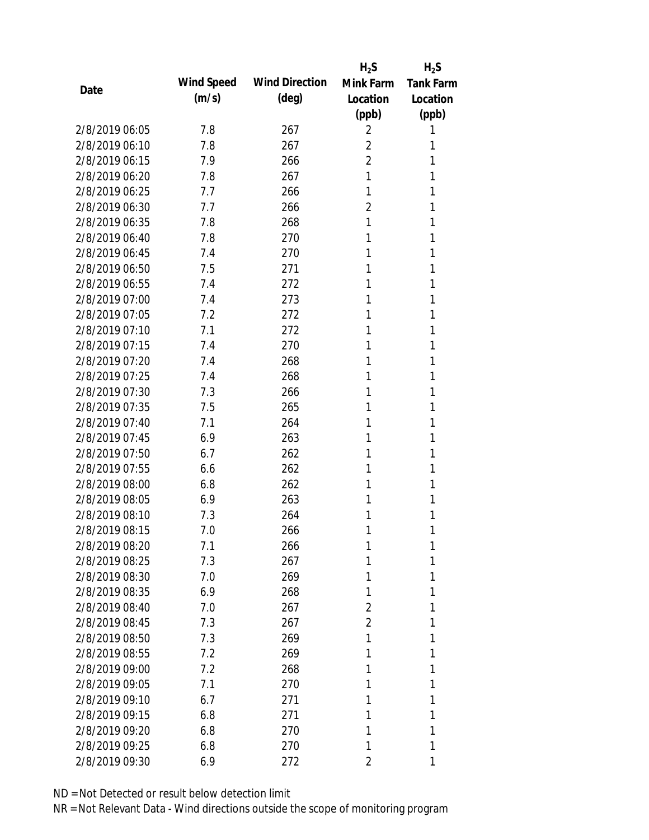|                |            |                       | $H_2S$         | $H_2S$           |
|----------------|------------|-----------------------|----------------|------------------|
| Date           | Wind Speed | <b>Wind Direction</b> | Mink Farm      | <b>Tank Farm</b> |
|                | (m/s)      | (deg)                 | Location       | Location         |
|                |            |                       | (ppb)          | (ppb)            |
| 2/8/2019 06:05 | 7.8        | 267                   | 2              | 1                |
| 2/8/2019 06:10 | 7.8        | 267                   | $\overline{2}$ | 1                |
| 2/8/2019 06:15 | 7.9        | 266                   | $\overline{2}$ | 1                |
| 2/8/2019 06:20 | 7.8        | 267                   | 1              | 1                |
| 2/8/2019 06:25 | 7.7        | 266                   | 1              | 1                |
| 2/8/2019 06:30 | 7.7        | 266                   | 2              | 1                |
| 2/8/2019 06:35 | 7.8        | 268                   | 1              | 1                |
| 2/8/2019 06:40 | 7.8        | 270                   | 1              | 1                |
| 2/8/2019 06:45 | 7.4        | 270                   | 1              | 1                |
| 2/8/2019 06:50 | 7.5        | 271                   | 1              | 1                |
| 2/8/2019 06:55 | 7.4        | 272                   | 1              | 1                |
| 2/8/2019 07:00 | 7.4        | 273                   | 1              | 1                |
| 2/8/2019 07:05 | 7.2        | 272                   | 1              | 1                |
| 2/8/2019 07:10 | 7.1        | 272                   | 1              | 1                |
| 2/8/2019 07:15 | 7.4        | 270                   | 1              | 1                |
| 2/8/2019 07:20 | 7.4        | 268                   | 1              | 1                |
| 2/8/2019 07:25 | 7.4        | 268                   | 1              | 1                |
| 2/8/2019 07:30 | 7.3        | 266                   | 1              | 1                |
| 2/8/2019 07:35 | 7.5        | 265                   | 1              | 1                |
| 2/8/2019 07:40 | 7.1        | 264                   | 1              | 1                |
| 2/8/2019 07:45 | 6.9        | 263                   | 1              | 1                |
| 2/8/2019 07:50 | 6.7        | 262                   | 1              | 1                |
| 2/8/2019 07:55 | 6.6        | 262                   | 1              | 1                |
| 2/8/2019 08:00 | 6.8        | 262                   | 1              | 1                |
| 2/8/2019 08:05 | 6.9        | 263                   | 1              | 1                |
| 2/8/2019 08:10 | 7.3        | 264                   | 1              | 1                |
| 2/8/2019 08:15 | 7.0        | 266                   | 1              | 1                |
| 2/8/2019 08:20 | 7.1        | 266                   | 1              | 1                |
| 2/8/2019 08:25 | 7.3        | 267                   | 1              | 1                |
| 2/8/2019 08:30 | 7.0        | 269                   | 1              | 1                |
| 2/8/2019 08:35 | 6.9        | 268                   | 1              | 1                |
| 2/8/2019 08:40 | 7.0        | 267                   | 2              | 1                |
| 2/8/2019 08:45 | 7.3        | 267                   | 2              | 1                |
| 2/8/2019 08:50 | 7.3        | 269                   | 1              | 1                |
| 2/8/2019 08:55 | 7.2        | 269                   | 1              | 1                |
| 2/8/2019 09:00 | 7.2        | 268                   | 1              | 1                |
| 2/8/2019 09:05 | 7.1        | 270                   | 1              | 1                |
| 2/8/2019 09:10 | 6.7        | 271                   | 1              | 1                |
| 2/8/2019 09:15 | 6.8        | 271                   | 1              | 1                |
| 2/8/2019 09:20 | 6.8        | 270                   | 1              | 1                |
| 2/8/2019 09:25 | 6.8        | 270                   | 1              | 1                |
| 2/8/2019 09:30 | 6.9        | 272                   | 2              | 1                |
|                |            |                       |                |                  |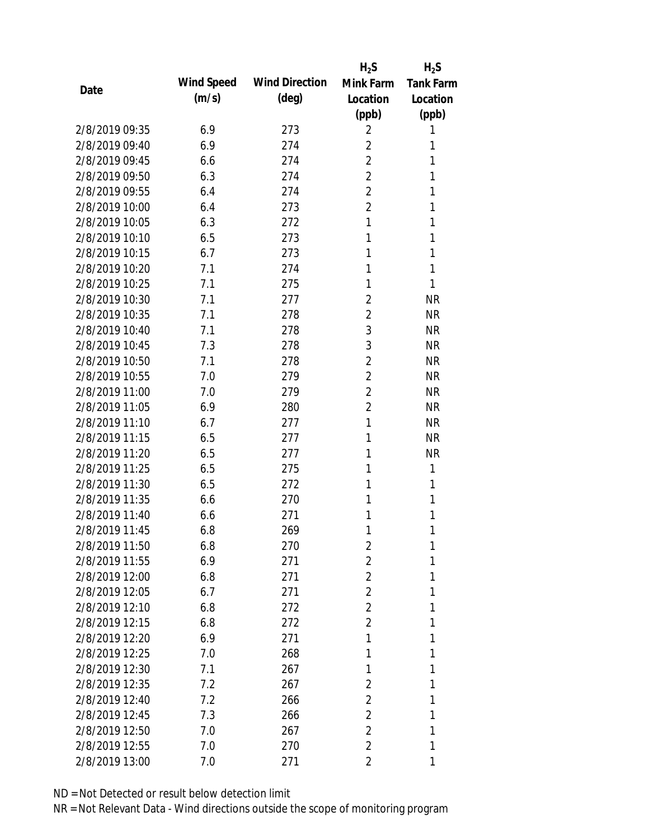|                |            |                       | $H_2S$         | $H_2S$           |
|----------------|------------|-----------------------|----------------|------------------|
| Date           | Wind Speed | <b>Wind Direction</b> | Mink Farm      | <b>Tank Farm</b> |
|                | (m/s)      | (deg)                 | Location       | Location         |
|                |            |                       | (ppb)          | (ppb)            |
| 2/8/2019 09:35 | 6.9        | 273                   | 2              | 1                |
| 2/8/2019 09:40 | 6.9        | 274                   | $\overline{2}$ | 1                |
| 2/8/2019 09:45 | 6.6        | 274                   | $\overline{2}$ | 1                |
| 2/8/2019 09:50 | 6.3        | 274                   | $\overline{2}$ | 1                |
| 2/8/2019 09:55 | 6.4        | 274                   | $\overline{2}$ | 1                |
| 2/8/2019 10:00 | 6.4        | 273                   | $\overline{2}$ | 1                |
| 2/8/2019 10:05 | 6.3        | 272                   | 1              | 1                |
| 2/8/2019 10:10 | 6.5        | 273                   | 1              | 1                |
| 2/8/2019 10:15 | 6.7        | 273                   | 1              | 1                |
| 2/8/2019 10:20 | 7.1        | 274                   | 1              | 1                |
| 2/8/2019 10:25 | 7.1        | 275                   | 1              | 1                |
| 2/8/2019 10:30 | 7.1        | 277                   | $\overline{2}$ | <b>NR</b>        |
| 2/8/2019 10:35 | 7.1        | 278                   | $\overline{2}$ | <b>NR</b>        |
| 2/8/2019 10:40 | 7.1        | 278                   | 3              | <b>NR</b>        |
| 2/8/2019 10:45 | 7.3        | 278                   | 3              | <b>NR</b>        |
| 2/8/2019 10:50 | 7.1        | 278                   | $\overline{2}$ | <b>NR</b>        |
| 2/8/2019 10:55 | 7.0        | 279                   | $\overline{2}$ | <b>NR</b>        |
| 2/8/2019 11:00 | 7.0        | 279                   | $\overline{2}$ | <b>NR</b>        |
| 2/8/2019 11:05 | 6.9        | 280                   | $\overline{2}$ | <b>NR</b>        |
| 2/8/2019 11:10 | 6.7        | 277                   | 1              | <b>NR</b>        |
| 2/8/2019 11:15 | 6.5        | 277                   | 1              | <b>NR</b>        |
| 2/8/2019 11:20 | 6.5        | 277                   | 1              | <b>NR</b>        |
| 2/8/2019 11:25 | 6.5        | 275                   | 1              | 1                |
| 2/8/2019 11:30 | 6.5        | 272                   | 1              | 1                |
| 2/8/2019 11:35 | 6.6        | 270                   | 1              | 1                |
| 2/8/2019 11:40 | 6.6        | 271                   | 1              | 1                |
| 2/8/2019 11:45 | 6.8        | 269                   | 1              | 1                |
| 2/8/2019 11:50 | 6.8        | 270                   | 2              | 1                |
| 2/8/2019 11:55 | 6.9        | 271                   | 2              | 1                |
| 2/8/2019 12:00 | 6.8        | 271                   | $\overline{2}$ | 1                |
| 2/8/2019 12:05 | 6.7        | 271                   | $\overline{2}$ | 1                |
| 2/8/2019 12:10 | 6.8        | 272                   | $\overline{2}$ | 1                |
| 2/8/2019 12:15 | 6.8        | 272                   | $\overline{2}$ | 1                |
| 2/8/2019 12:20 | 6.9        | 271                   | 1              | 1                |
| 2/8/2019 12:25 | 7.0        | 268                   | 1              | 1                |
| 2/8/2019 12:30 | 7.1        | 267                   | 1              | 1                |
| 2/8/2019 12:35 | 7.2        | 267                   | 2              | 1                |
| 2/8/2019 12:40 | 7.2        | 266                   | 2              | 1                |
| 2/8/2019 12:45 | 7.3        | 266                   | $\overline{2}$ | 1                |
| 2/8/2019 12:50 | 7.0        | 267                   | 2              | 1                |
| 2/8/2019 12:55 | 7.0        | 270                   | 2              | 1                |
| 2/8/2019 13:00 | 7.0        | 271                   | 2              | 1                |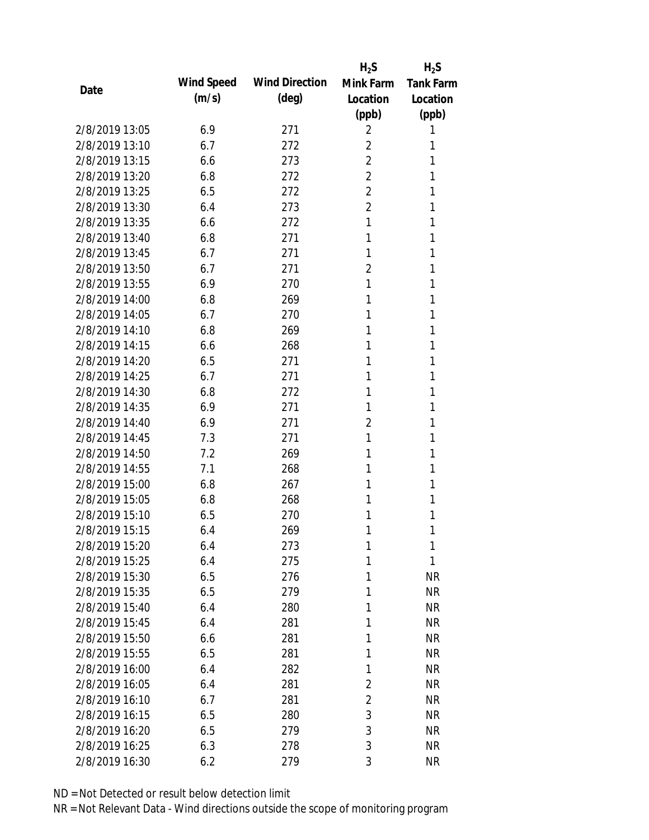|                |            |                       | $H_2S$         | $H_2S$           |
|----------------|------------|-----------------------|----------------|------------------|
| Date           | Wind Speed | <b>Wind Direction</b> | Mink Farm      | <b>Tank Farm</b> |
|                | (m/s)      | (deg)                 | Location       | Location         |
|                |            |                       | (ppb)          | (ppb)            |
| 2/8/2019 13:05 | 6.9        | 271                   | 2              | 1                |
| 2/8/2019 13:10 | 6.7        | 272                   | $\overline{2}$ | 1                |
| 2/8/2019 13:15 | 6.6        | 273                   | $\overline{2}$ | 1                |
| 2/8/2019 13:20 | 6.8        | 272                   | 2              | 1                |
| 2/8/2019 13:25 | 6.5        | 272                   | $\overline{2}$ | 1                |
| 2/8/2019 13:30 | 6.4        | 273                   | $\overline{2}$ | 1                |
| 2/8/2019 13:35 | 6.6        | 272                   | 1              | 1                |
| 2/8/2019 13:40 | 6.8        | 271                   | 1              | 1                |
| 2/8/2019 13:45 | 6.7        | 271                   | 1              | 1                |
| 2/8/2019 13:50 | 6.7        | 271                   | $\overline{2}$ | 1                |
| 2/8/2019 13:55 | 6.9        | 270                   | 1              | 1                |
| 2/8/2019 14:00 | 6.8        | 269                   | 1              | 1                |
| 2/8/2019 14:05 | 6.7        | 270                   | 1              | 1                |
| 2/8/2019 14:10 | 6.8        | 269                   | 1              | 1                |
| 2/8/2019 14:15 | 6.6        | 268                   | 1              | 1                |
| 2/8/2019 14:20 | 6.5        | 271                   | 1              | 1                |
| 2/8/2019 14:25 | 6.7        | 271                   | 1              | 1                |
| 2/8/2019 14:30 | 6.8        | 272                   | 1              | 1                |
| 2/8/2019 14:35 | 6.9        | 271                   | 1              | 1                |
| 2/8/2019 14:40 | 6.9        | 271                   | $\overline{2}$ | 1                |
| 2/8/2019 14:45 | 7.3        | 271                   | 1              | 1                |
| 2/8/2019 14:50 | 7.2        | 269                   | 1              | 1                |
| 2/8/2019 14:55 | 7.1        | 268                   | 1              | 1                |
| 2/8/2019 15:00 | 6.8        | 267                   | 1              | 1                |
| 2/8/2019 15:05 | 6.8        | 268                   | 1              | 1                |
| 2/8/2019 15:10 | 6.5        | 270                   | 1              | 1                |
| 2/8/2019 15:15 | 6.4        | 269                   | 1              | 1                |
| 2/8/2019 15:20 | 6.4        | 273                   | 1              | 1                |
| 2/8/2019 15:25 | 6.4        | 275                   | 1              | 1                |
| 2/8/2019 15:30 | 6.5        | 276                   | 1              | <b>NR</b>        |
| 2/8/2019 15:35 | 6.5        | 279                   | 1              | <b>NR</b>        |
| 2/8/2019 15:40 | 6.4        | 280                   | 1              | <b>NR</b>        |
| 2/8/2019 15:45 | 6.4        | 281                   | 1              | <b>NR</b>        |
| 2/8/2019 15:50 | 6.6        | 281                   | 1              | <b>NR</b>        |
| 2/8/2019 15:55 | 6.5        | 281                   | 1              | <b>NR</b>        |
| 2/8/2019 16:00 | 6.4        | 282                   | 1              | <b>NR</b>        |
| 2/8/2019 16:05 | 6.4        | 281                   | 2              | <b>NR</b>        |
| 2/8/2019 16:10 | 6.7        | 281                   | 2              | <b>NR</b>        |
| 2/8/2019 16:15 | 6.5        | 280                   | 3              | <b>NR</b>        |
| 2/8/2019 16:20 | 6.5        | 279                   | 3              | <b>NR</b>        |
| 2/8/2019 16:25 | 6.3        | 278                   | 3              | <b>NR</b>        |
| 2/8/2019 16:30 | 6.2        | 279                   | 3              | <b>NR</b>        |
|                |            |                       |                |                  |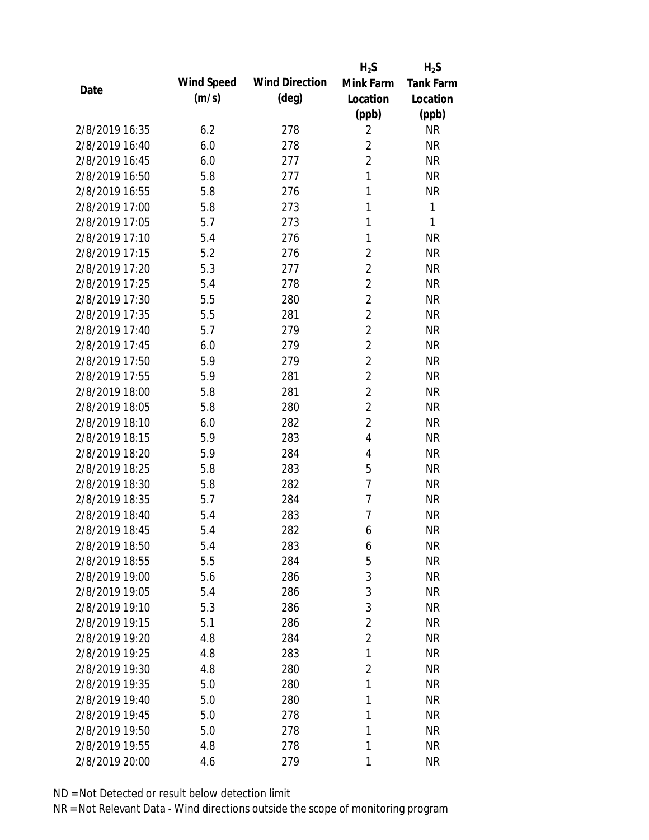|                |            |                       | $H_2S$         | $H_2S$           |
|----------------|------------|-----------------------|----------------|------------------|
|                | Wind Speed | <b>Wind Direction</b> | Mink Farm      | <b>Tank Farm</b> |
| Date           | (m/s)      | $(\text{deg})$        | Location       | Location         |
|                |            |                       | (ppb)          | (ppb)            |
| 2/8/2019 16:35 | 6.2        | 278                   | $\overline{2}$ | <b>NR</b>        |
| 2/8/2019 16:40 | 6.0        | 278                   | 2              | <b>NR</b>        |
| 2/8/2019 16:45 | 6.0        | 277                   | $\overline{2}$ | <b>NR</b>        |
| 2/8/2019 16:50 | 5.8        | 277                   | $\mathbf{1}$   | <b>NR</b>        |
| 2/8/2019 16:55 | 5.8        | 276                   | $\mathbf{1}$   | <b>NR</b>        |
| 2/8/2019 17:00 | 5.8        | 273                   | 1              | 1                |
| 2/8/2019 17:05 | 5.7        | 273                   | 1              | 1                |
| 2/8/2019 17:10 | 5.4        | 276                   | 1              | <b>NR</b>        |
| 2/8/2019 17:15 | 5.2        | 276                   | 2              | <b>NR</b>        |
| 2/8/2019 17:20 | 5.3        | 277                   | $\overline{2}$ | <b>NR</b>        |
| 2/8/2019 17:25 | 5.4        | 278                   | $\overline{2}$ | <b>NR</b>        |
| 2/8/2019 17:30 | 5.5        | 280                   | $\overline{2}$ | <b>NR</b>        |
| 2/8/2019 17:35 | 5.5        | 281                   | $\overline{2}$ | <b>NR</b>        |
| 2/8/2019 17:40 | 5.7        | 279                   | $\overline{2}$ | <b>NR</b>        |
| 2/8/2019 17:45 | 6.0        | 279                   | $\overline{2}$ | <b>NR</b>        |
| 2/8/2019 17:50 | 5.9        | 279                   | $\overline{2}$ | <b>NR</b>        |
| 2/8/2019 17:55 | 5.9        | 281                   | $\overline{2}$ | <b>NR</b>        |
| 2/8/2019 18:00 | 5.8        | 281                   | $\overline{2}$ | <b>NR</b>        |
| 2/8/2019 18:05 | 5.8        | 280                   | $\overline{2}$ | <b>NR</b>        |
| 2/8/2019 18:10 | 6.0        | 282                   | $\overline{2}$ | <b>NR</b>        |
| 2/8/2019 18:15 | 5.9        | 283                   | 4              | <b>NR</b>        |
| 2/8/2019 18:20 | 5.9        | 284                   | 4              | <b>NR</b>        |
| 2/8/2019 18:25 | 5.8        | 283                   | 5              | <b>NR</b>        |
| 2/8/2019 18:30 | 5.8        | 282                   | $\overline{7}$ | <b>NR</b>        |
| 2/8/2019 18:35 | 5.7        | 284                   | 7              | <b>NR</b>        |
| 2/8/2019 18:40 | 5.4        | 283                   | 7              | <b>NR</b>        |
| 2/8/2019 18:45 | 5.4        | 282                   | 6              | <b>NR</b>        |
| 2/8/2019 18:50 | 5.4        | 283                   | 6              | <b>NR</b>        |
| 2/8/2019 18:55 | 5.5        | 284                   | 5              | <b>NR</b>        |
| 2/8/2019 19:00 | 5.6        | 286                   | 3              | <b>NR</b>        |
| 2/8/2019 19:05 | 5.4        | 286                   | 3              | <b>NR</b>        |
| 2/8/2019 19:10 | 5.3        | 286                   | 3              | <b>NR</b>        |
| 2/8/2019 19:15 | 5.1        | 286                   | $\overline{2}$ | <b>NR</b>        |
| 2/8/2019 19:20 | 4.8        | 284                   | $\overline{2}$ | <b>NR</b>        |
| 2/8/2019 19:25 | 4.8        | 283                   | 1              | <b>NR</b>        |
| 2/8/2019 19:30 | 4.8        | 280                   | $\overline{2}$ | <b>NR</b>        |
| 2/8/2019 19:35 | 5.0        | 280                   | 1              | <b>NR</b>        |
| 2/8/2019 19:40 | 5.0        | 280                   | 1              | NR               |
| 2/8/2019 19:45 | 5.0        | 278                   | 1              | <b>NR</b>        |
| 2/8/2019 19:50 | 5.0        | 278                   | 1              | <b>NR</b>        |
| 2/8/2019 19:55 | 4.8        | 278                   | 1              | <b>NR</b>        |
| 2/8/2019 20:00 | 4.6        | 279                   | 1              | <b>NR</b>        |
|                |            |                       |                |                  |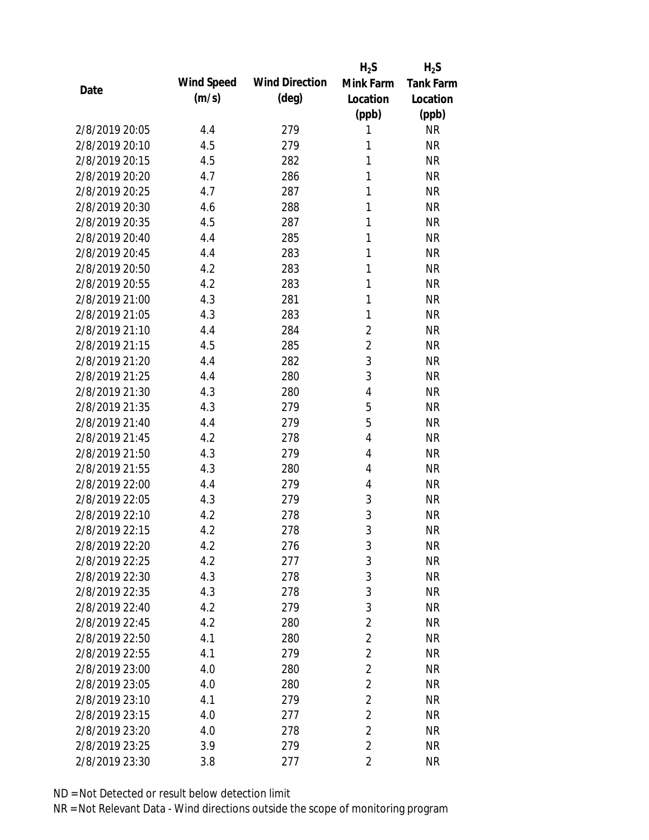|                |            |                       | $H_2S$         | $H_2S$           |
|----------------|------------|-----------------------|----------------|------------------|
| Date           | Wind Speed | <b>Wind Direction</b> | Mink Farm      | <b>Tank Farm</b> |
|                | (m/s)      | $(\text{deg})$        | Location       | Location         |
|                |            |                       | (ppb)          | (ppb)            |
| 2/8/2019 20:05 | 4.4        | 279                   | 1              | <b>NR</b>        |
| 2/8/2019 20:10 | 4.5        | 279                   | 1              | <b>NR</b>        |
| 2/8/2019 20:15 | 4.5        | 282                   | 1              | <b>NR</b>        |
| 2/8/2019 20:20 | 4.7        | 286                   | 1              | <b>NR</b>        |
| 2/8/2019 20:25 | 4.7        | 287                   | 1              | <b>NR</b>        |
| 2/8/2019 20:30 | 4.6        | 288                   | 1              | <b>NR</b>        |
| 2/8/2019 20:35 | 4.5        | 287                   | 1              | <b>NR</b>        |
| 2/8/2019 20:40 | 4.4        | 285                   | 1              | <b>NR</b>        |
| 2/8/2019 20:45 | 4.4        | 283                   | 1              | <b>NR</b>        |
| 2/8/2019 20:50 | 4.2        | 283                   | 1              | <b>NR</b>        |
| 2/8/2019 20:55 | 4.2        | 283                   | 1              | <b>NR</b>        |
| 2/8/2019 21:00 | 4.3        | 281                   | 1              | <b>NR</b>        |
| 2/8/2019 21:05 | 4.3        | 283                   | 1              | <b>NR</b>        |
| 2/8/2019 21:10 | 4.4        | 284                   | $\overline{2}$ | <b>NR</b>        |
| 2/8/2019 21:15 | 4.5        | 285                   | $\overline{2}$ | <b>NR</b>        |
| 2/8/2019 21:20 | 4.4        | 282                   | 3              | <b>NR</b>        |
| 2/8/2019 21:25 | 4.4        | 280                   | 3              | <b>NR</b>        |
| 2/8/2019 21:30 | 4.3        | 280                   | $\overline{4}$ | <b>NR</b>        |
| 2/8/2019 21:35 | 4.3        | 279                   | 5              | <b>NR</b>        |
| 2/8/2019 21:40 | 4.4        | 279                   | 5              | <b>NR</b>        |
| 2/8/2019 21:45 | 4.2        | 278                   | 4              | <b>NR</b>        |
| 2/8/2019 21:50 | 4.3        | 279                   | 4              | <b>NR</b>        |
| 2/8/2019 21:55 | 4.3        | 280                   | 4              | <b>NR</b>        |
| 2/8/2019 22:00 | 4.4        | 279                   | $\overline{4}$ | <b>NR</b>        |
| 2/8/2019 22:05 | 4.3        | 279                   | 3              | <b>NR</b>        |
| 2/8/2019 22:10 | 4.2        | 278                   | 3              | <b>NR</b>        |
| 2/8/2019 22:15 | 4.2        | 278                   | 3              | <b>NR</b>        |
| 2/8/2019 22:20 | 4.2        | 276                   | 3              | <b>NR</b>        |
| 2/8/2019 22:25 | 4.2        | 277                   | 3              | <b>NR</b>        |
| 2/8/2019 22:30 | 4.3        | 278                   | 3              | <b>NR</b>        |
| 2/8/2019 22:35 | 4.3        | 278                   | 3              | <b>NR</b>        |
| 2/8/2019 22:40 | 4.2        | 279                   | 3              | <b>NR</b>        |
| 2/8/2019 22:45 | 4.2        | 280                   | $\overline{2}$ | <b>NR</b>        |
| 2/8/2019 22:50 | 4.1        | 280                   | $\overline{2}$ | <b>NR</b>        |
| 2/8/2019 22:55 | 4.1        | 279                   | $\overline{2}$ | <b>NR</b>        |
| 2/8/2019 23:00 | 4.0        | 280                   | $\overline{2}$ | <b>NR</b>        |
| 2/8/2019 23:05 | 4.0        | 280                   | $\overline{2}$ | <b>NR</b>        |
| 2/8/2019 23:10 | 4.1        | 279                   | $\overline{2}$ | <b>NR</b>        |
| 2/8/2019 23:15 | 4.0        | 277                   | $\overline{2}$ | <b>NR</b>        |
| 2/8/2019 23:20 | 4.0        | 278                   | $\overline{2}$ | <b>NR</b>        |
| 2/8/2019 23:25 | 3.9        | 279                   | $\overline{2}$ | <b>NR</b>        |
| 2/8/2019 23:30 | 3.8        | 277                   | $\overline{2}$ | <b>NR</b>        |
|                |            |                       |                |                  |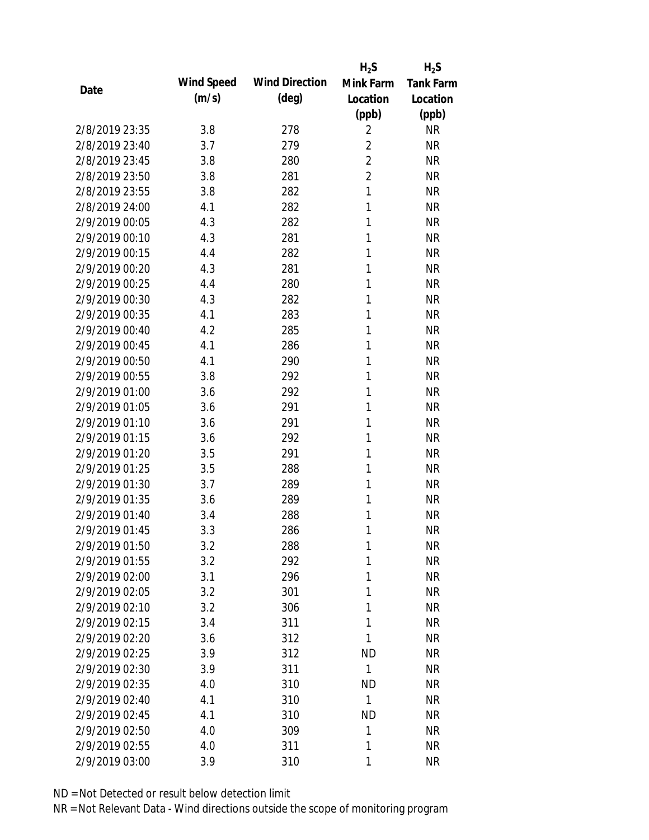|                |            |                       | $H_2S$         | $H_2S$           |
|----------------|------------|-----------------------|----------------|------------------|
| Date           | Wind Speed | <b>Wind Direction</b> | Mink Farm      | <b>Tank Farm</b> |
|                | (m/s)      | $(\text{deg})$        | Location       | Location         |
|                |            |                       | (ppb)          | (ppb)            |
| 2/8/2019 23:35 | 3.8        | 278                   | $\overline{2}$ | <b>NR</b>        |
| 2/8/2019 23:40 | 3.7        | 279                   | $\overline{2}$ | <b>NR</b>        |
| 2/8/2019 23:45 | 3.8        | 280                   | $\overline{2}$ | <b>NR</b>        |
| 2/8/2019 23:50 | 3.8        | 281                   | $\overline{2}$ | <b>NR</b>        |
| 2/8/2019 23:55 | 3.8        | 282                   | $\mathbf{1}$   | <b>NR</b>        |
| 2/8/2019 24:00 | 4.1        | 282                   | 1              | <b>NR</b>        |
| 2/9/2019 00:05 | 4.3        | 282                   | 1              | <b>NR</b>        |
| 2/9/2019 00:10 | 4.3        | 281                   | 1              | <b>NR</b>        |
| 2/9/2019 00:15 | 4.4        | 282                   | 1              | <b>NR</b>        |
| 2/9/2019 00:20 | 4.3        | 281                   | 1              | <b>NR</b>        |
| 2/9/2019 00:25 | 4.4        | 280                   | 1              | <b>NR</b>        |
| 2/9/2019 00:30 | 4.3        | 282                   | 1              | <b>NR</b>        |
| 2/9/2019 00:35 | 4.1        | 283                   | 1              | <b>NR</b>        |
| 2/9/2019 00:40 | 4.2        | 285                   | 1              | <b>NR</b>        |
| 2/9/2019 00:45 | 4.1        | 286                   | 1              | <b>NR</b>        |
| 2/9/2019 00:50 | 4.1        | 290                   | 1              | <b>NR</b>        |
| 2/9/2019 00:55 | 3.8        | 292                   | 1              | <b>NR</b>        |
| 2/9/2019 01:00 | 3.6        | 292                   | 1              | <b>NR</b>        |
| 2/9/2019 01:05 | 3.6        | 291                   | 1              | <b>NR</b>        |
| 2/9/2019 01:10 | 3.6        | 291                   | 1              | <b>NR</b>        |
| 2/9/2019 01:15 | 3.6        | 292                   | 1              | <b>NR</b>        |
| 2/9/2019 01:20 | 3.5        | 291                   | 1              | <b>NR</b>        |
| 2/9/2019 01:25 | 3.5        | 288                   | 1              | <b>NR</b>        |
| 2/9/2019 01:30 | 3.7        | 289                   | 1              | <b>NR</b>        |
| 2/9/2019 01:35 | 3.6        | 289                   | 1              | <b>NR</b>        |
| 2/9/2019 01:40 | 3.4        | 288                   | 1              | <b>NR</b>        |
| 2/9/2019 01:45 | 3.3        | 286                   | 1              | <b>NR</b>        |
| 2/9/2019 01:50 | 3.2        | 288                   | 1              | <b>NR</b>        |
| 2/9/2019 01:55 | 3.2        | 292                   | 1              | <b>NR</b>        |
| 2/9/2019 02:00 | 3.1        | 296                   | 1              | <b>NR</b>        |
| 2/9/2019 02:05 | 3.2        | 301                   | 1              | <b>NR</b>        |
| 2/9/2019 02:10 | 3.2        | 306                   | 1              | <b>NR</b>        |
| 2/9/2019 02:15 | 3.4        | 311                   | 1              | <b>NR</b>        |
| 2/9/2019 02:20 | 3.6        | 312                   | 1              | <b>NR</b>        |
| 2/9/2019 02:25 | 3.9        | 312                   | <b>ND</b>      | <b>NR</b>        |
| 2/9/2019 02:30 | 3.9        | 311                   | 1              | <b>NR</b>        |
| 2/9/2019 02:35 | 4.0        | 310                   | <b>ND</b>      | <b>NR</b>        |
| 2/9/2019 02:40 | 4.1        | 310                   | 1              | <b>NR</b>        |
| 2/9/2019 02:45 | 4.1        | 310                   | <b>ND</b>      | <b>NR</b>        |
| 2/9/2019 02:50 | 4.0        | 309                   | 1              | <b>NR</b>        |
| 2/9/2019 02:55 | 4.0        | 311                   | 1              | <b>NR</b>        |
| 2/9/2019 03:00 | 3.9        | 310                   | 1              | <b>NR</b>        |
|                |            |                       |                |                  |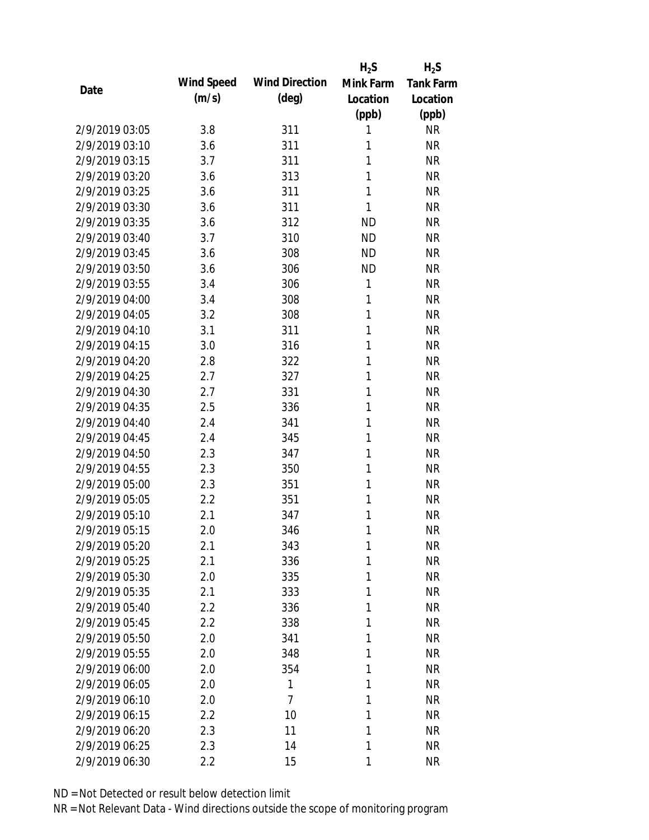|                |            |                       | $H_2S$       | $H_2S$           |
|----------------|------------|-----------------------|--------------|------------------|
| Date           | Wind Speed | <b>Wind Direction</b> | Mink Farm    | <b>Tank Farm</b> |
|                | (m/s)      | $(\text{deg})$        | Location     | Location         |
|                |            |                       | (ppb)        | (ppb)            |
| 2/9/2019 03:05 | 3.8        | 311                   | 1            | <b>NR</b>        |
| 2/9/2019 03:10 | 3.6        | 311                   | 1            | <b>NR</b>        |
| 2/9/2019 03:15 | 3.7        | 311                   | $\mathbf{1}$ | <b>NR</b>        |
| 2/9/2019 03:20 | 3.6        | 313                   | 1            | <b>NR</b>        |
| 2/9/2019 03:25 | 3.6        | 311                   | 1            | <b>NR</b>        |
| 2/9/2019 03:30 | 3.6        | 311                   | 1            | <b>NR</b>        |
| 2/9/2019 03:35 | 3.6        | 312                   | <b>ND</b>    | <b>NR</b>        |
| 2/9/2019 03:40 | 3.7        | 310                   | <b>ND</b>    | <b>NR</b>        |
| 2/9/2019 03:45 | 3.6        | 308                   | <b>ND</b>    | <b>NR</b>        |
| 2/9/2019 03:50 | 3.6        | 306                   | <b>ND</b>    | <b>NR</b>        |
| 2/9/2019 03:55 | 3.4        | 306                   | 1            | <b>NR</b>        |
| 2/9/2019 04:00 | 3.4        | 308                   | 1            | <b>NR</b>        |
| 2/9/2019 04:05 | 3.2        | 308                   | 1            | <b>NR</b>        |
| 2/9/2019 04:10 | 3.1        | 311                   | $\mathbf{1}$ | <b>NR</b>        |
| 2/9/2019 04:15 | 3.0        | 316                   | 1            | <b>NR</b>        |
| 2/9/2019 04:20 | 2.8        | 322                   | 1            | <b>NR</b>        |
| 2/9/2019 04:25 | 2.7        | 327                   | 1            | <b>NR</b>        |
| 2/9/2019 04:30 | 2.7        | 331                   | 1            | <b>NR</b>        |
| 2/9/2019 04:35 | 2.5        | 336                   | 1            | <b>NR</b>        |
| 2/9/2019 04:40 | 2.4        | 341                   | 1            | <b>NR</b>        |
| 2/9/2019 04:45 | 2.4        | 345                   | 1            | <b>NR</b>        |
| 2/9/2019 04:50 | 2.3        | 347                   | 1            | <b>NR</b>        |
| 2/9/2019 04:55 | 2.3        | 350                   | 1            | <b>NR</b>        |
| 2/9/2019 05:00 | 2.3        | 351                   | 1            | <b>NR</b>        |
| 2/9/2019 05:05 | 2.2        | 351                   | 1            | <b>NR</b>        |
| 2/9/2019 05:10 | 2.1        | 347                   | 1            | <b>NR</b>        |
| 2/9/2019 05:15 | 2.0        | 346                   | 1            | <b>NR</b>        |
| 2/9/2019 05:20 | 2.1        | 343                   | 1            | <b>NR</b>        |
| 2/9/2019 05:25 | 2.1        | 336                   | 1            | <b>NR</b>        |
| 2/9/2019 05:30 | 2.0        | 335                   | 1            | <b>NR</b>        |
| 2/9/2019 05:35 | 2.1        | 333                   | 1            | <b>NR</b>        |
| 2/9/2019 05:40 | 2.2        | 336                   | 1            | <b>NR</b>        |
| 2/9/2019 05:45 | 2.2        | 338                   | 1            | <b>NR</b>        |
| 2/9/2019 05:50 | 2.0        | 341                   | 1            | <b>NR</b>        |
| 2/9/2019 05:55 | 2.0        | 348                   | 1            | <b>NR</b>        |
| 2/9/2019 06:00 | 2.0        | 354                   | 1            | <b>NR</b>        |
| 2/9/2019 06:05 | 2.0        | 1                     | 1            | <b>NR</b>        |
| 2/9/2019 06:10 | 2.0        | 7                     | 1            | <b>NR</b>        |
| 2/9/2019 06:15 | 2.2        | 10                    | 1            | <b>NR</b>        |
| 2/9/2019 06:20 | 2.3        | 11                    | 1            | <b>NR</b>        |
| 2/9/2019 06:25 | 2.3        | 14                    | 1            | <b>NR</b>        |
| 2/9/2019 06:30 | 2.2        | 15                    | 1            | <b>NR</b>        |
|                |            |                       |              |                  |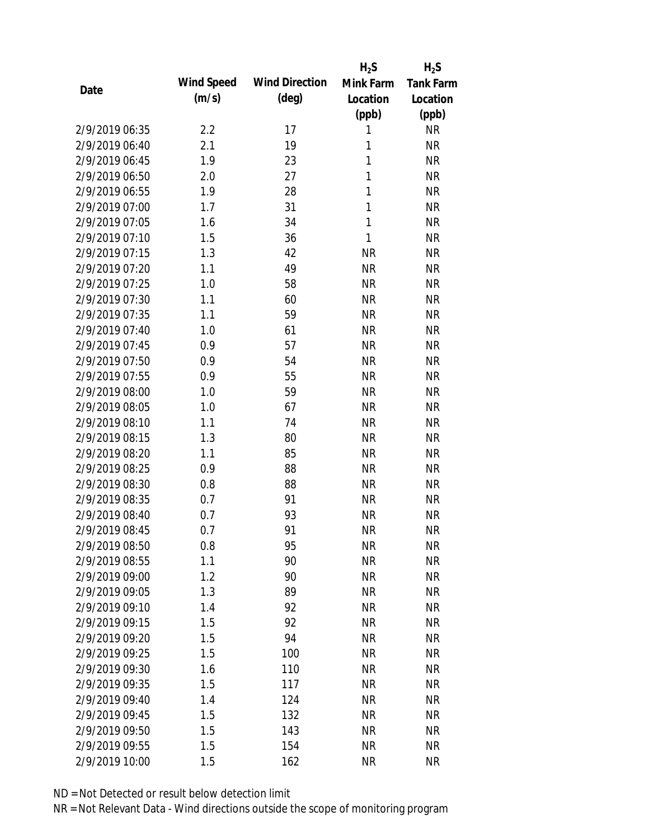|                |            |                       | $H_2S$       | $H_2S$           |
|----------------|------------|-----------------------|--------------|------------------|
| Date           | Wind Speed | <b>Wind Direction</b> | Mink Farm    | <b>Tank Farm</b> |
|                | (m/s)      | $(\text{deg})$        | Location     | Location         |
|                |            |                       | (ppb)        | (ppb)            |
| 2/9/2019 06:35 | 2.2        | 17                    | 1            | <b>NR</b>        |
| 2/9/2019 06:40 | 2.1        | 19                    | 1            | <b>NR</b>        |
| 2/9/2019 06:45 | 1.9        | 23                    | 1            | <b>NR</b>        |
| 2/9/2019 06:50 | 2.0        | 27                    | 1            | <b>NR</b>        |
| 2/9/2019 06:55 | 1.9        | 28                    | 1            | <b>NR</b>        |
| 2/9/2019 07:00 | 1.7        | 31                    | 1            | <b>NR</b>        |
| 2/9/2019 07:05 | 1.6        | 34                    | $\mathbf{1}$ | <b>NR</b>        |
| 2/9/2019 07:10 | 1.5        | 36                    | 1            | <b>NR</b>        |
| 2/9/2019 07:15 | 1.3        | 42                    | <b>NR</b>    | <b>NR</b>        |
| 2/9/2019 07:20 | 1.1        | 49                    | <b>NR</b>    | <b>NR</b>        |
| 2/9/2019 07:25 | 1.0        | 58                    | <b>NR</b>    | <b>NR</b>        |
| 2/9/2019 07:30 | 1.1        | 60                    | <b>NR</b>    | <b>NR</b>        |
| 2/9/2019 07:35 | 1.1        | 59                    | <b>NR</b>    | <b>NR</b>        |
| 2/9/2019 07:40 | 1.0        | 61                    | <b>NR</b>    | <b>NR</b>        |
| 2/9/2019 07:45 | 0.9        | 57                    | <b>NR</b>    | <b>NR</b>        |
| 2/9/2019 07:50 | 0.9        | 54                    | <b>NR</b>    | <b>NR</b>        |
| 2/9/2019 07:55 | 0.9        | 55                    | <b>NR</b>    | <b>NR</b>        |
| 2/9/2019 08:00 | 1.0        | 59                    | <b>NR</b>    | <b>NR</b>        |
| 2/9/2019 08:05 | 1.0        | 67                    | <b>NR</b>    | <b>NR</b>        |
| 2/9/2019 08:10 | 1.1        | 74                    | <b>NR</b>    | <b>NR</b>        |
| 2/9/2019 08:15 | 1.3        | 80                    | <b>NR</b>    | <b>NR</b>        |
| 2/9/2019 08:20 | 1.1        | 85                    | <b>NR</b>    | <b>NR</b>        |
| 2/9/2019 08:25 | 0.9        | 88                    | <b>NR</b>    | <b>NR</b>        |
| 2/9/2019 08:30 | 0.8        | 88                    | <b>NR</b>    | <b>NR</b>        |
| 2/9/2019 08:35 | 0.7        | 91                    | <b>NR</b>    | <b>NR</b>        |
| 2/9/2019 08:40 | 0.7        | 93                    | <b>NR</b>    | <b>NR</b>        |
| 2/9/2019 08:45 | 0.7        | 91                    | <b>NR</b>    | <b>NR</b>        |
| 2/9/2019 08:50 | 0.8        | 95                    | <b>NR</b>    | <b>NR</b>        |
| 2/9/2019 08:55 | 1.1        | 90                    | <b>NR</b>    | <b>NR</b>        |
| 2/9/2019 09:00 | 1.2        | 90                    | <b>NR</b>    | <b>NR</b>        |
| 2/9/2019 09:05 | 1.3        | 89                    | <b>NR</b>    | <b>NR</b>        |
| 2/9/2019 09:10 | 1.4        | 92                    | <b>NR</b>    | <b>NR</b>        |
| 2/9/2019 09:15 | 1.5        | 92                    | <b>NR</b>    | <b>NR</b>        |
| 2/9/2019 09:20 | 1.5        | 94                    | <b>NR</b>    | <b>NR</b>        |
| 2/9/2019 09:25 | 1.5        | 100                   | <b>NR</b>    | <b>NR</b>        |
| 2/9/2019 09:30 | 1.6        | 110                   | <b>NR</b>    | <b>NR</b>        |
| 2/9/2019 09:35 | 1.5        | 117                   | <b>NR</b>    | <b>NR</b>        |
| 2/9/2019 09:40 | 1.4        | 124                   | <b>NR</b>    | <b>NR</b>        |
| 2/9/2019 09:45 | 1.5        | 132                   | <b>NR</b>    | <b>NR</b>        |
| 2/9/2019 09:50 | 1.5        | 143                   | <b>NR</b>    | <b>NR</b>        |
| 2/9/2019 09:55 | 1.5        | 154                   | <b>NR</b>    | <b>NR</b>        |
| 2/9/2019 10:00 | 1.5        | 162                   | <b>NR</b>    | <b>NR</b>        |
|                |            |                       |              |                  |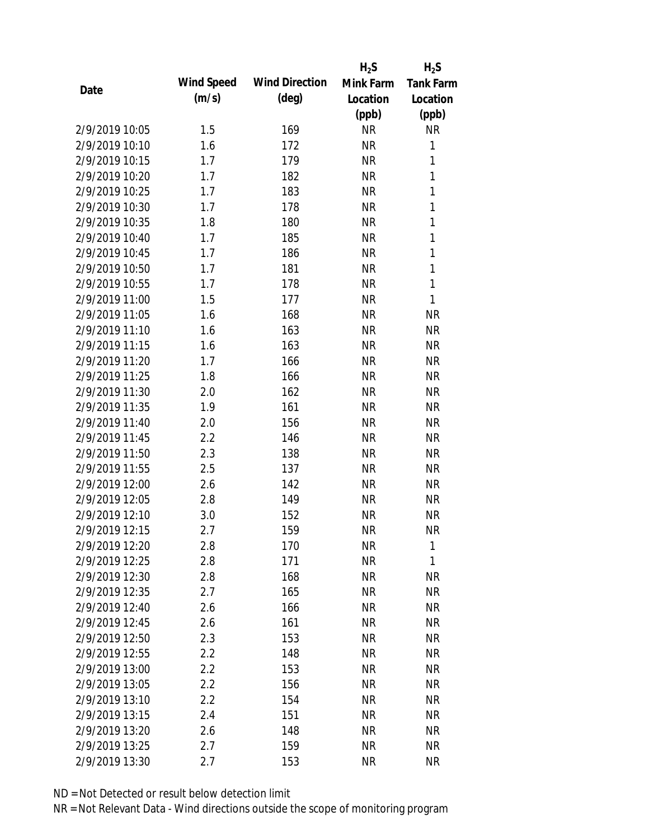|                |            |                       | $H_2S$    | $H_2S$           |
|----------------|------------|-----------------------|-----------|------------------|
| Date           | Wind Speed | <b>Wind Direction</b> | Mink Farm | <b>Tank Farm</b> |
|                | (m/s)      | $(\text{deg})$        | Location  | Location         |
|                |            |                       | (ppb)     | (ppb)            |
| 2/9/2019 10:05 | 1.5        | 169                   | <b>NR</b> | <b>NR</b>        |
| 2/9/2019 10:10 | 1.6        | 172                   | <b>NR</b> | 1                |
| 2/9/2019 10:15 | 1.7        | 179                   | <b>NR</b> | $\mathbf{1}$     |
| 2/9/2019 10:20 | 1.7        | 182                   | <b>NR</b> | $\mathbf{1}$     |
| 2/9/2019 10:25 | 1.7        | 183                   | <b>NR</b> | $\mathbf{1}$     |
| 2/9/2019 10:30 | 1.7        | 178                   | <b>NR</b> | 1                |
| 2/9/2019 10:35 | 1.8        | 180                   | <b>NR</b> | 1                |
| 2/9/2019 10:40 | 1.7        | 185                   | <b>NR</b> | $\mathbf{1}$     |
| 2/9/2019 10:45 | 1.7        | 186                   | <b>NR</b> | $\mathbf{1}$     |
| 2/9/2019 10:50 | 1.7        | 181                   | <b>NR</b> | $\mathbf{1}$     |
| 2/9/2019 10:55 | 1.7        | 178                   | <b>NR</b> | $\mathbf{1}$     |
| 2/9/2019 11:00 | 1.5        | 177                   | <b>NR</b> | 1                |
| 2/9/2019 11:05 | 1.6        | 168                   | <b>NR</b> | <b>NR</b>        |
| 2/9/2019 11:10 | 1.6        | 163                   | <b>NR</b> | <b>NR</b>        |
| 2/9/2019 11:15 | 1.6        | 163                   | <b>NR</b> | <b>NR</b>        |
| 2/9/2019 11:20 | 1.7        | 166                   | <b>NR</b> | <b>NR</b>        |
| 2/9/2019 11:25 | 1.8        | 166                   | <b>NR</b> | <b>NR</b>        |
| 2/9/2019 11:30 | 2.0        | 162                   | <b>NR</b> | <b>NR</b>        |
| 2/9/2019 11:35 | 1.9        | 161                   | <b>NR</b> | <b>NR</b>        |
| 2/9/2019 11:40 | 2.0        | 156                   | <b>NR</b> | <b>NR</b>        |
| 2/9/2019 11:45 | 2.2        | 146                   | <b>NR</b> | <b>NR</b>        |
| 2/9/2019 11:50 | 2.3        | 138                   | <b>NR</b> | <b>NR</b>        |
| 2/9/2019 11:55 | 2.5        | 137                   | <b>NR</b> | <b>NR</b>        |
| 2/9/2019 12:00 | 2.6        | 142                   | <b>NR</b> | <b>NR</b>        |
| 2/9/2019 12:05 | 2.8        | 149                   | <b>NR</b> | <b>NR</b>        |
| 2/9/2019 12:10 | 3.0        | 152                   | <b>NR</b> | <b>NR</b>        |
| 2/9/2019 12:15 | 2.7        | 159                   | <b>NR</b> | <b>NR</b>        |
| 2/9/2019 12:20 | 2.8        | 170                   | <b>NR</b> | 1                |
| 2/9/2019 12:25 | 2.8        | 171                   | <b>NR</b> | 1                |
| 2/9/2019 12:30 | 2.8        | 168                   | <b>NR</b> | <b>NR</b>        |
| 2/9/2019 12:35 | 2.7        | 165                   | <b>NR</b> | <b>NR</b>        |
| 2/9/2019 12:40 | 2.6        | 166                   | <b>NR</b> | <b>NR</b>        |
| 2/9/2019 12:45 | 2.6        | 161                   | <b>NR</b> | <b>NR</b>        |
| 2/9/2019 12:50 | 2.3        | 153                   | <b>NR</b> | <b>NR</b>        |
| 2/9/2019 12:55 | 2.2        | 148                   | <b>NR</b> | <b>NR</b>        |
| 2/9/2019 13:00 | 2.2        | 153                   | <b>NR</b> | <b>NR</b>        |
| 2/9/2019 13:05 | 2.2        | 156                   | <b>NR</b> | NR               |
| 2/9/2019 13:10 | 2.2        | 154                   | <b>NR</b> | <b>NR</b>        |
| 2/9/2019 13:15 | 2.4        | 151                   | <b>NR</b> | <b>NR</b>        |
| 2/9/2019 13:20 | 2.6        | 148                   | <b>NR</b> | <b>NR</b>        |
| 2/9/2019 13:25 | 2.7        | 159                   | <b>NR</b> | <b>NR</b>        |
| 2/9/2019 13:30 | 2.7        | 153                   | <b>NR</b> | <b>NR</b>        |
|                |            |                       |           |                  |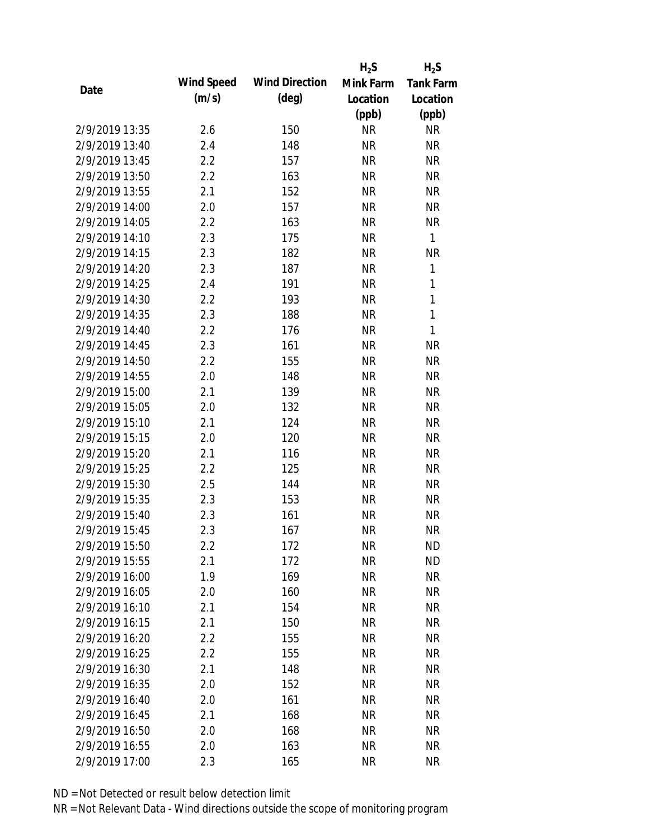|                |            |                       | $H_2S$    | $H_2S$           |
|----------------|------------|-----------------------|-----------|------------------|
|                | Wind Speed | <b>Wind Direction</b> | Mink Farm | <b>Tank Farm</b> |
| Date           | (m/s)      | $(\text{deg})$        | Location  | Location         |
|                |            |                       | (ppb)     | (ppb)            |
| 2/9/2019 13:35 | 2.6        | 150                   | <b>NR</b> | <b>NR</b>        |
| 2/9/2019 13:40 | 2.4        | 148                   | <b>NR</b> | <b>NR</b>        |
| 2/9/2019 13:45 | 2.2        | 157                   | <b>NR</b> | <b>NR</b>        |
| 2/9/2019 13:50 | 2.2        | 163                   | <b>NR</b> | <b>NR</b>        |
| 2/9/2019 13:55 | 2.1        | 152                   | <b>NR</b> | <b>NR</b>        |
| 2/9/2019 14:00 | 2.0        | 157                   | <b>NR</b> | <b>NR</b>        |
| 2/9/2019 14:05 | 2.2        | 163                   | <b>NR</b> | <b>NR</b>        |
| 2/9/2019 14:10 | 2.3        | 175                   | <b>NR</b> | $\mathbf{1}$     |
| 2/9/2019 14:15 | 2.3        | 182                   | <b>NR</b> | <b>NR</b>        |
| 2/9/2019 14:20 | 2.3        | 187                   | <b>NR</b> | 1                |
| 2/9/2019 14:25 | 2.4        | 191                   | <b>NR</b> | 1                |
| 2/9/2019 14:30 | 2.2        | 193                   | <b>NR</b> | 1                |
| 2/9/2019 14:35 | 2.3        | 188                   | <b>NR</b> | $\mathbf{1}$     |
| 2/9/2019 14:40 | 2.2        | 176                   | <b>NR</b> | $\mathbf{1}$     |
| 2/9/2019 14:45 | 2.3        | 161                   | <b>NR</b> | <b>NR</b>        |
| 2/9/2019 14:50 | 2.2        | 155                   | <b>NR</b> | <b>NR</b>        |
| 2/9/2019 14:55 | 2.0        | 148                   | <b>NR</b> | <b>NR</b>        |
| 2/9/2019 15:00 | 2.1        | 139                   | <b>NR</b> | <b>NR</b>        |
| 2/9/2019 15:05 | 2.0        | 132                   | <b>NR</b> | <b>NR</b>        |
| 2/9/2019 15:10 | 2.1        | 124                   | <b>NR</b> | <b>NR</b>        |
| 2/9/2019 15:15 | 2.0        | 120                   | <b>NR</b> | <b>NR</b>        |
| 2/9/2019 15:20 | 2.1        | 116                   | <b>NR</b> | <b>NR</b>        |
| 2/9/2019 15:25 | 2.2        | 125                   | <b>NR</b> | <b>NR</b>        |
| 2/9/2019 15:30 | 2.5        | 144                   | <b>NR</b> | <b>NR</b>        |
| 2/9/2019 15:35 | 2.3        | 153                   | <b>NR</b> | <b>NR</b>        |
| 2/9/2019 15:40 | 2.3        | 161                   | <b>NR</b> | <b>NR</b>        |
| 2/9/2019 15:45 | 2.3        | 167                   | <b>NR</b> | <b>NR</b>        |
| 2/9/2019 15:50 | 2.2        | 172                   | <b>NR</b> | <b>ND</b>        |
| 2/9/2019 15:55 | 2.1        | 172                   | <b>NR</b> | <b>ND</b>        |
| 2/9/2019 16:00 | 1.9        | 169                   | <b>NR</b> | <b>NR</b>        |
| 2/9/2019 16:05 | 2.0        | 160                   | <b>NR</b> | <b>NR</b>        |
| 2/9/2019 16:10 | 2.1        | 154                   | <b>NR</b> | <b>NR</b>        |
| 2/9/2019 16:15 | 2.1        | 150                   | <b>NR</b> | <b>NR</b>        |
| 2/9/2019 16:20 | 2.2        | 155                   | <b>NR</b> | <b>NR</b>        |
| 2/9/2019 16:25 | 2.2        | 155                   | <b>NR</b> | <b>NR</b>        |
| 2/9/2019 16:30 | 2.1        | 148                   | <b>NR</b> | <b>NR</b>        |
| 2/9/2019 16:35 |            | 152                   | <b>NR</b> | <b>NR</b>        |
|                | 2.0        |                       |           |                  |
| 2/9/2019 16:40 | 2.0        | 161                   | <b>NR</b> | <b>NR</b>        |
| 2/9/2019 16:45 | 2.1        | 168                   | <b>NR</b> | NR               |
| 2/9/2019 16:50 | 2.0        | 168                   | <b>NR</b> | NR               |
| 2/9/2019 16:55 | 2.0        | 163                   | <b>NR</b> | <b>NR</b>        |
| 2/9/2019 17:00 | 2.3        | 165                   | <b>NR</b> | <b>NR</b>        |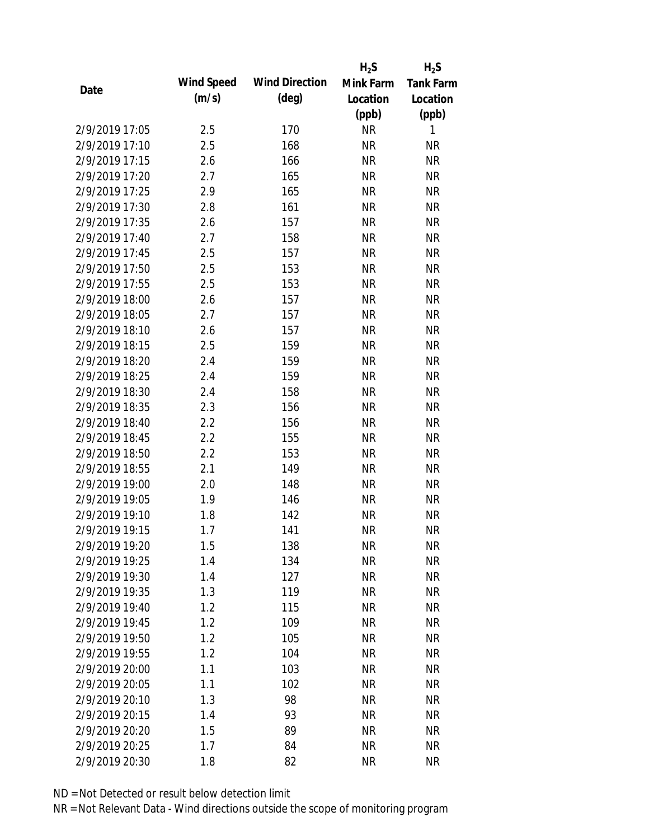|                |            |                       | $H_2S$    | $H_2S$           |
|----------------|------------|-----------------------|-----------|------------------|
|                | Wind Speed | <b>Wind Direction</b> | Mink Farm | <b>Tank Farm</b> |
| Date           | (m/s)      | $(\text{deg})$        | Location  | Location         |
|                |            |                       | (ppb)     | (ppb)            |
| 2/9/2019 17:05 | 2.5        | 170                   | <b>NR</b> | 1                |
| 2/9/2019 17:10 | 2.5        | 168                   | <b>NR</b> | <b>NR</b>        |
| 2/9/2019 17:15 | 2.6        | 166                   | <b>NR</b> | <b>NR</b>        |
| 2/9/2019 17:20 | 2.7        | 165                   | <b>NR</b> | <b>NR</b>        |
| 2/9/2019 17:25 | 2.9        | 165                   | <b>NR</b> | <b>NR</b>        |
| 2/9/2019 17:30 | 2.8        | 161                   | <b>NR</b> | <b>NR</b>        |
| 2/9/2019 17:35 | 2.6        | 157                   | <b>NR</b> | <b>NR</b>        |
| 2/9/2019 17:40 | 2.7        | 158                   | <b>NR</b> | <b>NR</b>        |
| 2/9/2019 17:45 | 2.5        | 157                   | <b>NR</b> | <b>NR</b>        |
| 2/9/2019 17:50 | 2.5        | 153                   | <b>NR</b> | <b>NR</b>        |
| 2/9/2019 17:55 | 2.5        | 153                   | <b>NR</b> | <b>NR</b>        |
| 2/9/2019 18:00 | 2.6        | 157                   | <b>NR</b> | <b>NR</b>        |
| 2/9/2019 18:05 | 2.7        | 157                   | <b>NR</b> | <b>NR</b>        |
| 2/9/2019 18:10 | 2.6        | 157                   | <b>NR</b> | <b>NR</b>        |
| 2/9/2019 18:15 | 2.5        | 159                   | <b>NR</b> | <b>NR</b>        |
| 2/9/2019 18:20 | 2.4        | 159                   | <b>NR</b> | <b>NR</b>        |
| 2/9/2019 18:25 | 2.4        | 159                   | <b>NR</b> | <b>NR</b>        |
| 2/9/2019 18:30 | 2.4        | 158                   | <b>NR</b> | <b>NR</b>        |
| 2/9/2019 18:35 | 2.3        | 156                   | <b>NR</b> | <b>NR</b>        |
| 2/9/2019 18:40 | 2.2        | 156                   | <b>NR</b> | <b>NR</b>        |
| 2/9/2019 18:45 | 2.2        | 155                   | <b>NR</b> | <b>NR</b>        |
| 2/9/2019 18:50 | 2.2        | 153                   | <b>NR</b> | <b>NR</b>        |
| 2/9/2019 18:55 | 2.1        | 149                   | <b>NR</b> | <b>NR</b>        |
| 2/9/2019 19:00 | 2.0        | 148                   | <b>NR</b> | <b>NR</b>        |
| 2/9/2019 19:05 | 1.9        | 146                   | <b>NR</b> | <b>NR</b>        |
| 2/9/2019 19:10 | 1.8        | 142                   | <b>NR</b> | <b>NR</b>        |
| 2/9/2019 19:15 | 1.7        | 141                   | <b>NR</b> | <b>NR</b>        |
| 2/9/2019 19:20 | 1.5        | 138                   | <b>NR</b> | <b>NR</b>        |
| 2/9/2019 19:25 | 1.4        | 134                   | <b>NR</b> | <b>NR</b>        |
| 2/9/2019 19:30 | 1.4        | 127                   | <b>NR</b> | <b>NR</b>        |
| 2/9/2019 19:35 | 1.3        | 119                   | <b>NR</b> | <b>NR</b>        |
| 2/9/2019 19:40 | 1.2        | 115                   | <b>NR</b> | <b>NR</b>        |
| 2/9/2019 19:45 | 1.2        | 109                   | <b>NR</b> | <b>NR</b>        |
| 2/9/2019 19:50 | 1.2        | 105                   | <b>NR</b> | <b>NR</b>        |
| 2/9/2019 19:55 | 1.2        | 104                   | <b>NR</b> | <b>NR</b>        |
| 2/9/2019 20:00 | 1.1        | 103                   | <b>NR</b> | <b>NR</b>        |
| 2/9/2019 20:05 | 1.1        | 102                   | <b>NR</b> | <b>NR</b>        |
| 2/9/2019 20:10 | 1.3        | 98                    | <b>NR</b> | <b>NR</b>        |
| 2/9/2019 20:15 | 1.4        | 93                    | <b>NR</b> | <b>NR</b>        |
| 2/9/2019 20:20 | 1.5        | 89                    | <b>NR</b> | <b>NR</b>        |
| 2/9/2019 20:25 | 1.7        | 84                    | <b>NR</b> | <b>NR</b>        |
| 2/9/2019 20:30 | 1.8        | 82                    | <b>NR</b> | <b>NR</b>        |